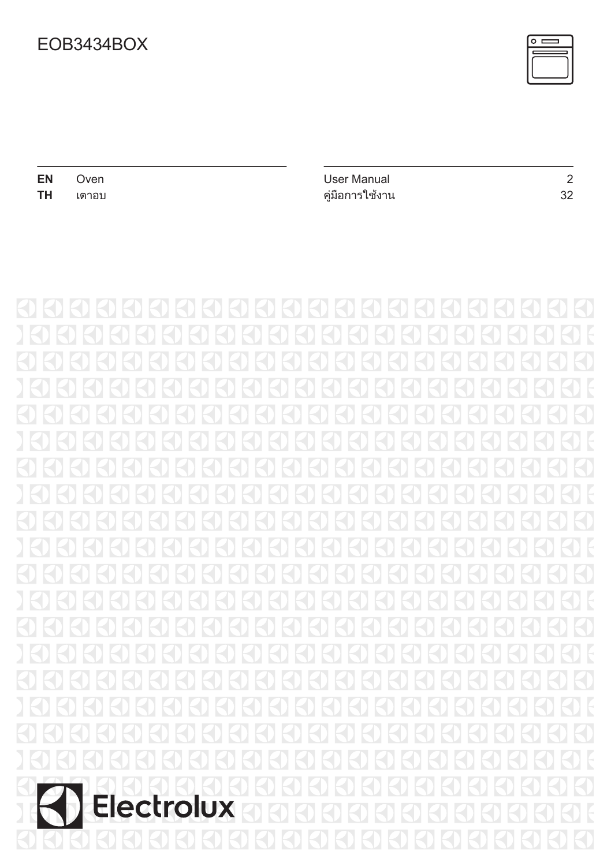

| EN                 | Oven            | User Manual          | $\overline{2}$ |
|--------------------|-----------------|----------------------|----------------|
| <b>TH</b><br>เตาอบ | คู่มือการใช้งาน | 32                   |                |
|                    |                 |                      |                |
|                    |                 |                      |                |
|                    |                 |                      |                |
|                    |                 | $\sim$<br>4<br>$-11$ | $\mathbb{R}^2$ |
|                    |                 |                      |                |
|                    |                 |                      |                |

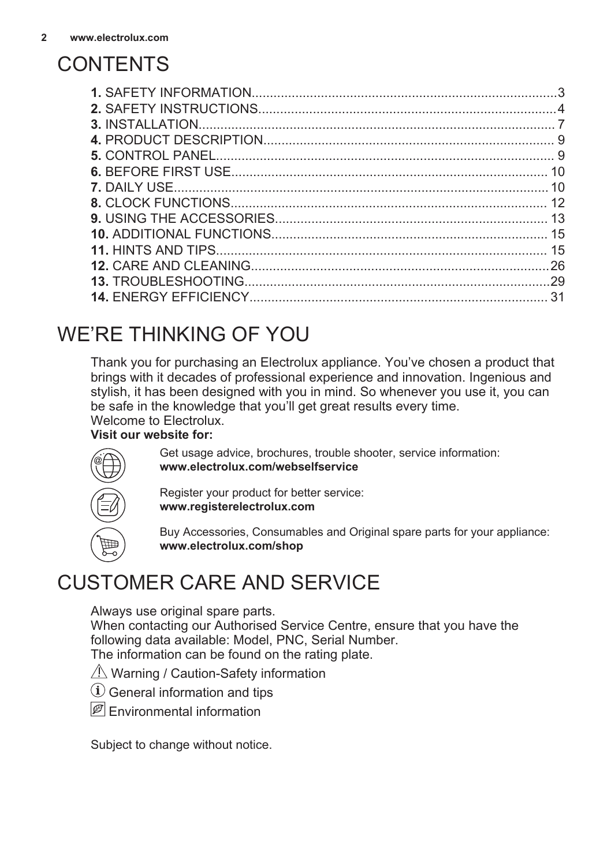# <span id="page-1-0"></span>**CONTENTS**

| 26 |
|----|
|    |
| 31 |
|    |

# WE'RE THINKING OF YOU

Thank you for purchasing an Electrolux appliance. You've chosen a product that brings with it decades of professional experience and innovation. Ingenious and stylish, it has been designed with you in mind. So whenever you use it, you can be safe in the knowledge that you'll get great results every time. Welcome to Electrolux.

### **Visit our website for:**



Get usage advice, brochures, trouble shooter, service information: **www.electrolux.com/webselfservice**

Register your product for better service: **www.registerelectrolux.com**

Buy Accessories, Consumables and Original spare parts for your appliance: **www.electrolux.com/shop**

# CUSTOMER CARE AND SERVICE

Always use original spare parts.

When contacting our Authorised Service Centre, ensure that you have the following data available: Model, PNC, Serial Number. The information can be found on the rating plate.

- $\triangle$  Warning / Caution-Safety information
- General information and tips
- $\boxed{\mathscr{B}}$  Fnvironmental information

Subject to change without notice.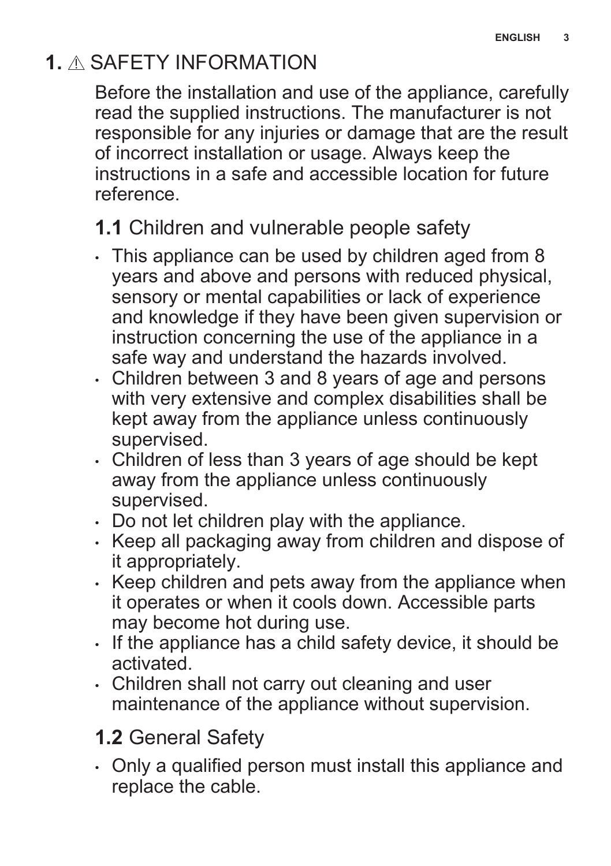# <span id="page-2-0"></span>**1.** SAFETY INFORMATION

Before the installation and use of the appliance, carefully read the supplied instructions. The manufacturer is not responsible for any injuries or damage that are the result of incorrect installation or usage. Always keep the instructions in a safe and accessible location for future reference.

## **1.1** Children and vulnerable people safety

- This appliance can be used by children aged from 8 years and above and persons with reduced physical, sensory or mental capabilities or lack of experience and knowledge if they have been given supervision or instruction concerning the use of the appliance in a safe way and understand the hazards involved.
- Children between 3 and 8 years of age and persons with very extensive and complex disabilities shall be kept away from the appliance unless continuously supervised.
- Children of less than 3 years of age should be kept away from the appliance unless continuously supervised.
- Do not let children play with the appliance.
- Keep all packaging away from children and dispose of it appropriately.
- Keep children and pets away from the appliance when it operates or when it cools down. Accessible parts may become hot during use.
- If the appliance has a child safety device, it should be activated.
- Children shall not carry out cleaning and user maintenance of the appliance without supervision.

# **1.2** General Safety

• Only a qualified person must install this appliance and replace the cable.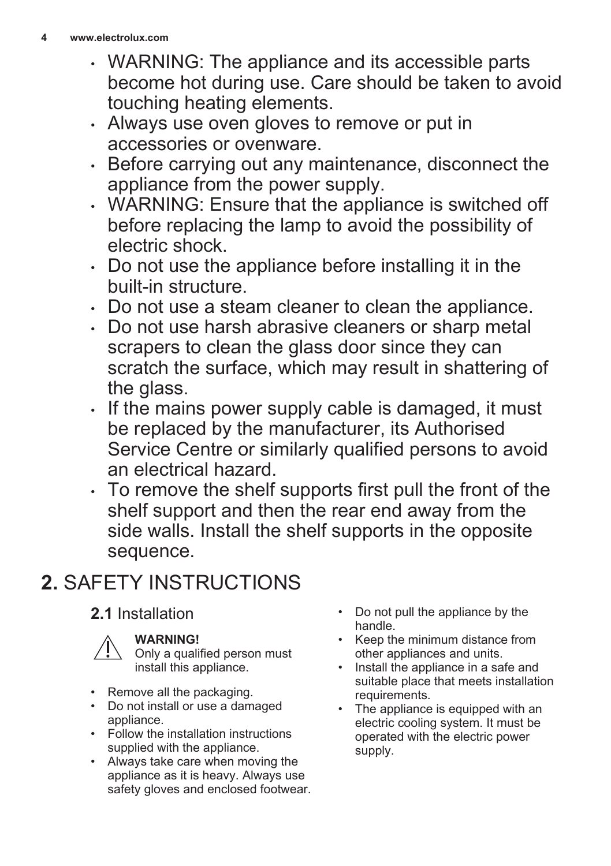- <span id="page-3-0"></span>• WARNING: The appliance and its accessible parts become hot during use. Care should be taken to avoid touching heating elements.
- Always use oven gloves to remove or put in accessories or ovenware.
- Before carrying out any maintenance, disconnect the appliance from the power supply.
- WARNING: Ensure that the appliance is switched off before replacing the lamp to avoid the possibility of electric shock.
- Do not use the appliance before installing it in the built-in structure.
- Do not use a steam cleaner to clean the appliance.
- Do not use harsh abrasive cleaners or sharp metal scrapers to clean the glass door since they can scratch the surface, which may result in shattering of the glass.
- If the mains power supply cable is damaged, it must be replaced by the manufacturer, its Authorised Service Centre or similarly qualified persons to avoid an electrical hazard.
- To remove the shelf supports first pull the front of the shelf support and then the rear end away from the side walls. Install the shelf supports in the opposite sequence.

# **2.** SAFETY INSTRUCTIONS

## **2.1** Installation



### **WARNING!**

Only a qualified person must install this appliance.

- Remove all the packaging.
- Do not install or use a damaged appliance.
- Follow the installation instructions supplied with the appliance.
- Always take care when moving the appliance as it is heavy. Always use safety gloves and enclosed footwear.
- Do not pull the appliance by the handle.
- Keep the minimum distance from other appliances and units.
- Install the appliance in a safe and suitable place that meets installation requirements.
- The appliance is equipped with an electric cooling system. It must be operated with the electric power supply.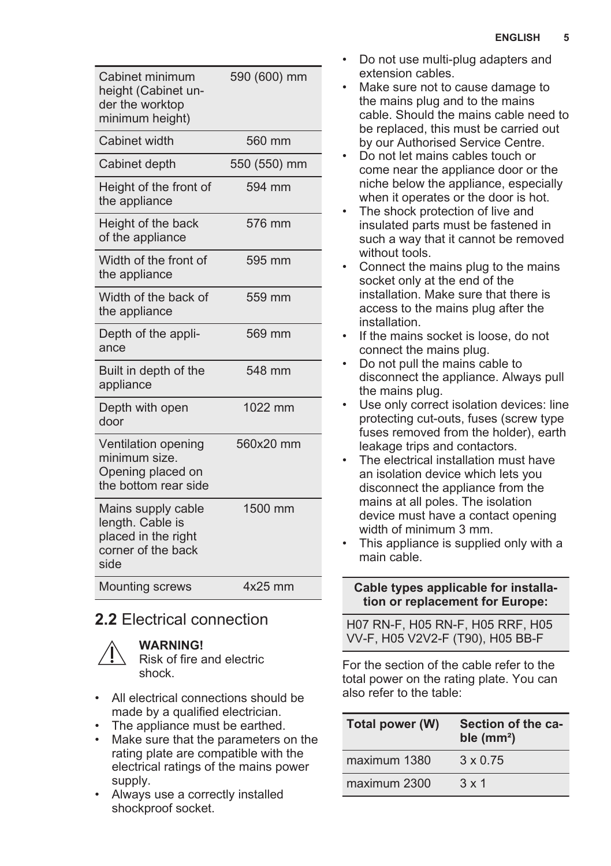| Cabinet minimum<br>height (Cabinet un-<br>der the worktop<br>minimum height)                | 590 (600) mm |
|---------------------------------------------------------------------------------------------|--------------|
| Cabinet width                                                                               | 560 mm       |
| Cabinet depth                                                                               | 550 (550) mm |
| Height of the front of<br>the appliance                                                     | 594 mm       |
| Height of the back<br>of the appliance                                                      | 576 mm       |
| Width of the front of<br>the appliance                                                      | 595 mm       |
| Width of the back of<br>the appliance                                                       | 559 mm       |
| Depth of the appli-<br>ance                                                                 | 569 mm       |
| Built in depth of the<br>appliance                                                          | 548 mm       |
| Depth with open<br>door                                                                     | 1022 mm      |
| Ventilation opening<br>minimum size.<br>Opening placed on<br>the bottom rear side           | 560x20 mm    |
| Mains supply cable<br>length. Cable is<br>placed in the right<br>corner of the back<br>side | 1500 mm      |
| <b>Mounting screws</b>                                                                      | $4x25$ mm    |

### **2.2** Electrical connection



### **WARNING!**

Risk of fire and electric shock.

- All electrical connections should be made by a qualified electrician.
- The appliance must be earthed.
- Make sure that the parameters on the rating plate are compatible with the electrical ratings of the mains power supply.
- Always use a correctly installed shockproof socket.
- Do not use multi-plug adapters and extension cables.
- Make sure not to cause damage to the mains plug and to the mains cable. Should the mains cable need to be replaced, this must be carried out by our Authorised Service Centre.
- Do not let mains cables touch or come near the appliance door or the niche below the appliance, especially when it operates or the door is hot.
- The shock protection of live and insulated parts must be fastened in such a way that it cannot be removed without tools.
- Connect the mains plug to the mains socket only at the end of the installation. Make sure that there is access to the mains plug after the installation.
- If the mains socket is loose, do not connect the mains plug.
- Do not pull the mains cable to disconnect the appliance. Always pull the mains plug.
- Use only correct isolation devices: line protecting cut-outs, fuses (screw type fuses removed from the holder), earth leakage trips and contactors.
- The electrical installation must have an isolation device which lets you disconnect the appliance from the mains at all poles. The isolation device must have a contact opening width of minimum 3 mm.
- This appliance is supplied only with a main cable.

#### **Cable types applicable for installa‐ tion or replacement for Europe:**

H07 RN-F, H05 RN-F, H05 RRF, H05 VV-F, H05 V2V2-F (T90), H05 BB-F

For the section of the cable refer to the total power on the rating plate. You can also refer to the table:

| Total power (W) | Section of the ca-<br>ble $(mm2)$ |
|-----------------|-----------------------------------|
| maximum 1380    | $3 \times 0.75$                   |
| maximum 2300    | $3 \times 1$                      |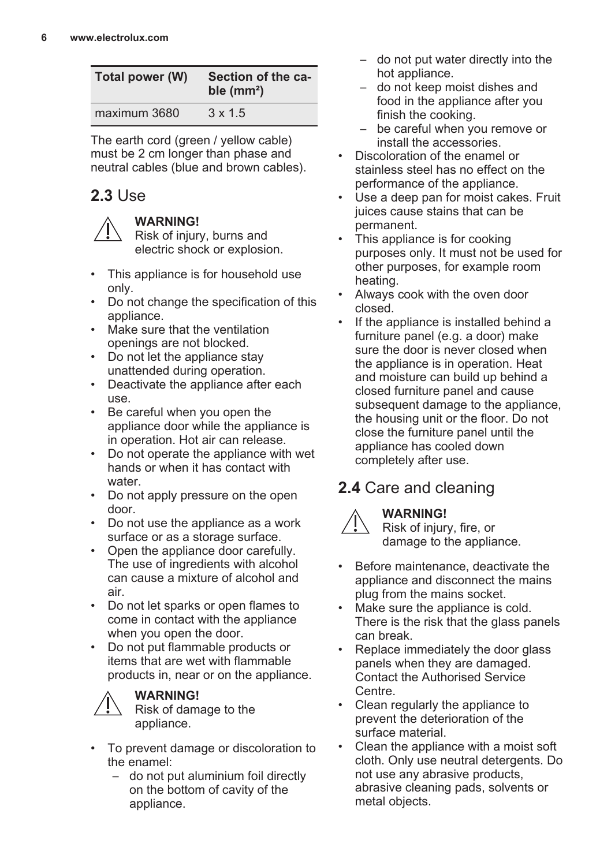| Total power (W) | Section of the ca-<br>ble $(mm2)$ |
|-----------------|-----------------------------------|
| maximum 3680    | $3 \times 1.5$                    |

The earth cord (green / yellow cable) must be 2 cm longer than phase and neutral cables (blue and brown cables).

## **2.3** Use

### **WARNING!**

Risk of injury, burns and electric shock or explosion.

- This appliance is for household use only.
- Do not change the specification of this appliance.
- Make sure that the ventilation openings are not blocked.
- Do not let the appliance stay unattended during operation.
- Deactivate the appliance after each use.
- Be careful when you open the appliance door while the appliance is in operation. Hot air can release.
- Do not operate the appliance with wet hands or when it has contact with water.
- Do not apply pressure on the open door.
- Do not use the appliance as a work surface or as a storage surface.
- Open the appliance door carefully. The use of ingredients with alcohol can cause a mixture of alcohol and air.
- Do not let sparks or open flames to come in contact with the appliance when you open the door.
- Do not put flammable products or items that are wet with flammable products in, near or on the appliance.



### **WARNING!**

Risk of damage to the appliance.

- To prevent damage or discoloration to the enamel:
	- do not put aluminium foil directly on the bottom of cavity of the appliance.
- do not put water directly into the hot appliance.
- do not keep moist dishes and food in the appliance after you finish the cooking.
- be careful when you remove or install the accessories.
- Discoloration of the enamel or stainless steel has no effect on the performance of the appliance.
- Use a deep pan for moist cakes. Fruit juices cause stains that can be .<br>permanent.
- This appliance is for cooking purposes only. It must not be used for other purposes, for example room heating.
- Always cook with the oven door closed.
- If the appliance is installed behind a furniture panel (e.g. a door) make sure the door is never closed when the appliance is in operation. Heat and moisture can build up behind a closed furniture panel and cause subsequent damage to the appliance, the housing unit or the floor. Do not close the furniture panel until the appliance has cooled down completely after use.

## **2.4** Care and cleaning **WARNING!**



Risk of injury, fire, or damage to the appliance.

- Before maintenance, deactivate the appliance and disconnect the mains plug from the mains socket.
- Make sure the appliance is cold. There is the risk that the glass panels can break.
- Replace immediately the door glass panels when they are damaged. Contact the Authorised Service Centre.
- Clean regularly the appliance to prevent the deterioration of the surface material.
- Clean the appliance with a moist soft cloth. Only use neutral detergents. Do not use any abrasive products, abrasive cleaning pads, solvents or metal objects.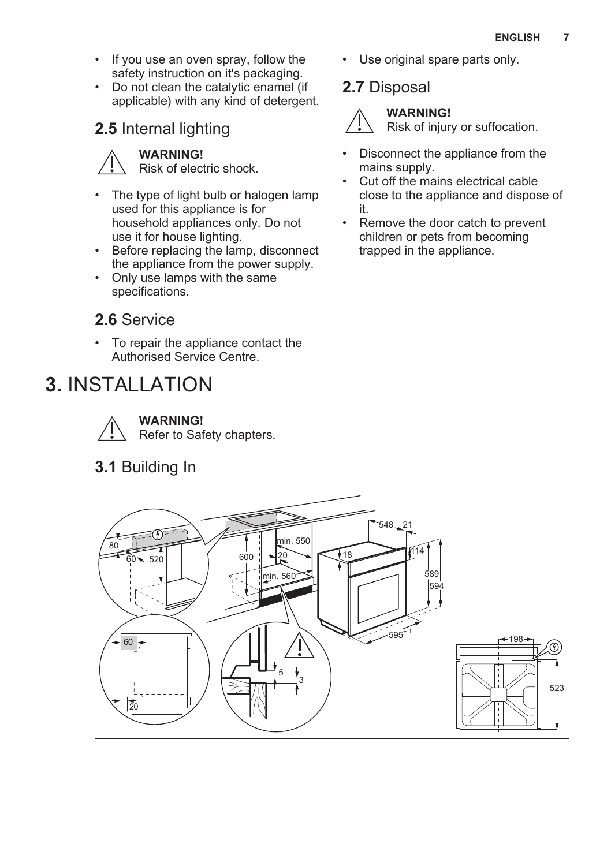- <span id="page-6-0"></span>• If you use an oven spray, follow the safety instruction on it's packaging.
- Do not clean the catalytic enamel (if applicable) with any kind of detergent.

## **2.5** Internal lighting

### **WARNING!**

Risk of electric shock.

- The type of light bulb or halogen lamp used for this appliance is for household appliances only. Do not use it for house lighting.
- Before replacing the lamp, disconnect the appliance from the power supply.
- Only use lamps with the same specifications.

### **2.6** Service

• To repair the appliance contact the Authorised Service Centre.

# **3.** INSTALLATION



**WARNING!**

Refer to Safety chapters.

**3.1** Building In

• Use original spare parts only.

## **2.7** Disposal



### **WARNING!**

Risk of injury or suffocation.

- Disconnect the appliance from the mains supply.
- Cut off the mains electrical cable close to the appliance and dispose of it.
- Remove the door catch to prevent children or pets from becoming trapped in the appliance.

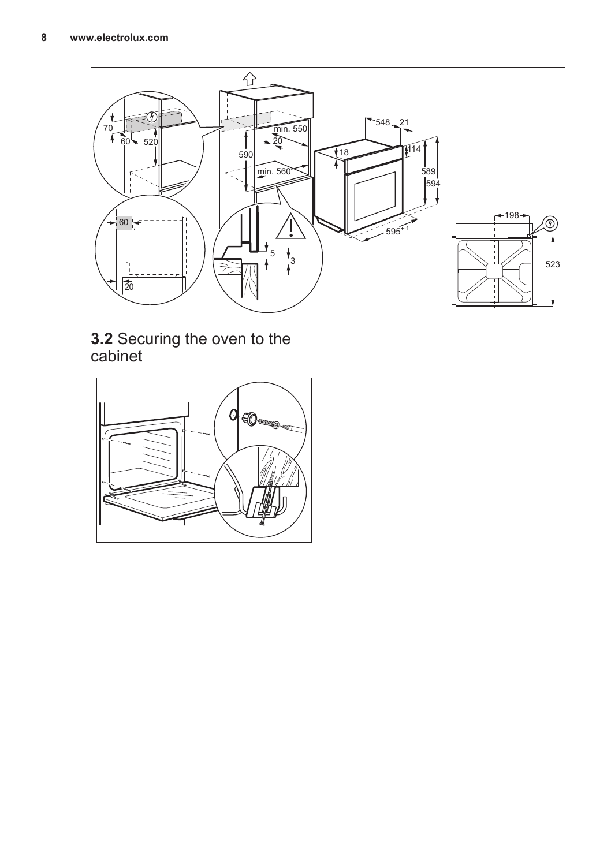

**3.2** Securing the oven to the cabinet

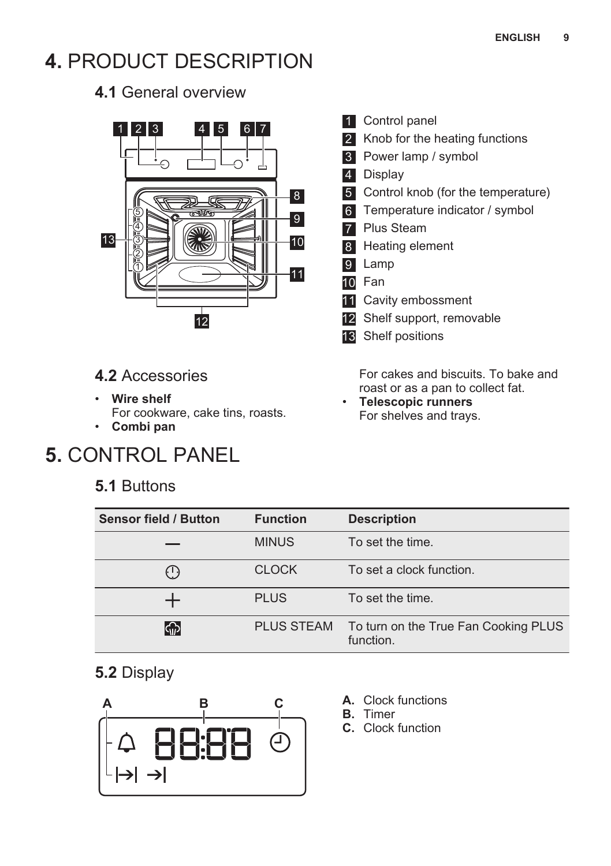# <span id="page-8-0"></span>**4.** PRODUCT DESCRIPTION

**4.1** General overview



### **4.2** Accessories

- **Wire shelf**
- For cookware, cake tins, roasts.
- **Combi pan**

# **5.** CONTROL PANEL

### **5.1** Buttons

- **1** Control panel
- 2 Knob for the heating functions
- 3 Power lamp / symbol
- 4 Display
- 5 Control knob (for the temperature)
- 6 Temperature indicator / symbol
- **7** Plus Steam
- 8 Heating element
- 9 Lamp
- 10 Fan
- 11 Cavity embossment
- 12 Shelf support, removable
- 13 Shelf positions

For cakes and biscuits. To bake and roast or as a pan to collect fat.

• **Telescopic runners** For shelves and trays.

| <b>Sensor field / Button</b> | <b>Function</b>   | <b>Description</b>                                |
|------------------------------|-------------------|---------------------------------------------------|
|                              | <b>MINUS</b>      | To set the time.                                  |
| (1)                          | <b>CLOCK</b>      | To set a clock function.                          |
|                              | <b>PLUS</b>       | To set the time.                                  |
| ကြ                           | <b>PLUS STEAM</b> | To turn on the True Fan Cooking PLUS<br>function. |

## **5.2** Display



- **A.** Clock functions
- **B.** Timer
- **C.** Clock function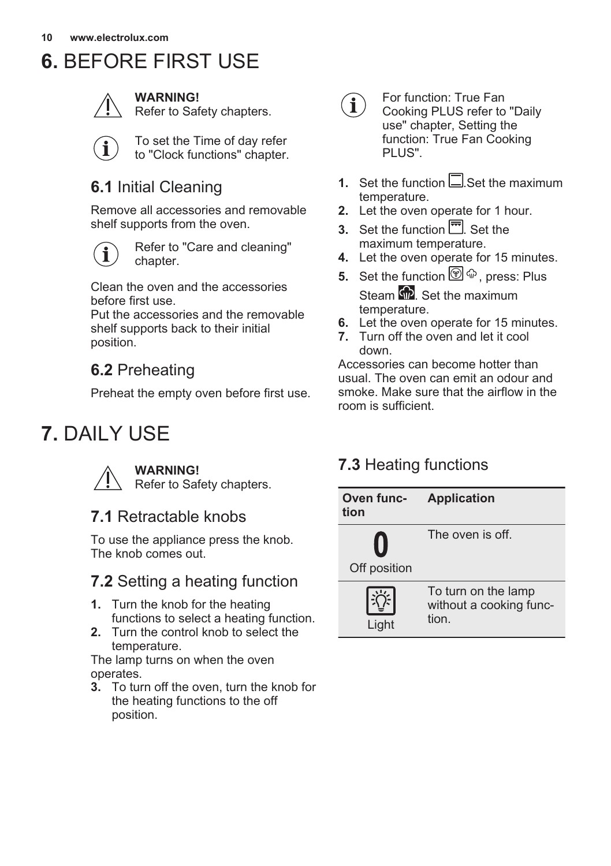# <span id="page-9-0"></span>**6.** BEFORE FIRST USE



**WARNING!**

Refer to Safety chapters.

To set the Time of day refer to "Clock functions" chapter.

## **6.1** Initial Cleaning

Remove all accessories and removable shelf supports from the oven.



Refer to "Care and cleaning" chapter.

Clean the oven and the accessories before first use.

Put the accessories and the removable shelf supports back to their initial position.

## **6.2** Preheating

Preheat the empty oven before first use.

# **7.** DAILY USE

**WARNING!** Refer to Safety chapters.

## **7.1** Retractable knobs

To use the appliance press the knob. The knob comes out.

## **7.2** Setting a heating function

- **1.** Turn the knob for the heating functions to select a heating function.
- **2.** Turn the control knob to select the temperature.

The lamp turns on when the oven operates.

**3.** To turn off the oven, turn the knob for the heating functions to the off position.



For function: True Fan Cooking PLUS refer to "Daily use" chapter, Setting the function: True Fan Cooking PLUS".

- **1.** Set the function  $\Box$  Set the maximum temperature.
- **2.** Let the oven operate for 1 hour.
- **3.** Set the function  $\overline{m}$ . Set the maximum temperature.
- **4.** Let the oven operate for 15 minutes.
- **5.** Set the function  $\mathcal{D}^{\oplus}$   $\oplus$  press: Plus Steam  $\widehat{\mathbb{Q}}$ . Set the maximum temperature.
- **6.** Let the oven operate for 15 minutes.
- **7.** Turn off the oven and let it cool down.

Accessories can become hotter than usual. The oven can emit an odour and smoke. Make sure that the airflow in the room is sufficient.

## **7.3** Heating functions

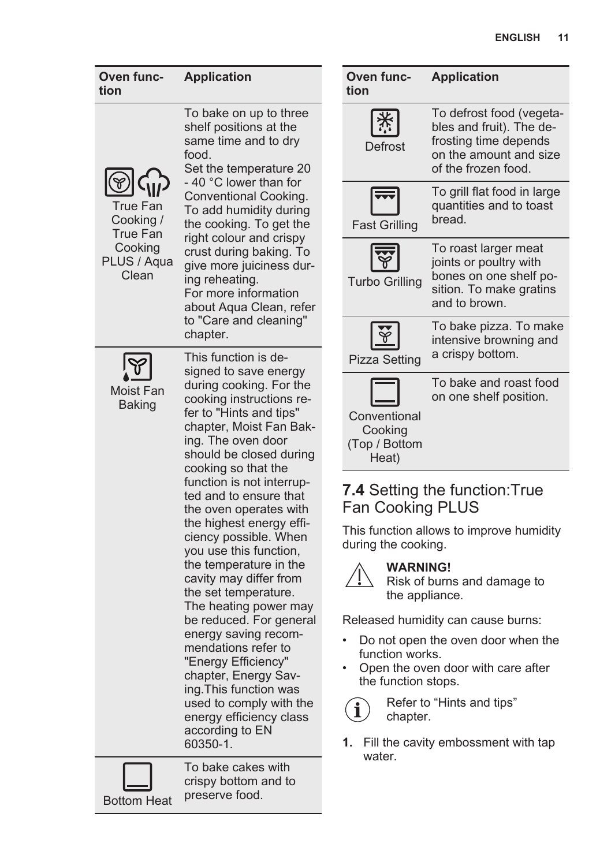| Oven func-<br>tion                                                          | <b>Application</b>                                                                                                                                                                                                                                                                                                                                                                                                                                                                                                                                                                                       | Oven func-<br>tion                                                                                                                                                                                                      |
|-----------------------------------------------------------------------------|----------------------------------------------------------------------------------------------------------------------------------------------------------------------------------------------------------------------------------------------------------------------------------------------------------------------------------------------------------------------------------------------------------------------------------------------------------------------------------------------------------------------------------------------------------------------------------------------------------|-------------------------------------------------------------------------------------------------------------------------------------------------------------------------------------------------------------------------|
|                                                                             | To bake on up to three<br>shelf positions at the<br>same time and to dry<br>food.<br>Set the temperature 20<br>- 40 °C lower than for                                                                                                                                                                                                                                                                                                                                                                                                                                                                    | Defrost                                                                                                                                                                                                                 |
| True Fan<br>Cooking /<br><b>True Fan</b><br>Cooking<br>PLUS / Aqua<br>Clean | Conventional Cooking.<br>To add humidity during<br>the cooking. To get the<br>right colour and crispy<br>crust during baking. To<br>give more juiciness dur-<br>ing reheating.<br>For more information<br>about Aqua Clean, refer<br>to "Care and cleaning"<br>chapter.                                                                                                                                                                                                                                                                                                                                  | Fast Grillin<br><b>Turbo Grillir</b>                                                                                                                                                                                    |
| Moist Fan<br>Baking                                                         | This function is de-<br>signed to save energy<br>during cooking. For the<br>cooking instructions re-<br>fer to "Hints and tips"<br>chapter, Moist Fan Bak-<br>ing. The oven door<br>should be closed during<br>cooking so that the<br>function is not interrup-<br>ted and to ensure that<br>the oven operates with<br>the highest energy effi-<br>ciency possible. When<br>you use this function,<br>the temperature in the<br>cavity may differ from<br>the set temperature.<br>The heating power may<br>be reduced. For general<br>energy saving recom-<br>mendations refer to<br>"Energy Efficiency" | <b>Pizza Settin</b><br>Convention<br>Cooking<br>(Top / Botto<br>Heat)<br>7.4 Setting<br>Fan Cook<br>This function<br>during the co<br>WAF<br><b>Risk</b><br>the a<br>Released hu<br>Do not op<br>function w<br>Open the |
|                                                                             | chapter, Energy Sav-<br>ing. This function was<br>used to comply with the<br>energy efficiency class<br>according to EN<br>60350-1.                                                                                                                                                                                                                                                                                                                                                                                                                                                                      | the functio<br>Refe<br>chap<br>Fill the ca<br>1.                                                                                                                                                                        |

| tion                                              |                                                                                                                                |
|---------------------------------------------------|--------------------------------------------------------------------------------------------------------------------------------|
| Defrost                                           | To defrost food (vegeta-<br>bles and fruit). The de-<br>frosting time depends<br>on the amount and size<br>of the frozen food. |
| <b>Fast Grilling</b>                              | To grill flat food in large<br>quantities and to toast<br>bread.                                                               |
| <b>Turbo Grilling</b>                             | To roast larger meat<br>joints or poultry with<br>bones on one shelf po-<br>sition. To make gratins<br>and to brown.           |
| <b>Pizza Setting</b>                              | To bake pizza. To make<br>intensive browning and<br>a crispy bottom.                                                           |
| Conventional<br>Cooking<br>(Top / Bottom<br>Heat) | To bake and roast food<br>on one shelf position.                                                                               |

**Application**

### *Iting the function:True* oking PLUS

tion allows to improve humidity e cooking.

### **WARNING!**

Risk of burns and damage to he appliance.

I humidity can cause burns:

- t open the oven door when the on works.
- the oven door with care after nction stops.



**1.** Fill the cavity embossment with tap water.

Bottom Heat

To bake cakes with crispy bottom and to preserve food.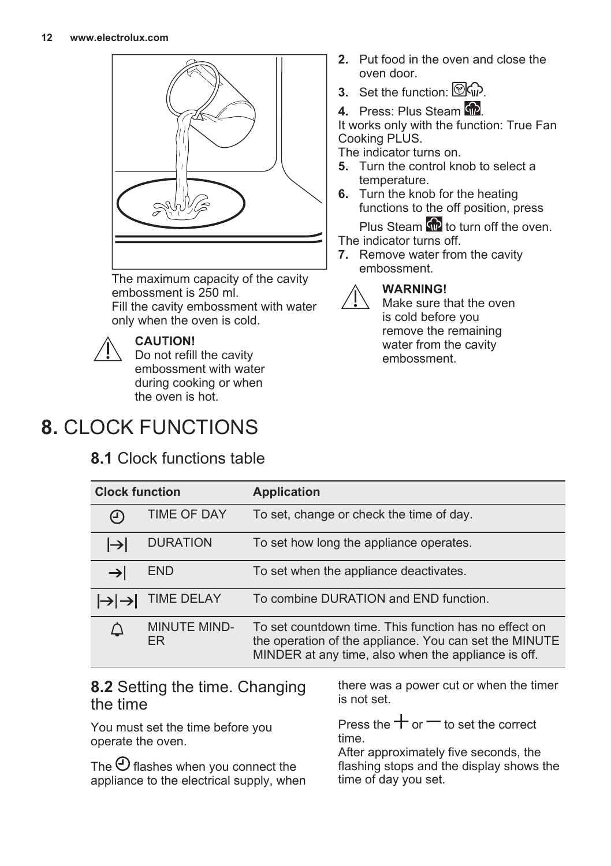<span id="page-11-0"></span>

The maximum capacity of the cavity embossment is 250 ml. Fill the cavity embossment with water only when the oven is cold.



### **CAUTION!**

Do not refill the cavity embossment with water during cooking or when the oven is hot.

# **8.** CLOCK FUNCTIONS

## **8.1** Clock functions table

- **2.** Put food in the oven and close the oven door.
- **3.** Set the function:  $\circled{R}$
- **4.** Press: Plus Steam  $\overline{\mathbf{w}}$

It works only with the function: True Fan Cooking PLUS.

The indicator turns on.

- **5.** Turn the control knob to select a temperature.
- **6.** Turn the knob for the heating functions to the off position, press Plus Steam of to turn off the oven.

The indicator turns off.

**7.** Remove water from the cavity embossment.



### **WARNING!**

Make sure that the oven is cold before you remove the remaining water from the cavity embossment.

| <b>Clock function</b> |                            | <b>Application</b>                                                                                                                                                     |
|-----------------------|----------------------------|------------------------------------------------------------------------------------------------------------------------------------------------------------------------|
| (၂)                   | <b>TIME OF DAY</b>         | To set, change or check the time of day.                                                                                                                               |
| l→l                   | <b>DURATION</b>            | To set how long the appliance operates.                                                                                                                                |
| $\rightarrow$         | <b>END</b>                 | To set when the appliance deactivates.                                                                                                                                 |
|                       | <b>TIME DELAY</b>          | To combine DURATION and END function.                                                                                                                                  |
|                       | <b>MINUTE MIND-</b><br>FR. | To set countdown time. This function has no effect on<br>the operation of the appliance. You can set the MINUTE<br>MINDER at any time, also when the appliance is off. |

### **8.2** Setting the time. Changing the time

You must set the time before you operate the oven.

The  $\Theta$  flashes when you connect the appliance to the electrical supply, when there was a power cut or when the timer is not set.

Press the  $+$  or  $-$  to set the correct time.

After approximately five seconds, the flashing stops and the display shows the time of day you set.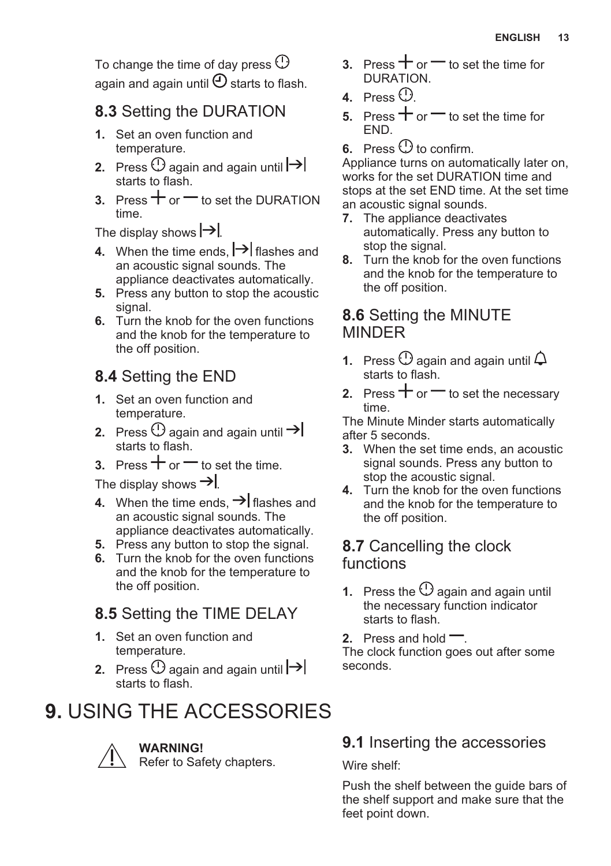<span id="page-12-0"></span>To change the time of day press  $\mathbb O$ again and again until  $\Theta$  starts to flash.

## **8.3** Setting the DURATION

- **1.** Set an oven function and temperature.
- **2.** Press  $\bigcirc$  again and again until  $\biguparrow \biguplus$ starts to flash.
- **3.** Press  $+$  or  $-$  to set the DURATION time.

The display shows  $\rightarrow$ .

- **4.** When the time ends,  $\rightarrow$  flashes and an acoustic signal sounds. The appliance deactivates automatically.
- **5.** Press any button to stop the acoustic signal.
- **6.** Turn the knob for the oven functions and the knob for the temperature to the off position.

## **8.4** Setting the END

- **1.** Set an oven function and temperature.
- **2.** Press  $\cup$  again and again until starts to flash.
- **3.** Press  $+$  or  $-$  to set the time.

The display shows  $\rightarrow$ 

- **4.** When the time ends,  $\rightarrow$  flashes and an acoustic signal sounds. The appliance deactivates automatically.
- **5.** Press any button to stop the signal.
- **6.** Turn the knob for the oven functions and the knob for the temperature to the off position.

## **8.5** Setting the TIME DELAY

- **1.** Set an oven function and temperature.
- **2.** Press  $\bigcirc$  again and again until  $\biguparrow \biguplus$ starts to flash.

# **9.** USING THE ACCESSORIES



**WARNING!**

Refer to Safety chapters.

- **3.** Press  $+$  or  $-$  to set the time for DURATION.
- **4.** Press  $\odot$
- **5.** Press  $+$  or  $-$  to set the time for END.
- **6.** Press  $\bigcirc$  to confirm.

Appliance turns on automatically later on, works for the set DURATION time and stops at the set END time. At the set time an acoustic signal sounds.

- **7.** The appliance deactivates automatically. Press any button to stop the signal.
- **8.** Turn the knob for the oven functions and the knob for the temperature to the off position.

### **8.6** Setting the MINUTE MINDER

- **1.** Press  $\bigcirc$  again and again until  $\bigcirc$ starts to flash.
- **2.** Press  $+$  or  $-$  to set the necessary time.

The Minute Minder starts automatically after 5 seconds.

- **3.** When the set time ends, an acoustic signal sounds. Press any button to stop the acoustic signal.
- **4.** Turn the knob for the oven functions and the knob for the temperature to the off position.

### **8.7** Cancelling the clock functions

- **1.** Press the  $\bigcirc$  again and again until the necessary function indicator starts to flash.
- **2.** Press and hold  $\equiv$ .

The clock function goes out after some seconds.

## **9.1** Inserting the accessories

Wire shelf:

Push the shelf between the guide bars of the shelf support and make sure that the feet point down.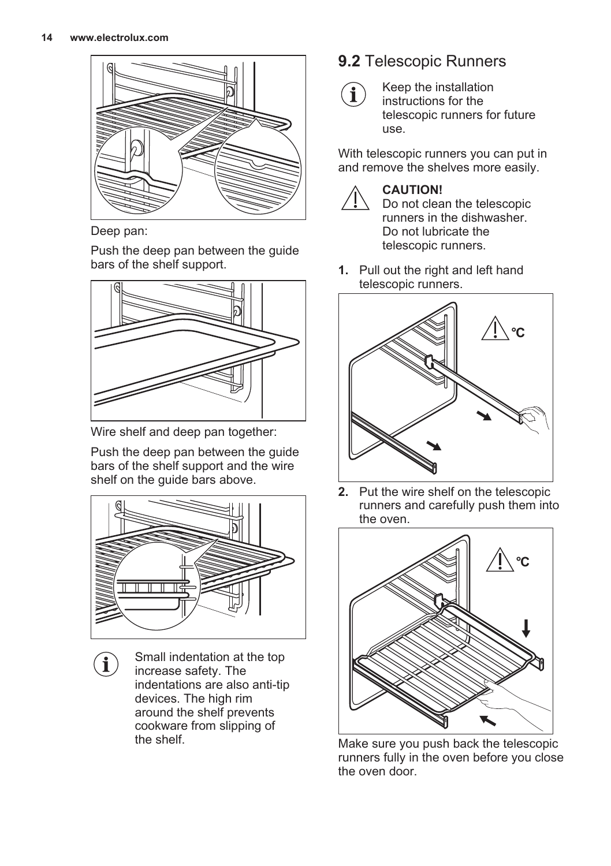

Deep pan:

Ĩ

Push the deep pan between the guide bars of the shelf support.



Wire shelf and deep pan together:

Push the deep pan between the guide bars of the shelf support and the wire shelf on the guide bars above.



Small indentation at the top increase safety. The indentations are also anti-tip devices. The high rim around the shelf prevents cookware from slipping of the shelf.

## **9.2** Telescopic Runners



Keep the installation instructions for the telescopic runners for future use.

With telescopic runners you can put in and remove the shelves more easily.



### **CAUTION!**

Do not clean the telescopic runners in the dishwasher. Do not lubricate the telescopic runners.

**1.** Pull out the right and left hand telescopic runners.



**2.** Put the wire shelf on the telescopic runners and carefully push them into the oven.



Make sure you push back the telescopic runners fully in the oven before you close the oven door.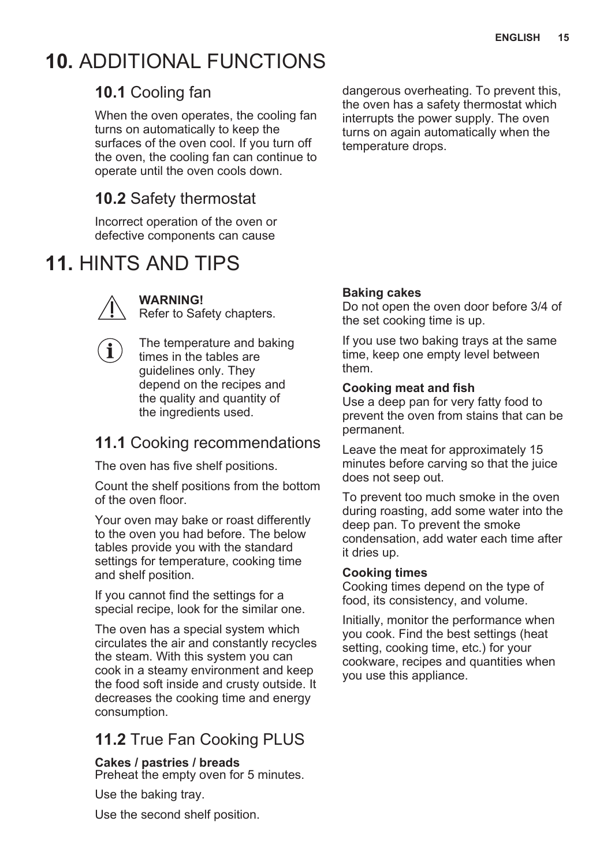# <span id="page-14-0"></span>**10.** ADDITIONAL FUNCTIONS

## **10.1** Cooling fan

When the oven operates, the cooling fan turns on automatically to keep the surfaces of the oven cool. If you turn off the oven, the cooling fan can continue to operate until the oven cools down.

## **10.2** Safety thermostat

Incorrect operation of the oven or defective components can cause

# **11.** HINTS AND TIPS



**WARNING!**

Refer to Safety chapters.

The temperature and baking times in the tables are guidelines only. They depend on the recipes and the quality and quantity of the ingredients used.

## **11.1** Cooking recommendations

The oven has five shelf positions.

Count the shelf positions from the bottom of the oven floor.

Your oven may bake or roast differently to the oven you had before. The below tables provide you with the standard settings for temperature, cooking time and shelf position.

If you cannot find the settings for a special recipe, look for the similar one.

The oven has a special system which circulates the air and constantly recycles the steam. With this system you can cook in a steamy environment and keep the food soft inside and crusty outside. It decreases the cooking time and energy consumption.

## **11.2** True Fan Cooking PLUS

#### **Cakes / pastries / breads** Preheat the empty oven for 5 minutes.

Use the baking tray.

Use the second shelf position.

dangerous overheating. To prevent this, the oven has a safety thermostat which interrupts the power supply. The oven turns on again automatically when the temperature drops.

### **Baking cakes**

Do not open the oven door before 3/4 of the set cooking time is up.

If you use two baking trays at the same time, keep one empty level between them.

### **Cooking meat and fish**

Use a deep pan for very fatty food to prevent the oven from stains that can be permanent.

Leave the meat for approximately 15 minutes before carving so that the juice does not seep out.

To prevent too much smoke in the oven during roasting, add some water into the deep pan. To prevent the smoke condensation, add water each time after it dries up.

### **Cooking times**

Cooking times depend on the type of food, its consistency, and volume.

Initially, monitor the performance when you cook. Find the best settings (heat setting, cooking time, etc.) for your cookware, recipes and quantities when you use this appliance.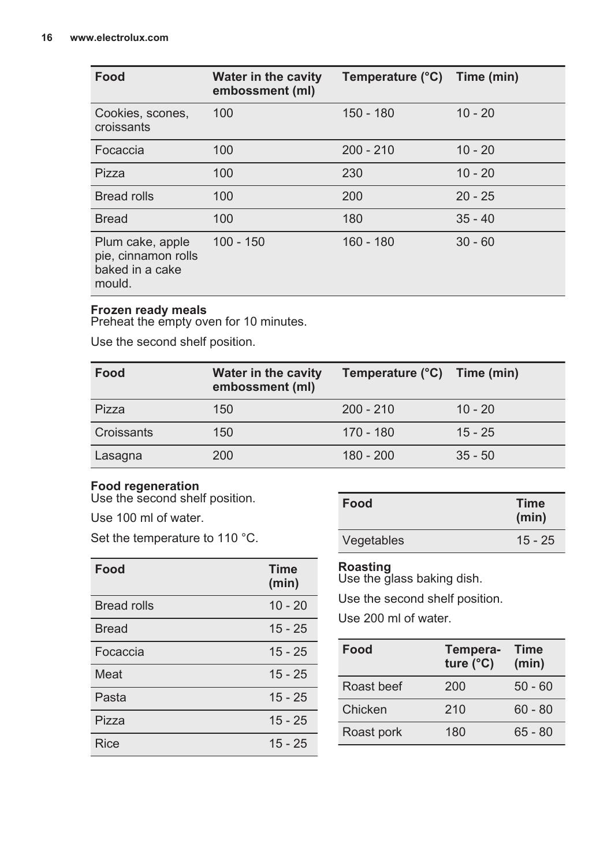| Food                                                                 | <b>Water in the cavity</b><br>embossment (ml) | Temperature (°C) Time (min) |           |
|----------------------------------------------------------------------|-----------------------------------------------|-----------------------------|-----------|
| Cookies, scones,<br>croissants                                       | 100                                           | $150 - 180$                 | $10 - 20$ |
| Focaccia                                                             | 100                                           | $200 - 210$                 | $10 - 20$ |
| Pizza                                                                | 100                                           | 230                         | $10 - 20$ |
| Bread rolls                                                          | 100                                           | 200                         | $20 - 25$ |
| <b>Bread</b>                                                         | 100                                           | 180                         | $35 - 40$ |
| Plum cake, apple<br>pie, cinnamon rolls<br>baked in a cake<br>mould. | $100 - 150$                                   | $160 - 180$                 | $30 - 60$ |

#### **Frozen ready meals**

Preheat the empty oven for 10 minutes.

Use the second shelf position.

| Food       | <b>Water in the cavity</b><br>embossment (ml) | Temperature (°C) Time (min) |           |
|------------|-----------------------------------------------|-----------------------------|-----------|
| Pizza      | 150                                           | $200 - 210$                 | $10 - 20$ |
| Croissants | 150                                           | 170 - 180                   | $15 - 25$ |
| Lasagna    | 200                                           | $180 - 200$                 | $35 - 50$ |

### **Food regeneration**

Use the second shelf position.

Use 100 ml of water.

Set the temperature to 110 °C.

| Food               | <b>Time</b><br>(min) |
|--------------------|----------------------|
| <b>Bread rolls</b> | $10 - 20$            |
| <b>Bread</b>       | $15 - 25$            |
| Focaccia           | $15 - 25$            |
| Meat               | $15 - 25$            |
| Pasta              | $15 - 25$            |
| Pizza              | $15 - 25$            |
| Rice               | $15 - 25$            |

| Food       | <b>Time</b><br>(min) |
|------------|----------------------|
| Vegetables | $15 - 25$            |

#### **Roasting**

Use the glass baking dish.

Use the second shelf position.

Use 200 ml of water.

| Food       | Tempera-<br>ture $(^{\circ}C)$ | <b>Time</b><br>(min) |
|------------|--------------------------------|----------------------|
| Roast beef | 200                            | $50 - 60$            |
| Chicken    | 210                            | $60 - 80$            |
| Roast pork | 180                            | $65 - 80$            |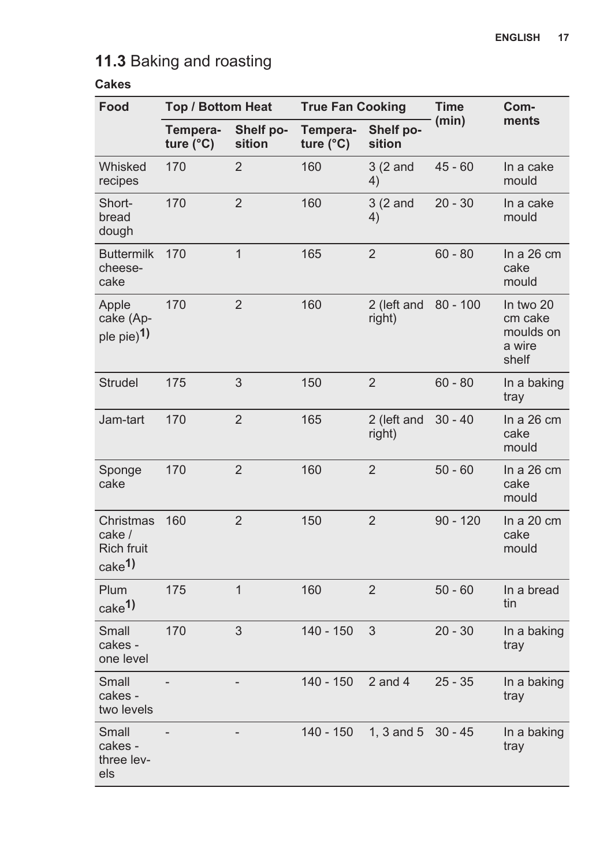## **11.3** Baking and roasting

| Food                                                            | <b>Top / Bottom Heat</b>       |                     | <b>True Fan Cooking</b>        |                       | <b>Time</b> | Com-                                                 |
|-----------------------------------------------------------------|--------------------------------|---------------------|--------------------------------|-----------------------|-------------|------------------------------------------------------|
|                                                                 | Tempera-<br>ture $(^{\circ}C)$ | Shelf po-<br>sition | Tempera-<br>ture $(^{\circ}C)$ | Shelf po-<br>sition   | (min)       | ments                                                |
| Whisked<br>recipes                                              | 170                            | 2                   | 160                            | 3(2 and<br>4)         | $45 - 60$   | In a cake<br>mould                                   |
| Short-<br>bread<br>dough                                        | 170                            | 2                   | 160                            | 3(2 and<br>4)         | $20 - 30$   | In a cake<br>mould                                   |
| <b>Buttermilk</b><br>cheese-<br>cake                            | 170                            | $\mathbf{1}$        | 165                            | 2                     | $60 - 80$   | In a $26 \text{ cm}$<br>cake<br>mould                |
| Apple<br>cake (Ap-<br>ple pie) <sup>1)</sup>                    | 170                            | $\overline{2}$      | 160                            | 2 (left and<br>right) | $80 - 100$  | In two 20<br>cm cake<br>moulds on<br>a wire<br>shelf |
| <b>Strudel</b>                                                  | 175                            | 3                   | 150                            | 2                     | $60 - 80$   | In a baking<br>tray                                  |
| Jam-tart                                                        | 170                            | 2                   | 165                            | 2 (left and<br>right) | $30 - 40$   | In a $26 \text{ cm}$<br>cake<br>mould                |
| Sponge<br>cake                                                  | 170                            | $\overline{2}$      | 160                            | $\overline{2}$        | $50 - 60$   | In a $26 \text{ cm}$<br>cake<br>mould                |
| Christmas<br>cake /<br><b>Rich fruit</b><br>cake <sup>1</sup> ) | 160                            | $\overline{2}$      | 150                            | $\overline{2}$        | $90 - 120$  | In a $20 \text{ cm}$<br>cake<br>mould                |
| Plum<br>cake <sup>1)</sup>                                      | 175                            | $\mathbf{1}$        | 160                            | $\overline{2}$        | $50 - 60$   | In a bread<br>tin                                    |
| Small<br>cakes -<br>one level                                   | 170                            | 3                   | $140 - 150$                    | 3                     | $20 - 30$   | In a baking<br>tray                                  |
| Small<br>cakes -<br>two levels                                  |                                | $\overline{a}$      | 140 - 150                      | $2$ and $4$           | $25 - 35$   | In a baking<br>tray                                  |
| Small<br>cakes -<br>three lev-<br>els                           |                                |                     | 140 - 150                      | $1, 3$ and $5$        | $30 - 45$   | In a baking<br>tray                                  |

### **Cakes**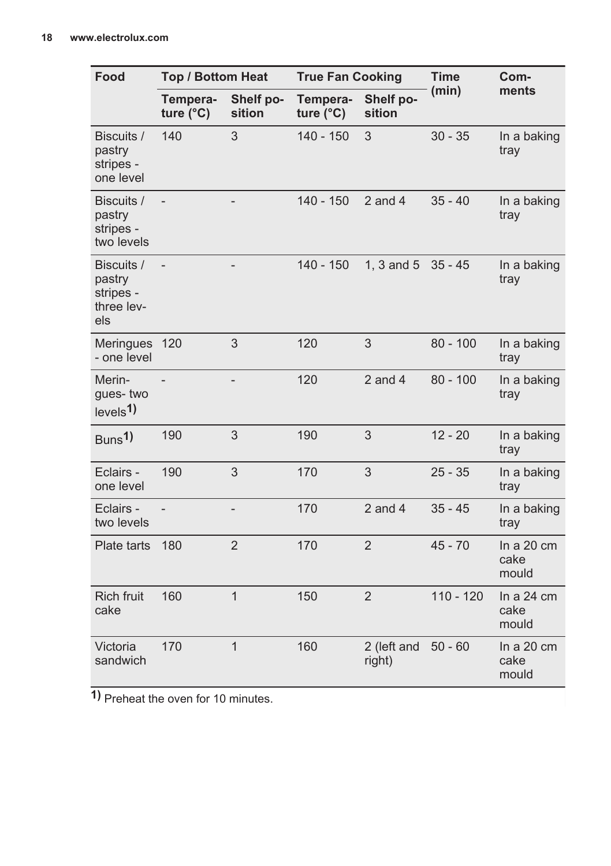| Food                                                   | <b>Top / Bottom Heat</b>       |                     | <b>True Fan Cooking</b>        |                       | <b>Time</b> | Com-                                  |
|--------------------------------------------------------|--------------------------------|---------------------|--------------------------------|-----------------------|-------------|---------------------------------------|
|                                                        | Tempera-<br>ture $(^{\circ}C)$ | Shelf po-<br>sition | Tempera-<br>ture $(^{\circ}C)$ | Shelf po-<br>sition   | (min)       | ments                                 |
| Biscuits /<br>pastry<br>stripes -<br>one level         | 140                            | 3                   | $140 - 150$                    | 3                     | $30 - 35$   | In a baking<br>tray                   |
| Biscuits /<br>pastry<br>stripes -<br>two levels        |                                |                     | 140 - 150                      | $2$ and $4$           | $35 - 40$   | In a baking<br>tray                   |
| Biscuits /<br>pastry<br>stripes -<br>three lev-<br>els | $\overline{a}$                 |                     | $140 - 150$                    | 1. $3$ and $5$        | $35 - 45$   | In a baking<br>tray                   |
| <b>Meringues</b><br>- one level                        | 120                            | 3                   | 120                            | 3                     | $80 - 100$  | In a baking<br>tray                   |
| Merin-<br>gues-two<br>levels <sup>1</sup>              |                                |                     | 120                            | $2$ and $4$           | $80 - 100$  | In a baking<br>tray                   |
| Buns <sup>1</sup> )                                    | 190                            | 3                   | 190                            | 3                     | $12 - 20$   | In a baking<br>tray                   |
| Eclairs -<br>one level                                 | 190                            | 3                   | 170                            | 3                     | $25 - 35$   | In a baking<br>tray                   |
| Eclairs -<br>two levels                                | $\overline{a}$                 | $\qquad \qquad -$   | 170                            | $2$ and $4$           | $35 - 45$   | In a baking<br>tray                   |
| Plate tarts                                            | 180                            | $\overline{2}$      | 170                            | $\overline{2}$        | $45 - 70$   | In a $20 \text{ cm}$<br>cake<br>mould |
| <b>Rich fruit</b><br>cake                              | 160                            | $\overline{1}$      | 150                            | $\overline{2}$        | $110 - 120$ | In a $24 \text{ cm}$<br>cake<br>mould |
| Victoria<br>sandwich                                   | 170                            | $\mathbf{1}$        | 160                            | 2 (left and<br>right) | $50 - 60$   | In a $20 \text{ cm}$<br>cake<br>mould |

**1)** Preheat the oven for 10 minutes.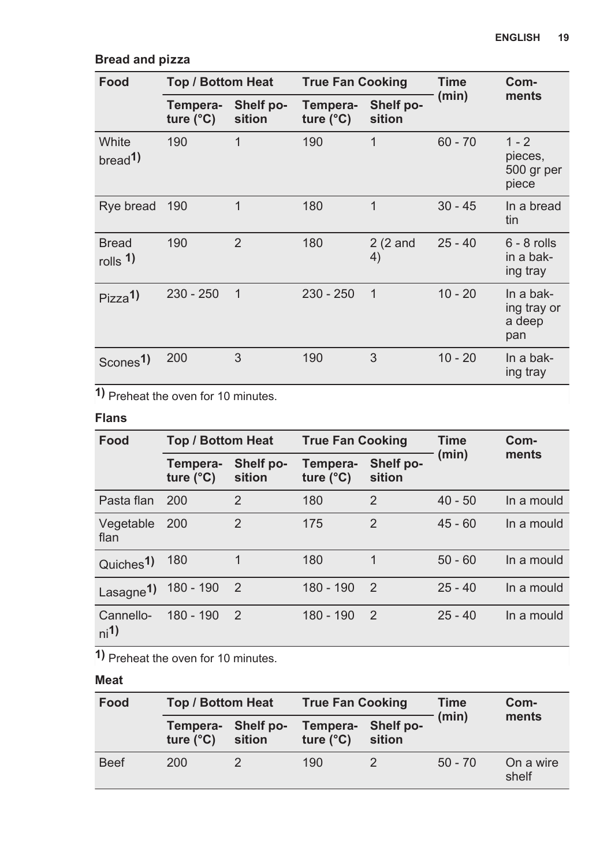| Food                                  | Top / Bottom Heat              |                     | <b>True Fan Cooking</b>        |                     | Time      | Com-                                      |
|---------------------------------------|--------------------------------|---------------------|--------------------------------|---------------------|-----------|-------------------------------------------|
|                                       | Tempera-<br>ture $(^{\circ}C)$ | Shelf po-<br>sition | Tempera-<br>ture $(^{\circ}C)$ | Shelf po-<br>sition | (min)     | ments                                     |
| White<br>bread <sup>1</sup>           | 190                            | 1                   | 190                            | 1                   | $60 - 70$ | $1 - 2$<br>pieces,<br>500 gr per<br>piece |
| Rye bread                             | 190                            | 1                   | 180                            | 1                   | $30 - 45$ | In a bread<br>tin                         |
| <b>Bread</b><br>$rolls$ <sup>1)</sup> | 190                            | $\overline{2}$      | 180                            | $2(2)$ and<br>4)    | $25 - 40$ | $6 - 8$ rolls<br>in a bak-<br>ing tray    |
| Pizza <sup>1</sup>                    | $230 - 250$                    | $\mathbf{1}$        | $230 - 250$                    | $\mathbf{1}$        | $10 - 20$ | In a bak-<br>ing tray or<br>a deep<br>pan |
| Scones <sup>1</sup> )                 | 200                            | 3                   | 190                            | 3                   | $10 - 20$ | In a bak-<br>ing tray                     |

### **Bread and pizza**

**1)** Preheat the oven for 10 minutes.

### **Flans**

| Food                       | <b>Top / Bottom Heat</b>       |                     | <b>True Fan Cooking</b>        |                     | Time      | Com-       |
|----------------------------|--------------------------------|---------------------|--------------------------------|---------------------|-----------|------------|
|                            | Tempera-<br>ture $(^{\circ}C)$ | Shelf po-<br>sition | Tempera-<br>ture $(^{\circ}C)$ | Shelf po-<br>sition | (min)     | ments      |
| Pasta flan                 | 200                            | $\overline{2}$      | 180                            | $\overline{2}$      | $40 - 50$ | In a mould |
| Vegetable<br>flan          | 200                            | $\mathfrak{p}$      | 175                            | $\mathfrak{p}$      | $45 - 60$ | In a mould |
| Quiches <sup>1</sup>       | 180                            | 1                   | 180                            | 1                   | $50 - 60$ | In a mould |
| Lasagne <sup>1</sup> )     | 180 - 190                      | $\mathcal{P}$       | 180 - 190                      | $\mathcal{P}$       | $25 - 40$ | In a mould |
| Cannello-<br>$\frac{1}{1}$ | 180 - 190                      | $\overline{2}$      | 180 - 190                      | $\mathcal{P}$       | $25 - 40$ | In a mould |

**1)** Preheat the oven for 10 minutes.

### **Meat**

| Food        | <b>Top / Bottom Heat</b>                 |        | <b>True Fan Cooking</b>        |                     | Time      | Com-               |
|-------------|------------------------------------------|--------|--------------------------------|---------------------|-----------|--------------------|
|             | Tempera- Shelf po-<br>ture $(^{\circ}C)$ | sition | Tempera-<br>ture $(^{\circ}C)$ | Shelf po-<br>sition | (min)     | ments              |
| <b>Beef</b> | 200                                      |        | 190                            |                     | $50 - 70$ | On a wire<br>shelf |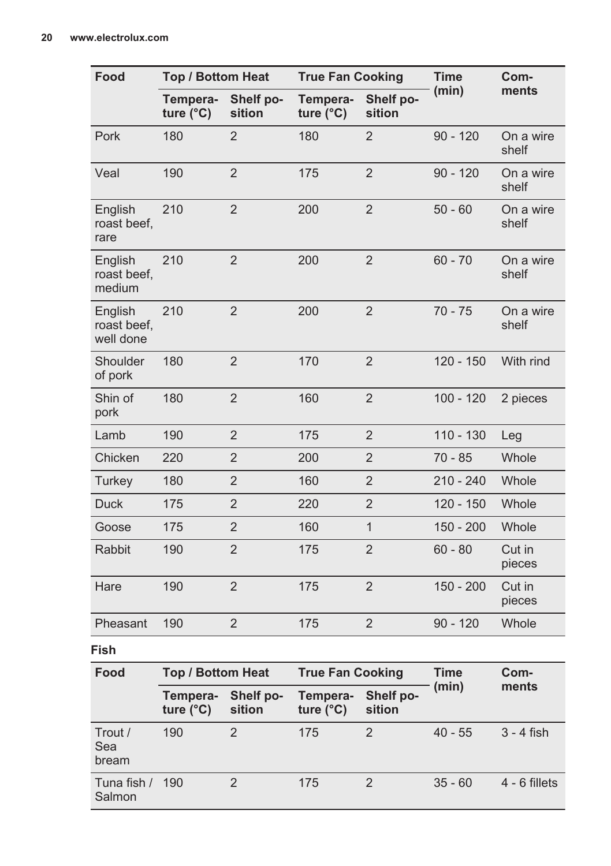| Food                                | Top / Bottom Heat              |                     | <b>True Fan Cooking</b>        |                     | <b>Time</b> | Com-               |
|-------------------------------------|--------------------------------|---------------------|--------------------------------|---------------------|-------------|--------------------|
|                                     | Tempera-<br>ture $(^{\circ}C)$ | Shelf po-<br>sition | Tempera-<br>ture $(^{\circ}C)$ | Shelf po-<br>sition | (min)       | ments              |
| Pork                                | 180                            | $\overline{2}$      | 180                            | $\overline{2}$      | $90 - 120$  | On a wire<br>shelf |
| Veal                                | 190                            | $\overline{2}$      | 175                            | $\overline{2}$      | $90 - 120$  | On a wire<br>shelf |
| English<br>roast beef.<br>rare      | 210                            | $\overline{2}$      | 200                            | $\overline{2}$      | $50 - 60$   | On a wire<br>shelf |
| English<br>roast beef.<br>medium    | 210                            | $\overline{2}$      | 200                            | $\overline{2}$      | $60 - 70$   | On a wire<br>shelf |
| English<br>roast beef,<br>well done | 210                            | $\overline{2}$      | 200                            | $\overline{2}$      | $70 - 75$   | On a wire<br>shelf |
| Shoulder<br>of pork                 | 180                            | $\overline{2}$      | 170                            | $\overline{2}$      | $120 - 150$ | With rind          |
| Shin of<br>pork                     | 180                            | $\overline{2}$      | 160                            | $\overline{2}$      | $100 - 120$ | 2 pieces           |
| Lamb                                | 190                            | $\overline{2}$      | 175                            | $\overline{2}$      | $110 - 130$ | Leg                |
| Chicken                             | 220                            | $\overline{2}$      | 200                            | $\overline{2}$      | 70 - 85     | Whole              |
| Turkey                              | 180                            | $\overline{2}$      | 160                            | $\overline{2}$      | $210 - 240$ | Whole              |
| <b>Duck</b>                         | 175                            | $\overline{2}$      | 220                            | $\overline{2}$      | $120 - 150$ | Whole              |
| Goose                               | 175                            | $\overline{2}$      | 160                            | $\mathbf{1}$        | 150 - 200   | Whole              |
| Rabbit                              | 190                            | $\overline{2}$      | 175                            | $\overline{2}$      | $60 - 80$   | Cut in<br>pieces   |
| Hare                                | 190                            | $\overline{2}$      | 175                            | $\overline{2}$      | $150 - 200$ | Cut in<br>pieces   |
| Pheasant                            | 190                            | $\overline{2}$      | 175                            | $\overline{2}$      | $90 - 120$  | Whole              |
| Fish                                |                                |                     |                                |                     |             |                    |
| Food                                | <b>Top / Bottom Heat</b>       |                     | <b>True Fan Cooking</b>        |                     | <b>Time</b> | Com-               |
|                                     | Tempera-                       | Shelf po-           | Tempera-                       | Shelf po-           | (min)       | ments              |

|                           | . _                            |                     |                                |                     |           | -----           |  |
|---------------------------|--------------------------------|---------------------|--------------------------------|---------------------|-----------|-----------------|--|
|                           | Tempera-<br>ture $(^{\circ}C)$ | Shelf po-<br>sition | Tempera-<br>ture $(^{\circ}C)$ | Shelf po-<br>sition | (min)     | ments           |  |
| Trout /<br>Sea<br>bream   | 190                            |                     | 175                            |                     | $40 - 55$ | 3 - 4 fish      |  |
| Tuna fish / 190<br>Salmon |                                |                     | 175                            |                     | $35 - 60$ | $4 - 6$ fillets |  |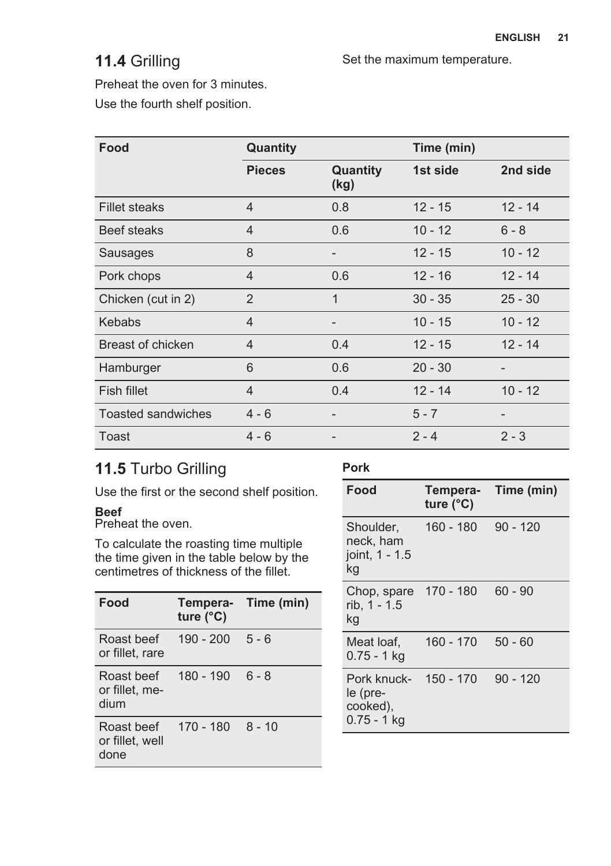## **11.4** Grilling

Set the maximum temperature.

Preheat the oven for 3 minutes.

Use the fourth shelf position.

| Food                      | Quantity       |                   | Time (min) |           |
|---------------------------|----------------|-------------------|------------|-----------|
|                           | <b>Pieces</b>  | Quantity<br>(kg)  | 1st side   | 2nd side  |
| <b>Fillet steaks</b>      | $\overline{4}$ | 0.8               | $12 - 15$  | $12 - 14$ |
| Beef steaks               | $\overline{4}$ | 0.6               | $10 - 12$  | $6 - 8$   |
| Sausages                  | 8              | $\qquad \qquad -$ | $12 - 15$  | $10 - 12$ |
| Pork chops                | $\overline{4}$ | 0.6               | $12 - 16$  | $12 - 14$ |
| Chicken (cut in 2)        | 2              | 1                 | $30 - 35$  | $25 - 30$ |
| <b>Kebabs</b>             | $\overline{4}$ |                   | $10 - 15$  | $10 - 12$ |
| Breast of chicken         | $\overline{4}$ | 0.4               | $12 - 15$  | $12 - 14$ |
| Hamburger                 | 6              | 0.6               | $20 - 30$  |           |
| Fish fillet               | $\overline{4}$ | 0.4               | $12 - 14$  | $10 - 12$ |
| <b>Toasted sandwiches</b> | $4 - 6$        |                   | $5 - 7$    |           |
| Toast                     | $4 - 6$        |                   | $2 - 4$    | $2 - 3$   |

## **11.5** Turbo Grilling

Use the first or the second shelf position.

### **Beef**

Preheat the oven.

To calculate the roasting time multiple the time given in the table below by the centimetres of thickness of the fillet.

| Food                                  | Tempera- Time (min)<br>ture $(^{\circ}C)$ |          |
|---------------------------------------|-------------------------------------------|----------|
| Roast beef<br>or fillet, rare         | 190 - 200                                 | $5 - 6$  |
| Roast beef<br>or fillet. me-<br>dium  | 180 - 190                                 | $6 - 8$  |
| Roast beef<br>or fillet, well<br>done | $170 - 180$                               | $8 - 10$ |

### **Pork**

| Food                                                 | Tempera-<br>ture $(^{\circ}C)$ | Time (min) |
|------------------------------------------------------|--------------------------------|------------|
| Shoulder.<br>neck, ham<br>joint, 1 - 1.5<br>kg       | 160 - 180                      | $90 - 120$ |
| Chop, spare<br>rib, 1 - 1.5<br>kg                    | 170 - 180                      | $60 - 90$  |
| Meat loaf,<br>0.75 - 1 kg                            | $160 - 170$                    | $50 - 60$  |
| Pork knuck-<br>le (pre-<br>cooked),<br>$0.75 - 1$ kg | 150 - 170                      | $90 - 120$ |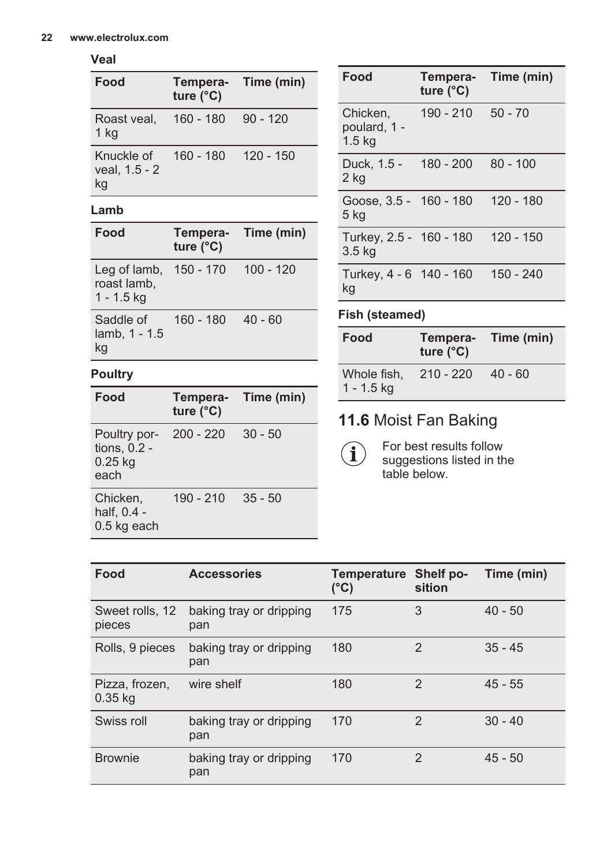### **Veal**

| Food                                   | Tempera- Time (min)<br>ture $(^{\circ}C)$ |             |
|----------------------------------------|-------------------------------------------|-------------|
| Roast veal, 160 - 180 90 - 120<br>1 kg |                                           |             |
| Knuckle of<br>veal, 1.5 - 2<br>kg      | 160 - 180                                 | $120 - 150$ |

### **Lamb**

| Food                                                  | Tempera- Time (min)<br>ture $(^{\circ}C)$ |             |
|-------------------------------------------------------|-------------------------------------------|-------------|
| Leg of lamb, 150 - 170<br>roast lamb,<br>$1 - 1.5$ kg |                                           | $100 - 120$ |
| Saddle of<br>lamb, 1 - 1.5<br>kg                      | 160 - 180                                 | - 40 - 60   |

### **Poultry**

| Food                                              | Tempera-<br>ture $(^{\circ}C)$ | Time (min) |
|---------------------------------------------------|--------------------------------|------------|
| Poultry por-<br>tions, 0.2 -<br>$0.25$ kg<br>each | $200 - 220$                    | $30 - 50$  |
| Chicken,<br>half, 0.4 -<br>0.5 kg each            | 190 - 210                      | $35 - 50$  |

| Food                                         | ture $(^{\circ}C)$  | Tempera- Time (min) |
|----------------------------------------------|---------------------|---------------------|
| Chicken,<br>poulard, 1 -<br>$1.5$ kg         | $190 - 210$ 50 - 70 |                     |
| Duck, 1.5 - 180 - 200<br>2 kg                |                     | $80 - 100$          |
| Goose, 3.5 - 160 - 180<br>5 kg               |                     | 120 - 180           |
| Turkey, 2.5 - 160 - 180<br>3.5 <sub>kg</sub> |                     | 120 - 150           |
| Turkey, 4 - 6 140 - 160<br>kg                |                     | $150 - 240$         |

### **Fish (steamed)**

 $\left( \mathbf{i} \right)$ 

| Food                        | Tempera-<br>ture $(^{\circ}C)$ | Time (min) |
|-----------------------------|--------------------------------|------------|
| Whole fish,<br>$1 - 1.5$ kg | $210 - 220$                    | $40 - 60$  |

## **11.6** Moist Fan Baking

For best results follow suggestions listed in the table below.

| Food                        | <b>Accessories</b>             | <b>Temperature</b><br>$(^{\circ}C)$ | Shelf po-<br>sition | Time (min) |
|-----------------------------|--------------------------------|-------------------------------------|---------------------|------------|
| Sweet rolls, 12<br>pieces   | baking tray or dripping<br>pan | 175                                 | 3                   | $40 - 50$  |
| Rolls, 9 pieces             | baking tray or dripping<br>pan | 180                                 | $\mathfrak{p}$      | $35 - 45$  |
| Pizza, frozen,<br>$0.35$ kg | wire shelf                     | 180                                 | $\mathfrak{p}$      | $45 - 55$  |
| Swiss roll                  | baking tray or dripping<br>pan | 170                                 | $\mathfrak{p}$      | $30 - 40$  |
| <b>Brownie</b>              | baking tray or dripping<br>pan | 170                                 | $\mathfrak{p}$      | $45 - 50$  |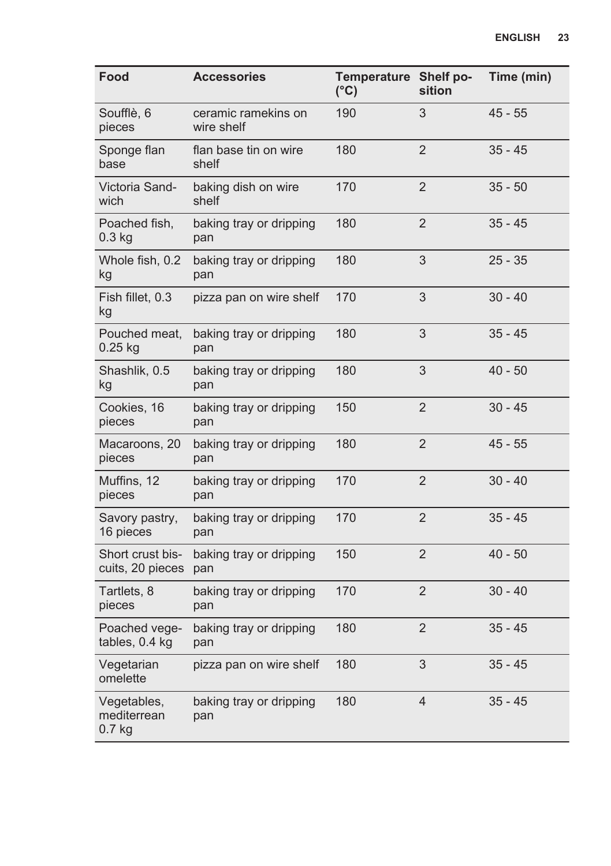| Food                                 | <b>Accessories</b>                | Temperature Shelf po-<br>(°C) | sition         | Time (min) |
|--------------------------------------|-----------------------------------|-------------------------------|----------------|------------|
| Soufflè, 6<br>pieces                 | ceramic ramekins on<br>wire shelf | 190                           | 3              | $45 - 55$  |
| Sponge flan<br>base                  | flan base tin on wire<br>shelf    | 180                           | $\overline{2}$ | $35 - 45$  |
| Victoria Sand-<br>wich               | baking dish on wire<br>shelf      | 170                           | $\overline{2}$ | $35 - 50$  |
| Poached fish,<br>$0.3$ kg            | baking tray or dripping<br>pan    | 180                           | $\overline{2}$ | $35 - 45$  |
| Whole fish, 0.2<br>kg                | baking tray or dripping<br>pan    | 180                           | 3              | $25 - 35$  |
| Fish fillet, 0.3<br>kg               | pizza pan on wire shelf           | 170                           | 3              | $30 - 40$  |
| Pouched meat,<br>$0.25$ kg           | baking tray or dripping<br>pan    | 180                           | 3              | $35 - 45$  |
| Shashlik, 0.5<br>kg                  | baking tray or dripping<br>pan    | 180                           | 3              | $40 - 50$  |
| Cookies, 16<br>pieces                | baking tray or dripping<br>pan    | 150                           | 2              | $30 - 45$  |
| Macaroons, 20<br>pieces              | baking tray or dripping<br>pan    | 180                           | $\overline{2}$ | $45 - 55$  |
| Muffins, 12<br>pieces                | baking tray or dripping<br>pan    | 170                           | 2              | $30 - 40$  |
| Savory pastry,<br>16 pieces          | baking tray or dripping<br>pan    | 170                           | 2              | $35 - 45$  |
| Short crust bis-<br>cuits, 20 pieces | baking tray or dripping<br>pan    | 150                           | $\overline{2}$ | $40 - 50$  |
| Tartlets, 8<br>pieces                | baking tray or dripping<br>pan    | 170                           | $\overline{2}$ | $30 - 40$  |
| Poached vege-<br>tables, 0.4 kg      | baking tray or dripping<br>pan    | 180                           | 2              | $35 - 45$  |
| Vegetarian<br>omelette               | pizza pan on wire shelf           | 180                           | 3              | $35 - 45$  |
| Vegetables,<br>mediterrean<br>0.7 kg | baking tray or dripping<br>pan    | 180                           | $\overline{4}$ | $35 - 45$  |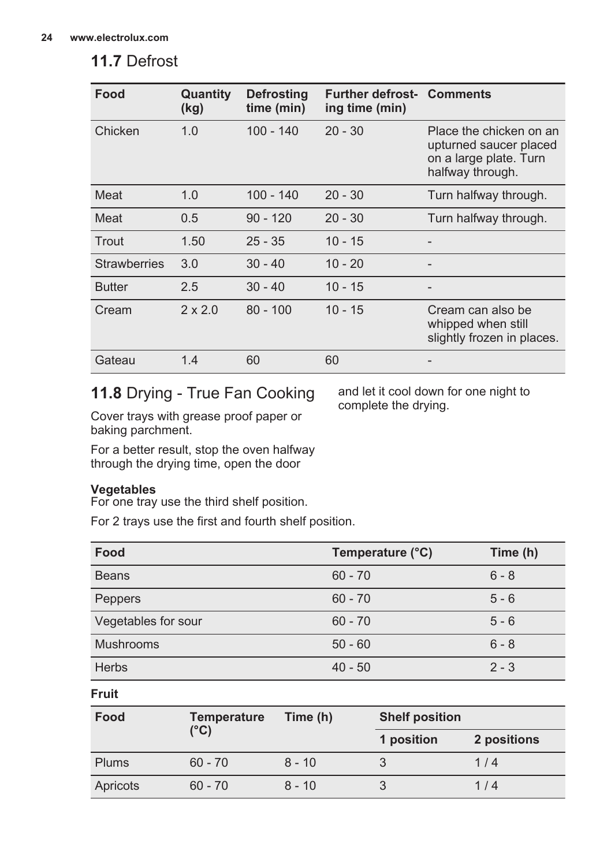## **11.7** Defrost

| Food                | Quantity<br>(kg) | <b>Defrosting</b><br>time (min) | <b>Further defrost- Comments</b><br>ing time (min) |                                                                                                 |
|---------------------|------------------|---------------------------------|----------------------------------------------------|-------------------------------------------------------------------------------------------------|
| Chicken             | 1.0              | $100 - 140$                     | $20 - 30$                                          | Place the chicken on an<br>upturned saucer placed<br>on a large plate. Turn<br>halfway through. |
| Meat                | 1.0              | $100 - 140$                     | $20 - 30$                                          | Turn halfway through.                                                                           |
| Meat                | 0.5              | $90 - 120$                      | $20 - 30$                                          | Turn halfway through.                                                                           |
| Trout               | 1.50             | $25 - 35$                       | $10 - 15$                                          |                                                                                                 |
| <b>Strawberries</b> | 3.0              | $30 - 40$                       | $10 - 20$                                          |                                                                                                 |
| <b>Butter</b>       | 2.5              | $30 - 40$                       | $10 - 15$                                          | -                                                                                               |
| Cream               | $2 \times 2.0$   | $80 - 100$                      | $10 - 15$                                          | Cream can also be<br>whipped when still<br>slightly frozen in places.                           |
| Gateau              | 1.4              | 60                              | 60                                                 |                                                                                                 |

## **11.8** Drying - True Fan Cooking

and let it cool down for one night to complete the drying.

Cover trays with grease proof paper or baking parchment.

For a better result, stop the oven halfway through the drying time, open the door

### **Vegetables**

For one tray use the third shelf position.

For 2 trays use the first and fourth shelf position.

| Food                | Temperature (°C) | Time (h) |
|---------------------|------------------|----------|
| <b>Beans</b>        | $60 - 70$        | $6 - 8$  |
| Peppers             | $60 - 70$        | $5 - 6$  |
| Vegetables for sour | $60 - 70$        | $5 - 6$  |
| <b>Mushrooms</b>    | $50 - 60$        | $6 - 8$  |
| <b>Herbs</b>        | $40 - 50$        | $2 - 3$  |

**Fruit**

| Food<br><b>Temperature</b><br>Time (h) |           |          | <b>Shelf position</b> |             |
|----------------------------------------|-----------|----------|-----------------------|-------------|
|                                        | (°C)      |          | 1 position            | 2 positions |
| <b>Plums</b>                           | $60 - 70$ | $8 - 10$ |                       | 1/4         |
| Apricots                               | $60 - 70$ | $8 - 10$ |                       | 1/4         |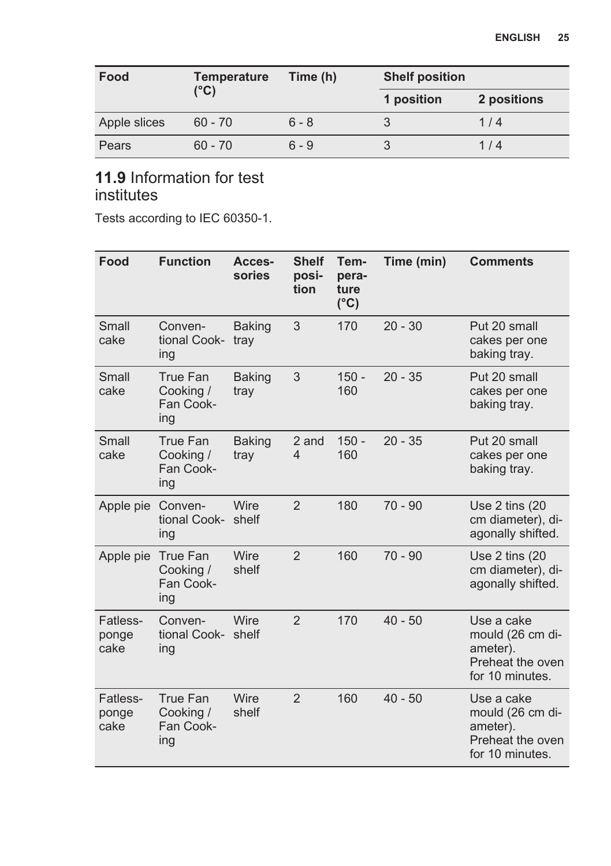| Food         | <b>Temperature</b><br>(°C) | Time (h) | <b>Shelf position</b> |             |
|--------------|----------------------------|----------|-----------------------|-------------|
|              |                            |          | 1 position            | 2 positions |
| Apple slices | $60 - 70$                  | $6 - 8$  |                       | 1/4         |
| Pears        | $60 - 70$                  | $6 - 9$  |                       | 1/4         |

## **11.9** Information for test institutes

Tests according to IEC 60350-1.

| Food                      | <b>Function</b>                           | Acces-<br>sories      | <b>Shelf</b><br>posi-<br>tion     | Tem-<br>pera-<br>ture<br>$(^{\circ}C)$ | Time (min) | <b>Comments</b>                                                                   |
|---------------------------|-------------------------------------------|-----------------------|-----------------------------------|----------------------------------------|------------|-----------------------------------------------------------------------------------|
| Small<br>cake             | Conven-<br>tional Cook-<br>ing            | <b>Baking</b><br>tray | 3                                 | 170                                    | $20 - 30$  | Put 20 small<br>cakes per one<br>baking tray.                                     |
| Small<br>cake             | True Fan<br>Cooking /<br>Fan Cook-<br>ing | <b>Baking</b><br>tray | 3                                 | $150 -$<br>160                         | $20 - 35$  | Put 20 small<br>cakes per one<br>baking tray.                                     |
| Small<br>cake             | True Fan<br>Cooking /<br>Fan Cook-<br>ing | <b>Baking</b><br>tray | 2 and<br>$\overline{\mathcal{L}}$ | $150 -$<br>160                         | $20 - 35$  | Put 20 small<br>cakes per one<br>baking tray.                                     |
| Apple pie                 | Conven-<br>tional Cook-<br>ing            | Wire<br>shelf         | $\overline{2}$                    | 180                                    | $70 - 90$  | Use $2 \text{ tins}$ (20<br>cm diameter), di-<br>agonally shifted.                |
| Apple pie                 | True Fan<br>Cooking /<br>Fan Cook-<br>ing | Wire<br>shelf         | $\overline{2}$                    | 160                                    | $70 - 90$  | Use $2 \text{ tins}$ (20<br>cm diameter), di-<br>agonally shifted.                |
| Fatless-<br>ponge<br>cake | Conven-<br>tional Cook-<br>ing            | Wire<br>shelf         | $\overline{2}$                    | 170                                    | $40 - 50$  | Use a cake<br>mould (26 cm di-<br>ameter).<br>Preheat the oven<br>for 10 minutes. |
| Fatless-<br>ponge<br>cake | True Fan<br>Cooking /<br>Fan Cook-<br>ing | Wire<br>shelf         | $\overline{2}$                    | 160                                    | $40 - 50$  | Use a cake<br>mould (26 cm di-<br>ameter).<br>Preheat the oven<br>for 10 minutes. |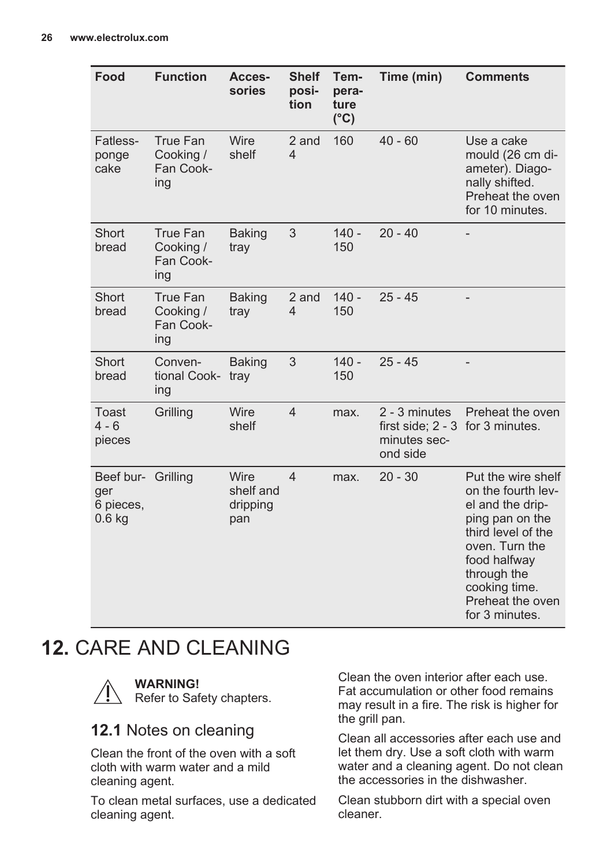<span id="page-25-0"></span>

| Food                                               | <b>Function</b>                           | Acces-<br>sories                     | <b>Shelf</b><br>posi-<br>tion | Tem-<br>pera-<br>ture<br>$(^{\circ}C)$ | Time (min)                                                                    | <b>Comments</b>                                                                                                                                                                                               |
|----------------------------------------------------|-------------------------------------------|--------------------------------------|-------------------------------|----------------------------------------|-------------------------------------------------------------------------------|---------------------------------------------------------------------------------------------------------------------------------------------------------------------------------------------------------------|
| Fatless-<br>ponge<br>cake                          | True Fan<br>Cooking /<br>Fan Cook-<br>ing | Wire<br>shelf                        | 2 and<br>$\overline{4}$       | 160                                    | $40 - 60$                                                                     | Use a cake<br>mould (26 cm di-<br>ameter). Diago-<br>nally shifted.<br>Preheat the oven<br>for 10 minutes.                                                                                                    |
| Short<br>bread                                     | True Fan<br>Cooking /<br>Fan Cook-<br>ing | <b>Baking</b><br>tray                | 3                             | $140 -$<br>150                         | $20 - 40$                                                                     | $\overline{\phantom{0}}$                                                                                                                                                                                      |
| Short<br>bread                                     | True Fan<br>Cooking /<br>Fan Cook-<br>ing | <b>Baking</b><br>tray                | 2 and<br>4                    | $140 -$<br>150                         | $25 - 45$                                                                     |                                                                                                                                                                                                               |
| Short<br>bread                                     | Conven-<br>tional Cook-<br>ing            | <b>Baking</b><br>tray                | 3                             | $140 -$<br>150                         | $25 - 45$                                                                     |                                                                                                                                                                                                               |
| Toast<br>$4 - 6$<br>pieces                         | Grilling                                  | Wire<br>shelf                        | $\overline{4}$                | max.                                   | 2 - 3 minutes<br>first side: 2 - 3 for 3 minutes.<br>minutes sec-<br>ond side | Preheat the oven                                                                                                                                                                                              |
| Beef bur- Grilling<br>ger<br>6 pieces,<br>$0.6$ kg |                                           | Wire<br>shelf and<br>dripping<br>pan | $\overline{4}$                | max.                                   | $20 - 30$                                                                     | Put the wire shelf<br>on the fourth lev-<br>el and the drip-<br>ping pan on the<br>third level of the<br>oven. Turn the<br>food halfway<br>through the<br>cooking time.<br>Preheat the oven<br>for 3 minutes. |

# **12.** CARE AND CLEANING



**WARNING!** Refer to Safety chapters.

## **12.1** Notes on cleaning

Clean the front of the oven with a soft cloth with warm water and a mild cleaning agent.

To clean metal surfaces, use a dedicated cleaning agent.

Clean the oven interior after each use. Fat accumulation or other food remains may result in a fire. The risk is higher for the grill pan.

Clean all accessories after each use and let them dry. Use a soft cloth with warm water and a cleaning agent. Do not clean the accessories in the dishwasher.

Clean stubborn dirt with a special oven cleaner.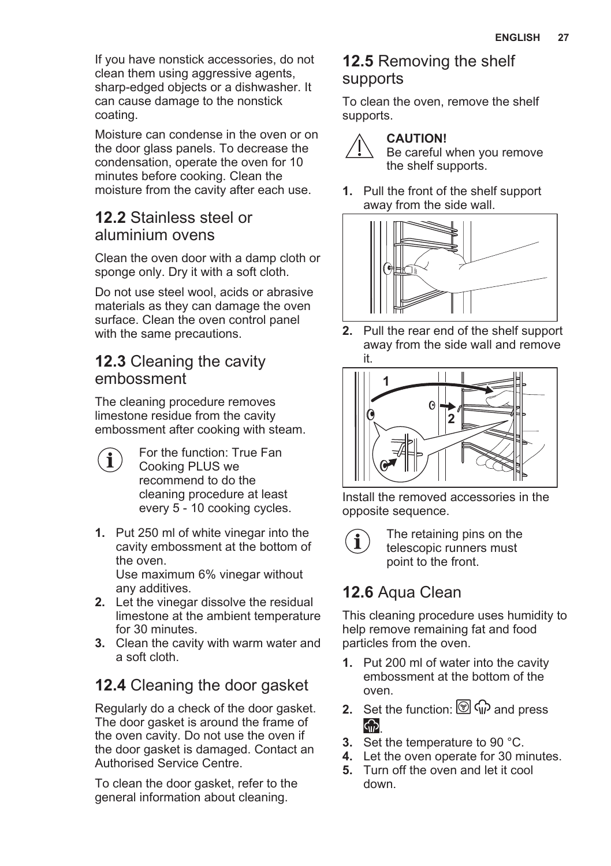If you have nonstick accessories, do not clean them using aggressive agents, sharp-edged objects or a dishwasher. It can cause damage to the nonstick coating.

Moisture can condense in the oven or on the door glass panels. To decrease the condensation, operate the oven for 10 minutes before cooking. Clean the moisture from the cavity after each use.

### **12.2** Stainless steel or aluminium ovens

Clean the oven door with a damp cloth or sponge only. Dry it with a soft cloth.

Do not use steel wool, acids or abrasive materials as they can damage the oven surface. Clean the oven control panel with the same precautions.

### **12.3** Cleaning the cavity embossment

The cleaning procedure removes limestone residue from the cavity embossment after cooking with steam.

- For the function: True Fan Î Cooking PLUS we recommend to do the cleaning procedure at least every 5 - 10 cooking cycles.
- **1.** Put 250 ml of white vinegar into the cavity embossment at the bottom of the oven.

Use maximum 6% vinegar without any additives.

- **2.** Let the vinegar dissolve the residual limestone at the ambient temperature for 30 minutes.
- **3.** Clean the cavity with warm water and a soft cloth.

## **12.4** Cleaning the door gasket

Regularly do a check of the door gasket. The door gasket is around the frame of the oven cavity. Do not use the oven if the door gasket is damaged. Contact an Authorised Service Centre.

To clean the door gasket, refer to the general information about cleaning.

### **12.5** Removing the shelf supports

To clean the oven, remove the shelf supports.



### **CAUTION!**

Be careful when you remove the shelf supports.

**1.** Pull the front of the shelf support away from the side wall.



**2.** Pull the rear end of the shelf support away from the side wall and remove it.



Install the removed accessories in the opposite sequence.



The retaining pins on the telescopic runners must point to the front.

## **12.6** Aqua Clean

This cleaning procedure uses humidity to help remove remaining fat and food particles from the oven.

- **1.** Put 200 ml of water into the cavity embossment at the bottom of the oven.
- **2.** Set the function:  $\circled{ }$   $\circled{ }$   $\circled{ }$  and press  $\bigcirc$
- **3.** Set the temperature to 90 °C.
- **4.** Let the oven operate for 30 minutes.
- **5.** Turn off the oven and let it cool down.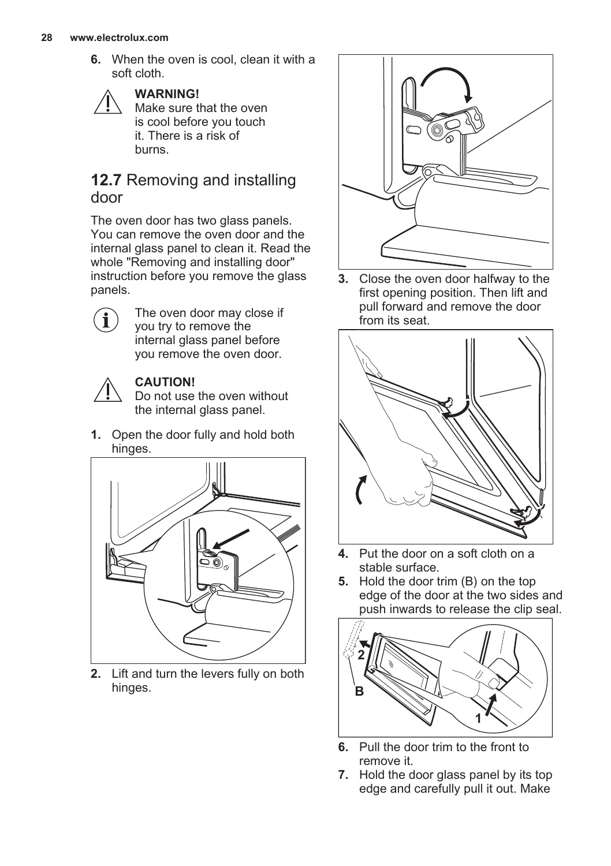**6.** When the oven is cool, clean it with a soft cloth.



### **WARNING!**

Make sure that the oven is cool before you touch it. There is a risk of burns.

### **12.7** Removing and installing door

The oven door has two glass panels. You can remove the oven door and the internal glass panel to clean it. Read the whole "Removing and installing door" instruction before you remove the glass panels.



The oven door may close if you try to remove the internal glass panel before you remove the oven door.



### **CAUTION!**

Do not use the oven without the internal glass panel.

**1.** Open the door fully and hold both hinges.



**2.** Lift and turn the levers fully on both hinges.



**3.** Close the oven door halfway to the first opening position. Then lift and pull forward and remove the door from its seat.



- **4.** Put the door on a soft cloth on a stable surface.
- **5.** Hold the door trim (B) on the top edge of the door at the two sides and push inwards to release the clip seal.



- **6.** Pull the door trim to the front to remove it.
- **7.** Hold the door glass panel by its top edge and carefully pull it out. Make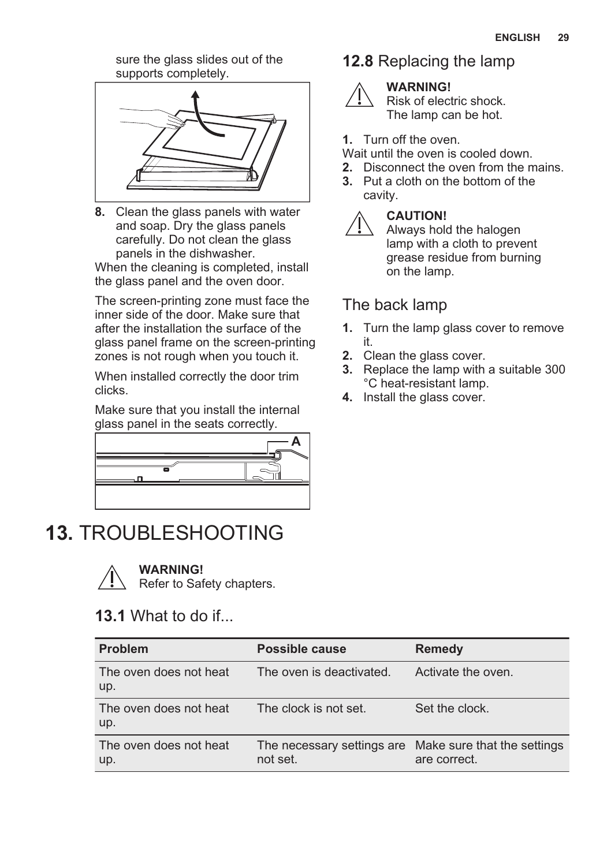sure the glass slides out of the supports completely.

<span id="page-28-0"></span>

**8.** Clean the glass panels with water and soap. Dry the glass panels carefully. Do not clean the glass panels in the dishwasher.

When the cleaning is completed, install the glass panel and the oven door.

The screen-printing zone must face the inner side of the door. Make sure that after the installation the surface of the glass panel frame on the screen-printing zones is not rough when you touch it.

When installed correctly the door trim clicks.

Make sure that you install the internal glass panel in the seats correctly.



**13.** TROUBLESHOOTING



**WARNING!**

Refer to Safety chapters.

### **13.1** What to do if...

#### **Problem Possible cause Remedy** The oven does not heat up. The oven is deactivated. Activate the oven. The oven does not heat up. The clock is not set. Set the clock. The oven does not heat up. The necessary settings are Make sure that the settings not set. are correct.

### **12.8** Replacing the lamp



### **WARNING!**

Risk of electric shock. The lamp can be hot.

### **1.** Turn off the oven.

Wait until the oven is cooled down.

- **2.** Disconnect the oven from the mains.
- **3.** Put a cloth on the bottom of the cavity.



### **CAUTION!**

Always hold the halogen lamp with a cloth to prevent grease residue from burning on the lamp.

### The back lamp

- **1.** Turn the lamp glass cover to remove it.
- **2.** Clean the glass cover.
- **3.** Replace the lamp with a suitable 300 °C heat-resistant lamp.
- **4.** Install the glass cover.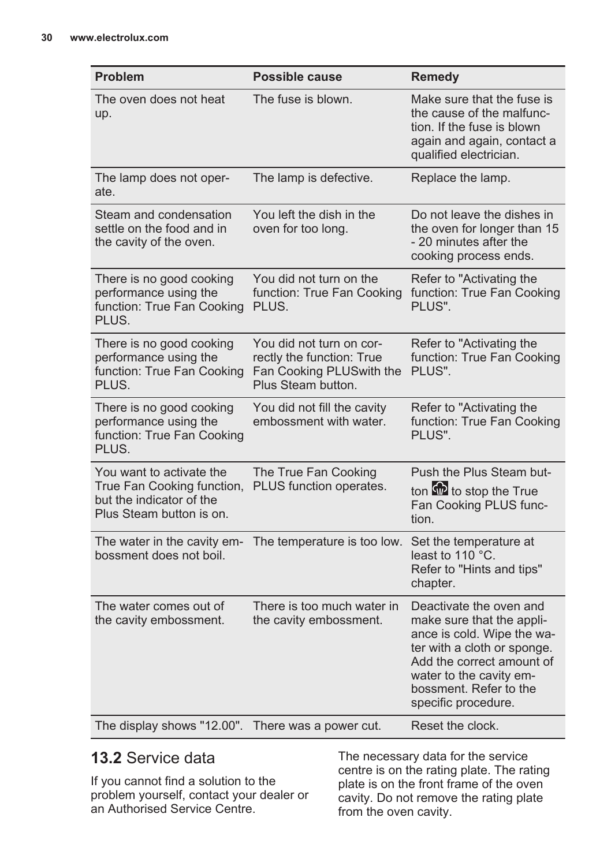| <b>Problem</b>                                                                                                 | Possible cause                                                                                          | <b>Remedy</b>                                                                                                                                                                                                              |
|----------------------------------------------------------------------------------------------------------------|---------------------------------------------------------------------------------------------------------|----------------------------------------------------------------------------------------------------------------------------------------------------------------------------------------------------------------------------|
| The oven does not heat<br>up.                                                                                  | The fuse is blown.                                                                                      | Make sure that the fuse is<br>the cause of the malfunc-<br>tion. If the fuse is blown<br>again and again, contact a<br>qualified electrician.                                                                              |
| The lamp does not oper-<br>ate.                                                                                | The lamp is defective.                                                                                  | Replace the lamp.                                                                                                                                                                                                          |
| Steam and condensation<br>settle on the food and in<br>the cavity of the oven.                                 | You left the dish in the<br>oven for too long.                                                          | Do not leave the dishes in<br>the oven for longer than 15<br>- 20 minutes after the<br>cooking process ends.                                                                                                               |
| There is no good cooking<br>performance using the<br>function: True Fan Cooking<br>PLUS.                       | You did not turn on the<br>function: True Fan Cooking<br>PLUS.                                          | Refer to "Activating the<br>function: True Fan Cooking<br>PLUS".                                                                                                                                                           |
| There is no good cooking<br>performance using the<br>function: True Fan Cooking<br>PLUS.                       | You did not turn on cor-<br>rectly the function: True<br>Fan Cooking PLUSwith the<br>Plus Steam button. | Refer to "Activating the<br>function: True Fan Cooking<br>PLUS".                                                                                                                                                           |
| There is no good cooking<br>performance using the<br>function: True Fan Cooking<br>PLUS.                       | You did not fill the cavity<br>embossment with water.                                                   | Refer to "Activating the<br>function: True Fan Cooking<br>PLUS".                                                                                                                                                           |
| You want to activate the<br>True Fan Cooking function,<br>but the indicator of the<br>Plus Steam button is on. | The True Fan Cooking<br>PLUS function operates.                                                         | Push the Plus Steam but-<br>ton to stop the True<br>Fan Cooking PLUS func-<br>tion.                                                                                                                                        |
| The water in the cavity em-<br>bossment does not boil.                                                         | The temperature is too low.                                                                             | Set the temperature at<br>least to 110 °C.<br>Refer to "Hints and tips"<br>chapter.                                                                                                                                        |
| The water comes out of<br>the cavity embossment.                                                               | There is too much water in<br>the cavity embossment.                                                    | Deactivate the oven and<br>make sure that the appli-<br>ance is cold. Wipe the wa-<br>ter with a cloth or sponge.<br>Add the correct amount of<br>water to the cavity em-<br>bossment. Refer to the<br>specific procedure. |
| The display shows "12.00".                                                                                     | There was a power cut.                                                                                  | Reset the clock.                                                                                                                                                                                                           |

## **13.2** Service data

If you cannot find a solution to the problem yourself, contact your dealer or an Authorised Service Centre.

The necessary data for the service centre is on the rating plate. The rating plate is on the front frame of the oven cavity. Do not remove the rating plate from the oven cavity.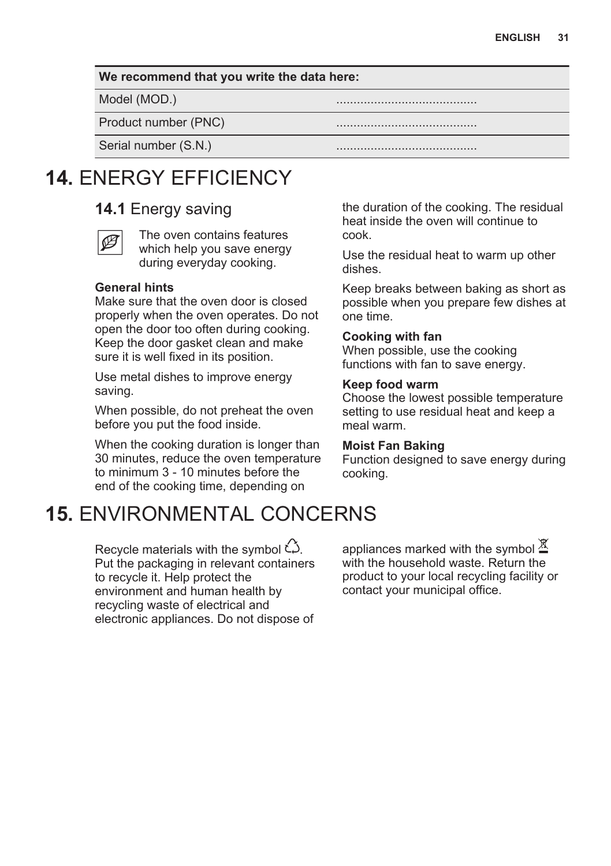#### <span id="page-30-0"></span>**We recommend that you write the data here:**

Model (MOD.)

Product number (PNC)

Serial number (S.N.)

## **14.** ENERGY EFFICIENCY

### **14.1** Energy saving



The oven contains features which help you save energy during everyday cooking.

### **General hints**

Make sure that the oven door is closed properly when the oven operates. Do not open the door too often during cooking. Keep the door gasket clean and make sure it is well fixed in its position.

Use metal dishes to improve energy saving.

When possible, do not preheat the oven before you put the food inside.

When the cooking duration is longer than 30 minutes, reduce the oven temperature to minimum 3 - 10 minutes before the end of the cooking time, depending on

## **15.** ENVIRONMENTAL CONCERNS

Recycle materials with the symbol  $\hat{\omega}$ . Put the packaging in relevant containers to recycle it. Help protect the environment and human health by recycling waste of electrical and electronic appliances. Do not dispose of the duration of the cooking. The residual heat inside the oven will continue to cook.

Use the residual heat to warm up other dishes.

Keep breaks between baking as short as possible when you prepare few dishes at one time.

#### **Cooking with fan**

When possible, use the cooking functions with fan to save energy.

#### **Keep food warm**

Choose the lowest possible temperature setting to use residual heat and keep a meal warm.

#### **Moist Fan Baking**

Function designed to save energy during cooking.

appliances marked with the symbol  $\underline{\mathbb{X}}$ with the household waste. Return the product to your local recycling facility or contact your municipal office.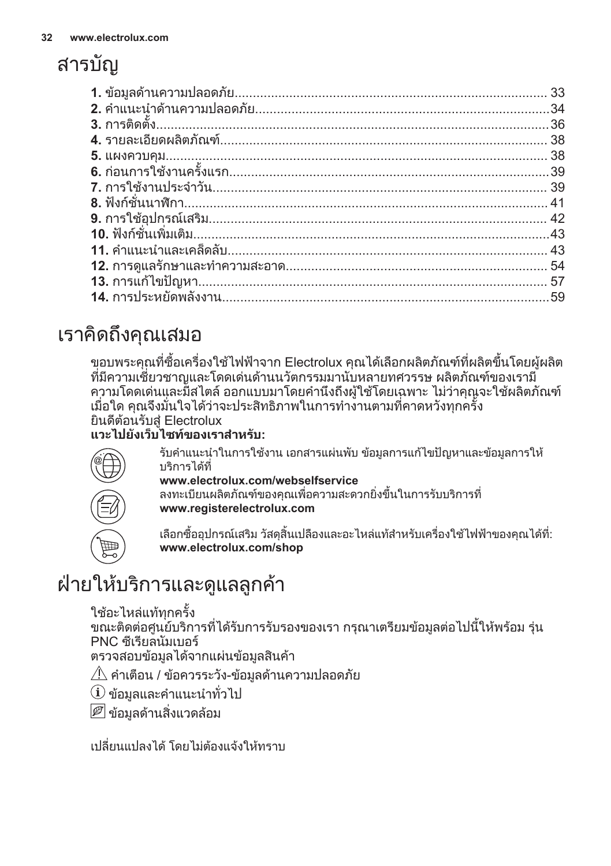# <span id="page-31-0"></span>สารบัญ

# เราคิดถึงคุณเสมอ

ขอบพระคุณที่ซื้อเครื่องใชไฟฟาจาก Electrolux คุณไดเลือกผลิตภัณฑที่ผลิตขึ้นโดยผูผลิต ้ที่มีความเชี่ยวชาญและโดดเด่นด้านนวัตกรรมมานับหลายทศวรรษ ผลิตภัณฑ์ของเรามี ิความโดดเด่นและมีสไตล์ ออกแบบมาโดยคำนึงถึงผ้ใช้โดยเฉพาะ ไม่ว่าคุณจะใช้ผลิตภัณฑ์ เมื่อใด คุณจึงมั่นใจไดวาจะประสิทธิภาพในการทำงานตามที่คาดหวังทุกครั้ง ยินดีตอนรับสู Electrolux

### **แวะไปยังเว็บไซทของเราสำหรับ:**



รับคำแนะนำในการใช้งาน เอกสารแผ่นพับ ข้อมูลการแก้ไขปัญหาและข้อมูลการให้ บริการไดที่

### **www.electrolux.com/webselfservice**

ลงทะเบียนผลิตภัณฑของคุณเพื่อความสะดวกยิ่งขึ้นในการรับบริการที่ **www.registerelectrolux.com**

เลือกซื้ออุปกรณ์เสริม วัสดุสิ้นเปลืองและอะไหล่แท้สำหรับเครื่องใช้ไฟฟ้าของคุณได้ที่: **www.electrolux.com/shop**

# ฝ่ายให้บริการและดูแลลูกค้า

```
<u>ใ</u>ช้อะไหล่แท้ทกครั้ง
```
ขณะติดตอศูนยบริการที่ไดรับการรับรองของเรา กรุณาเตรียมขอมูลตอไปนี้ใหพรอม รุน PNC ซีเรียลนัมเบอร

ตรวจสอบข้อมูลได้จากแผ่นข้อมูลสินค้า

 $\hat{\mathcal{A}}$  คำเตือน / ข้อควรระวัง-ข้อมูลด้านความปลอดภัย

 $\dot{\mathbf{u}}$  ข้อมูลและคำแนะนำทั่วไป

 $\boxed{\mathscr{P}}$  ข้อมูลด้านสิ่งแวดล้อม

เปลี่ยนแปลงได้ โดยไม่ต้องแจ้งให้ทราบ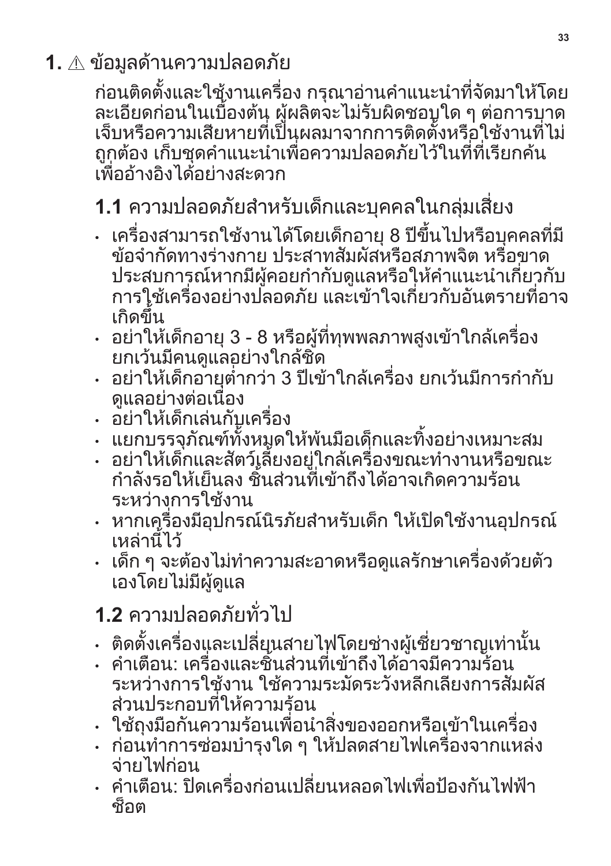<span id="page-32-0"></span>**1.** ขอมูลดานความปลอดภัย

กอนติดตั้งและใชงานเครื่อง กรุณาอานคำแนะนำที่จัดมาใหโดย ละเอียดกอนในเบื้องตน ผูผลิตจะไมรับผิดชอบใด ๆ ตอการบาด เจ็บหรือความเสียหายที่เปนผลมาจากการติดตั้งหรือใชงานที่ไม ถูกตอง เก็บชุดคำแนะนำเพื่อความปลอดภัยไวในที่ที่เรียกคน เพื่ออ้างอิงได้อย่างสะดวก

# **1.1** ความปลอดภัยสำหรับเด็กและบุคคลในกลุมเสี่ยง

- เครื่องสามารถใชงานไดโดยเด็กอายุ 8 ปขึ้นไปหรือบุคคลที่มี ขอจำกัดทางรางกาย ประสาทสัมผัสหรือสภาพจิต หรือขาด ประสบการณหากมีผูคอยกำกับดูแลหรือใหคำแนะนำเกี่ยวกับ การใชเครื่องอยางปลอดภัย และเขาใจเกี่ยวกับอันตรายที่อาจ เกิดขึ้น
- อยาใหเด็กอายุ 3 8 หรือผูที่ทุพพลภาพสูงเขาใกลเครื่อง ียกเว้นมีคนดูแลอย่างใกล้ชิด
- อยาใหเด็กอายุต่ำกวา 3 ปเขาใกลเครื่อง ยกเวนมีการกำกับ ดูแลอยางตอเนื่อง
- อยาใหเด็กเลนกับเครื่อง
- แยกบรรจุภัณฑทั้งหมดใหพนมือเด็กและทิ้งอยางเหมาะสม
- อยาใหเด็กและสัตวเลี้ยงอยูใกลเครื่องขณะทำงานหรือขณะ ้กำลังรอให้เย็นลง ชิ้นส่วนที่เข้าถึงได้อาจเกิดความร้อน ระหว่างการใช้งาน
- หากเครื่องมีอุปกรณนิรภัยสำหรับเด็ก ใหเปดใชงานอุปกรณ เหลานี้ไว
- เด็ก ๆ จะตองไมทำความสะอาดหรือดูแลรักษาเครื่องดวยตัว เองโดยไมมีผูดูแล

# **1.2** ความปลอดภัยทั่วไป

- ติดตั้งเครื่องและเปลี่ยนสายไฟโดยชางผูเชี่ยวชาญเทานั้น
- คำเตือน: เครื่องและชิ้นส่วนที่เข้าถึงได้อาจมีความร้อน ระหว่างการใช้งาน ใช้ความระมัดระวังหลีกเลียงการสัมผัส สวนประกอบที่ใหความรอน
- ใชถุงมือกันความรอนเพื่อนำสิ่งของออกหรือเขาในเครื่อง
- กอนทำการซอมบำรุงใด ๆ ใหปลดสายไฟเครื่องจากแหลง จายไฟกอน
- คำเตือน: ปิดเครื่องก่อนเปลี่ยนหลอดไฟเพื่อป้องกันไฟฟ้า ช็อต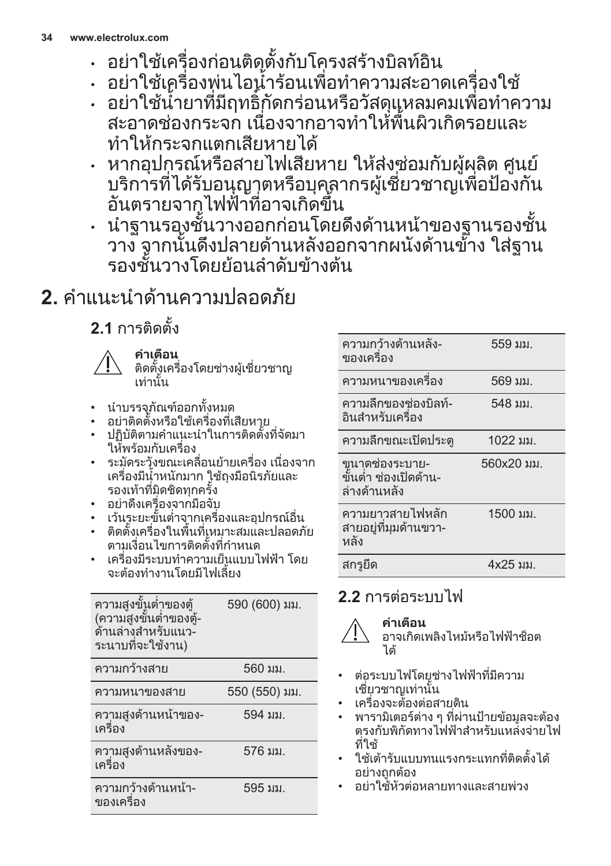- <span id="page-33-0"></span>• อยาใชเครื่องกอนติดตั้งกับโครงสรางบิลทอิน
- อยาใชเครื่องพนไอน้ำรอนเพื่อทำความสะอาดเครื่องใช
- อยาใชน้ำยาที่มีฤทธิ์กัดกรอนหรือวัสดุแหลมคมเพื่อทำความ สะอาดชองกระจก เนื่องจากอาจทำใหพื้นผิวเกิดรอยและ ทำใหกระจกแตกเสียหายได
- หากอุปกรณหรือสายไฟเสียหาย ใหสงซอมกับผูผลิต ศูนย ิบริการที่ได้รับอนุญาตหรือบคลากรผ้เชี่ยวชาญเพื่อป้องกัน อันตรายจากไฟฟาที่อาจเกิดขึ้น
- นำฐานรองชั้นวางออกกอนโดยดึงดานหนาของฐานรองชั้น ้วาง ีจากนั้นดึงปลายด้านหลังออกจากผนังด้านข้าง ใส่ฐาน ้รองชั้นวางโดยย้อนลำดับข้างต้น

# **2.** คำแนะนำดานความปลอดภัย

**2.1** การติดตั้ง



**คำเตือน** ติดตั้งเครื่องโดยชางผูเชี่ยวชาญ เทานั้น

- นำบรรจุภัณฑออกทั้งหมด
- อยาติดตั้งหรือใชเครื่องที่เสียหาย
- ปฏิบัติตามคำแนะนำในการติดตั้งที่จัดมา ใหพรอมกับเครื่อง
- ระมัดระวังขณะเคลื่อนย้ายเครื่อง เนื่องจาก เครื่องมีน้ำหนักมาก ใชถุงมือนิรภัยและ รองเทาที่มิดชิดทุกครั้ง
- อยาดึงเครื่องจากมือจับ
- เวนระยะขั้นต่ำจากเครื่องและอุปกรณอื่น
- ติดตั้งเครื่องในพื้นที่เหมาะสมและปลอดภัย ตามเงื่อนไขการติดตั้งที่กำหนด
- เครื่องมีระบบทำความเย็นแบบไฟฟา โดย จะตองทำงานโดยมีไฟเลี้ยง

| ์ความสูงขั้นต่ำของตู้<br>(ความสูงขั้นต่ำของตู้-<br>้ด้านล่างสำหรับแนว-<br>ระนาบที่จะใช้งาน) | 590 (600) มม. |
|---------------------------------------------------------------------------------------------|---------------|
| ความกว้างสาย                                                                                | 560 มม.       |
| ความหนาของสาย                                                                               | 550 (550) มม. |
| ความสูงด้านหน้าของ-<br>เครื่อง                                                              | 594 มม.       |
| ความสูงด้านหลังของ-<br>เครื่อง                                                              | 576 มม.       |
| ความกว้างด้านหน้า-<br>ของเครื่อง                                                            | 595 มม.       |

| ความกว้างด้านหลัง-<br>ของเครื่อง                        | 559 มม.    |
|---------------------------------------------------------|------------|
| ความหนาของเครื่อง                                       | 569 มม.    |
| ความลึกของช่องบิลท์-<br>กินสำหรับเครื่อง                | 548 มม.    |
| ความลึกขณะเปิดประต                                      | 1022 มม.   |
|                                                         |            |
| ขนาดช่องระบาย-<br>ขั้นต่ำ ช่องเปิดด้าน-<br>ล่างด้านหลัง | 560x20 มม. |
| ความยาวสายไฟหลัก<br>สายอยู่ที่มุมด้านขวา-<br>หลัง       | 1500 มม.   |

## **2.2** การตอระบบไฟ



**คำเตือน** อาจเกิดเพลิงไหมหรือไฟฟาช็อต ได

- ตอระบบไฟโดยชางไฟฟาที่มีความ เชี่ยวชาญเทานั้น
- เครื่องจะตองตอสายดิน
- พารามิเตอรตาง ๆ ที่ผานปายขอมูลจะตอง ตรงกับพิกัดทางไฟฟ้าสำหรับแหล่งจ่ายไฟ ที่ใช
- ใชเตารับแบบทนแรงกระแทกที่ติดตั้งได อย่างถูกต้อง
- อยาใชหัวตอหลายทางและสายพวง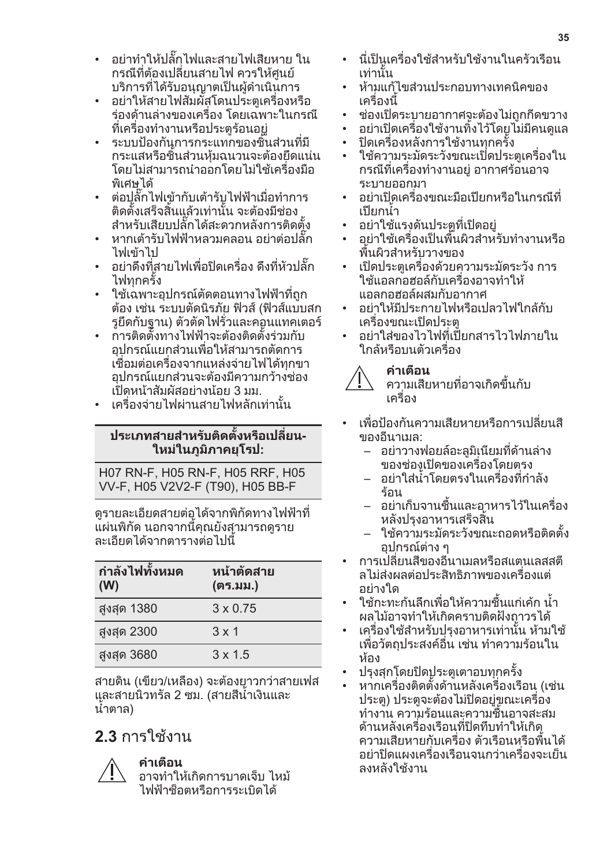- อยาทำใหปลั๊กไฟและสายไฟเสียหาย ใน กรณีที่ตองเปลี่ยนสายไฟ ควรใหศูนย บริการที่ไดรับอนุญาตเปนผูดำเนินการ
- อยาใหสายไฟสัมผัสโดนประตูเครื่องหรือ รองดานลางของเครื่อง โดยเฉพาะในกรณี ที่เครื่องทำงานหรือประตร้อนอย่
- ระบบปองกันการกระแทกของชิ้นสวนที่มี กระแสหรือชิ้นสวนหุมฉนวนจะตองยึดแนน โดยไมสามารถนำออกโดยไมใชเครื่องมือ พิเศษได
- ตอปลั๊กไฟเขากับเตารับไฟฟาเมื่อทำการ ติดตั้งเสร็จสิ้นแลวเทานั้น จะตองมีชอง สำหรับเสียบปลั๊กไดสะดวกหลังการติดตั้ง
- หากเตารับไฟฟาหลวมคลอน อยาตอปลั๊ก ไฟเขาไป
- อย่าดึงที่สายไฟเพื่อปิดเครื่อง ดึงที่หัวปลั๊ก ไฟทุกครั้ง
- ใช้เฉพาะอุปกรณ์ตัดตอนทางไฟฟ้าที่ถูก ตอง เชน ระบบตัดนิรภัย ฟวส (ฟวสแบบสก รูยึดกับฐาน) ตัวตัดไฟรั่วและคอนแทคเตอร
- การติดตั้งทางไฟฟาจะตองติดตั้งรวมกับ อุปกรณแยกสวนเพื่อใหสามารถตัดการ เชื่อมตอเครื่องจากแหลงจายไฟไดทุกขา อุปกรณแยกสวนจะตองมีความกวางชอง เปดหนาสัมผัสอยางนอย 3 มม.
- เครื่องจายไฟผานสายไฟหลักเทานั้น

### **ประเภทสายสำหรับติดตั้งหรือเปลี่ยน‐ ใหมในภูมิภาคยุโรป:**

H07 RN-F, H05 RN-F, H05 RRF, H05 VV-F, H05 V2V2-F (T90), H05 BB-F

ดูรายละเอียดสายตอไดจากพิกัดทางไฟฟาที่ แผนพิกัด นอกจากนี้คุณยังสามารถดูราย ละเอียดไดจากตารางตอไปนี้

| ี่กำลังไฟทั้งหมด<br>(W) | หน้าตัดสาย<br>(ตร.มม.) |
|-------------------------|------------------------|
| สูงสุด 1380             | $3 \times 0.75$        |
| สูงสุด 2300             | $3 \times 1$           |
| สูงสุด 3680             | $3 \times 1.5$         |

สายดิน (เขียว/เหลือง) จะตองยาวกวาสายเฟส และสายนิวทรัล 2 ซม. (สายสีน้ำเงินและ น้ำตาล)

## **2.3** การใช้งาน



### **คำเตือน**

อาจทำใหเกิดการบาดเจ็บ ไหม ไฟฟาช็อตหรือการระเบิดได

- นี่เป็นเครื่องใช้สำหรับใช้งานในครัวเรือน เทานั้น
- หามแกไขสวนประกอบทางเทคนิคของ เครื่องนี้
- ชองเปดระบายอากาศจะตองไมถูกกีดขวาง
- อยาเปดเครื่องใชงานทิ้งไวโดยไมมีคนดูแล
- ้ ปิดเครื่องหลังการใช้งานทุกครั้ง
- ใชความระมัดระวังขณะเปดประตูเครื่องใน กรณีที่เครื่องทำงานอยู อากาศรอนอาจ ระบายออกมา
- อยาเปดเครื่องขณะมือเปยกหรือในกรณีที่ เปยกน้ำ
- ้อย่าใช้แรงดันประตูที่เปิดอยู่
- อยาใชเครื่องเปนพื้นผิวสำหรับทำงานหรือ พื้นผิวสำหรับวางของ
- เปดประตูเครื่องดวยความระมัดระวัง การ ใชแอลกอฮอลกับเครื่องอาจทำให แอลกอฮอลผสมกับอากาศ
- อยาใหมีประกายไฟหรือเปลวไฟใกลกับ เครื่องขณะเปดประตู
- อยาใสของไวไฟที่เปยกสารไวไฟภายใน ใกลหรือบนตัวเครื่อง

### **คำเตือน**



- เพื่อปองกันความเสียหายหรือการเปลี่ยนสี ของอีนาเมล:
	- อยาวางฟอยลอะลูมิเนียมที่ดานลาง ของชองเปดของเครื่องโดยตรง
	- อยาใสน้ำโดยตรงในเครื่องที่กำลัง ร้อบ
	- อยาเก็บจานชื้นและอาหารไวในเครื่อง หลังปรุงอาหารเสร็จสิ้น
	- ใชความระมัดระวังขณะถอดหรือติดตั้ง อปกรณ์ต่าง ๆ
- การเปลี่ยนสีของอีนาเมลหรือสแตนเลสสตี ลไมสงผลตอประสิทธิภาพของเครื่องแต อยางใด
- ใชกะทะกนลึกเพื่อใหความชื้นแกเคก น้ำ ผลไมอาจทำใหเกิดคราบติดฝงถาวรได
- เครื่องใชสำหรับปรุงอาหารเทานั้น หามใช เพื่อวัตถุประสงคอื่น เชน ทำความรอนใน ห้อง
- ปรุงสุกโดยปดประตูเตาอบทุกครั้ง
- หากเครื่องติดตั้งดานหลังเครื่องเรือน (เชน ประตู) ประตูจะตองไมปดอยูขณะเครื่อง ทำงาน ความรอนและความชื้นอาจสะสม ดานหลังเครื่องเรือนที่ปดทึบทำใหเกิด ความเสียหายกับเครื่อง ตัวเรือนหรือพื้นได อยาปดแผงเครื่องเรือนจนกวาเครื่องจะเย็น ลงหลังใช้งาน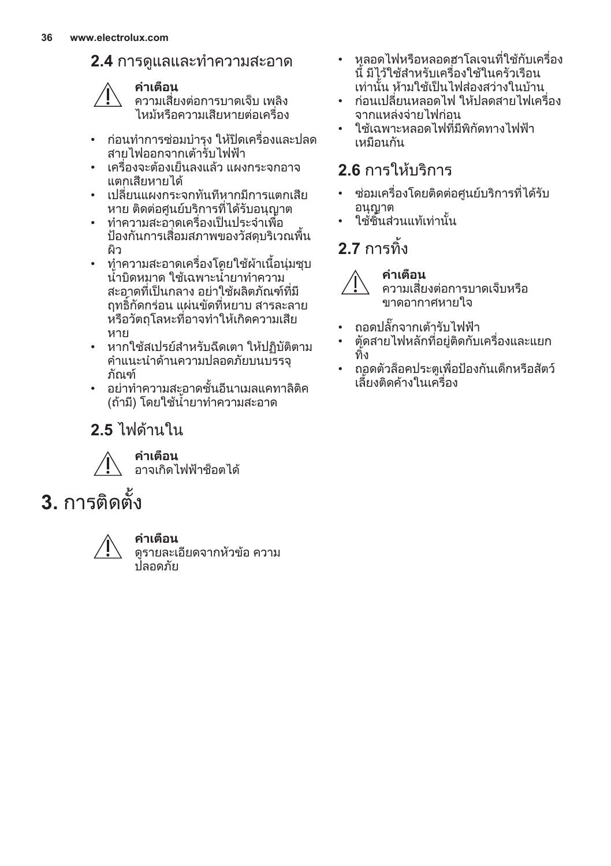<span id="page-35-0"></span>**2.4** การดูแลและทำความสะอาด



**คำเตือน** ความเสี่ยงตอการบาดเจ็บ เพลิง ไหมหรือความเสียหายตอเครื่อง

- กอนทำการซอมบำรุง ใหปดเครื่องและปลด สายไฟออกจากเตารับไฟฟา
- เครื่องจะตองเย็นลงแลว แผงกระจกอาจ แตกเสียหายได
- เปลี่ยนแผงกระจกทันทีหากมีการแตกเสีย หาย ติดต่อศูนย์บริการที่ได้รับอนุญาต
- ทำความสะอาดเครื่องเปนประจำเพื่อ ปองกันการเสื่อมสภาพของวัสดุบริเวณพื้น ผิว
- ทำความสะอาดเครื่องโดยใช้ผ้าเนื้อน่มชบ น้ำบิดหมาด ใชเฉพาะน้ำยาทำความ ี สะอาดที่เป็นกลาง อย่าใช้ผลิตภัณฑ์ที่มี ฤทธิ์กัดกรอน แผนขัดที่หยาบ สารละลาย หรือวัตถุโลหะที่อาจทำใหเกิดความเสีย หาย
- หากใชสเปรยสำหรับฉีดเตา ใหปฏิบัติตาม คำแนะนำดานความปลอดภัยบนบรรจุ ภัณฑ
- อยาทำความสะอาดชั้นอีนาเมลแคทาลิติค (ถามี) โดยใชน้ำยาทำความสะอาด

## **2.5** ไฟดานใน



**คำเตือน** อาจเกิดไฟฟาช็อตได

**3.** การติดตั้ง



### **คำเตือน**

ดูรายละเอียดจากหัวขอ ความ ปลอดภัย

- หลอดไฟหรือหลอดฮาโลเจนที่ใช้กับเครื่อง นี้ มีไวใชสำหรับเครื่องใชในครัวเรือน เท่านั้น ห้ามใช้เป็นไฟส่องสว่างในบ้าน
- ก่อนเปลี่ยนหลอดไฟ ให้ปลดสายไฟเครื่อง จากแหลงจายไฟกอน
- ใช้เฉพาะหลอดไฟที่มีพิกัดทางไฟฟ้า เหมือนกัน

## **2.6 การให้บริการ**

- ซ่อมเครื่องโดยติดต่อศูนย์บริการที่ได้รับ อนุญาต
- ใชชิ้นสวนแทเทานั้น

## **2.7** การทิ้ง



#### **คำเตือน** ความเสี่ยงตอการบาดเจ็บหรือ ขาดอากาศหายใจ

- ถอดปลั๊กจากเตารับไฟฟา
- ตัดสายไฟหลักที่อยูติดกับเครื่องและแยก ทิ้ง
- ถอดตัวล็อคประตูเพื่อปองกันเด็กหรือสัตว เลี้ยงติดคางในเครื่อง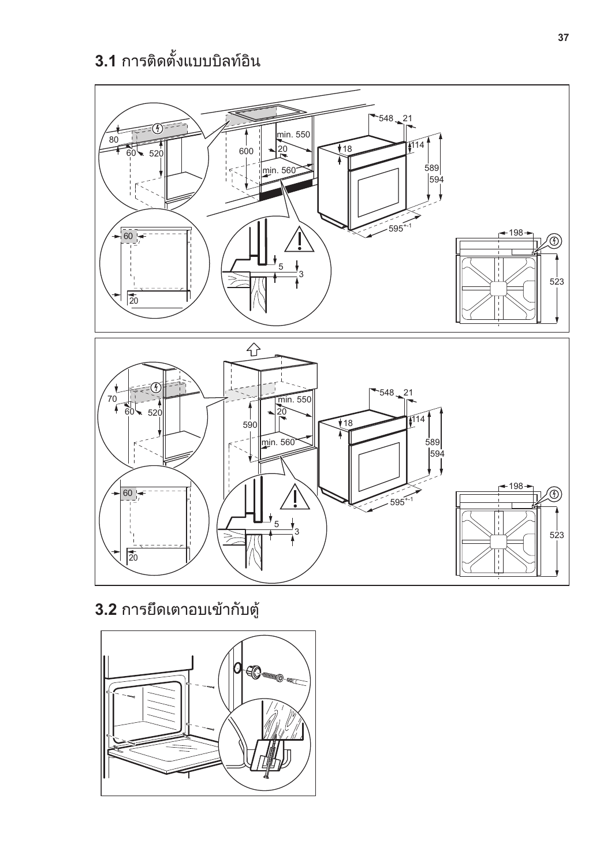# **3.1** การติดตั้งแบบบิลทอิน



**3.2** การยึดเตาอบเขากับตู

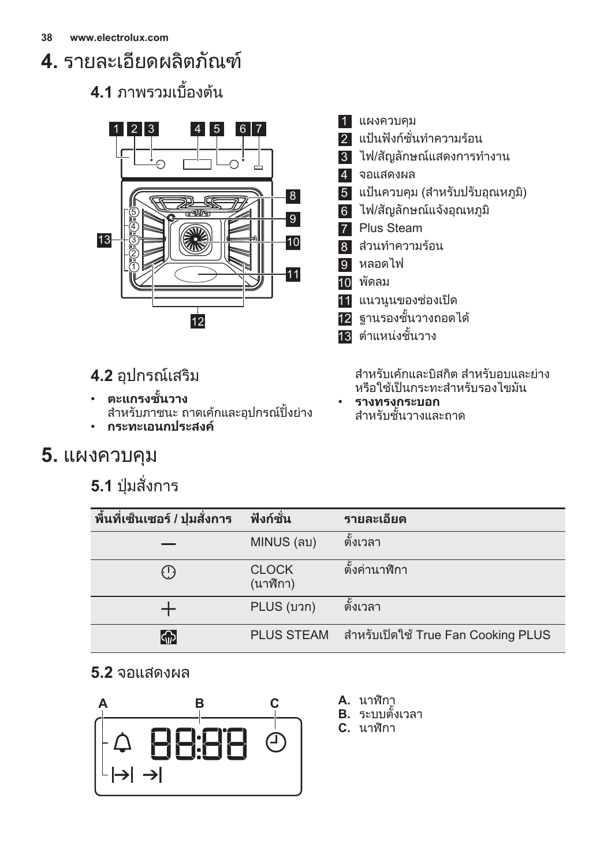# <span id="page-37-0"></span>**4.** รายละเอียดผลิตภัณฑ

## **4.1** ภาพรวมเบื้องตน



## **4.2** อุปกรณเสริม

- **ตะแกรงชั้นวาง** สำหรับภาชนะ ถาดเค้กและอุปกรณ์ปิ้งย่าง • **กระทะเอนกประสงค**
- **5.** แผงควบคุม

## **5.1** ปุมสั่งการ

- 1 แผงควบคุม
- 2 แปนฟงกชั่นทำความรอน
- 3 ไฟ/สัญลักษณแสดงการทำงาน
- 4 จอแสดงผล
- 5 แปนควบคุม (สำหรับปรับอุณหภูมิ)
- 6 ไฟ/สัญลักษณแจงอุณหภูมิ
- **7** Plus Steam
- 8 สวนทำความรอน
- 9 หลอดไฟ
- 10 พัดลม
- 11 แนวนูนของชองเปด
- 12 ฐานรองชั้นวางถอดได
- 13 ตำแหนงชั้นวาง

สำหรับเคกและบิสกิต สำหรับอบและยาง หรือใชเปนกระทะสำหรับรองไขมัน

• **รางทรงกระบอก** สำหรับชั้นวางและถาด

| พื้นที่เซ็นเซอร์ / ปุ่มสั่งการ | ฟังก์ชั่น                | รายละเอียด                            |
|--------------------------------|--------------------------|---------------------------------------|
|                                | MINUS (ลบ)               | ตั้งเวลา                              |
| ( د )                          | <b>CLOCK</b><br>(นาฬิกา) | ตั้งค่านาฬิกา                         |
|                                | PLUS (บวก)               | ตั้งเวลา                              |
| ငြှာ                           | <b>PLUS STEAM</b>        | ี่สำหรับเปิดใช้ True Fan Cooking PLUS |

## **5.2** จอแสดงผล



- **A.** นาฬิกา
- **B.** ระบบตั้งเวลา
- **C.** นาฬิกา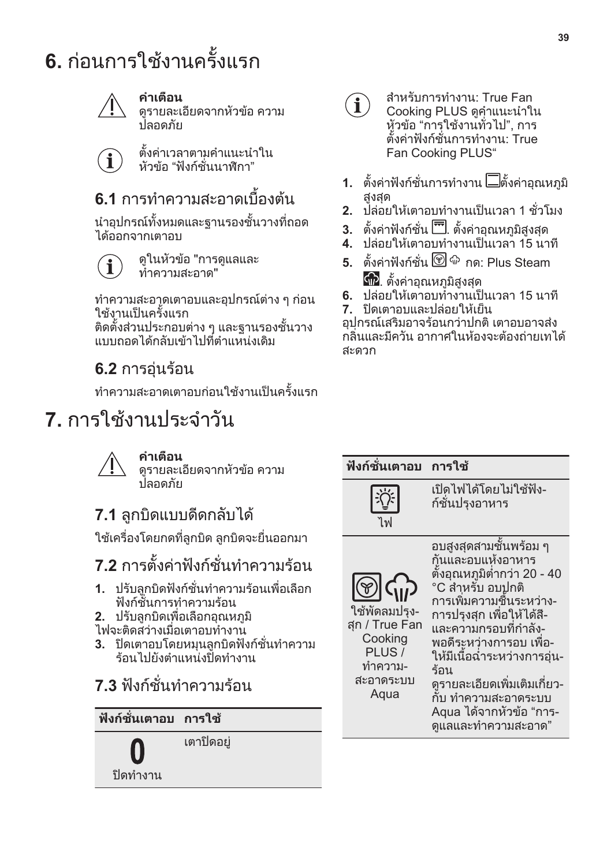# <span id="page-38-0"></span>**6.** ก่อนการใช้งานครั้งแรก



 $\mathbf i$ 

### **คำเตือน**

ดูรายละเอียดจากหัวขอ ความ ปลอดภัย

ตั้งคาเวลาตามคำแนะนำใน หัวข้อ "ฟังก์ชั่นนาฬิกา"

## **6.1** การทำความสะอาดเบื้องต้น

นำอุปกรณทั้งหมดและฐานรองชั้นวางที่ถอด ได้ออกจากเตาอบ

> ดูในหัวขอ "การดูแลและ ทำความสะอาด"

ทำความสะอาดเตาอบและอุปกรณตาง ๆ กอน ใชงานเปนครั้งแรก

ติดตั้งสวนประกอบตาง ๆ และฐานรองชั้นวาง แบบถอดไดกลับเขาไปที่ตำแหนงเดิม

## **6.2** การอุนรอน

ทำความสะอาดเตาอบก่อนใช้งานเป็นครั้งแรก

# **7.** การใช้งานประจำวัน



### **คำเตือน**

ดูรายละเอียดจากหัวขอ ความ ปลอดภัย

## **7.1** ลูกบิดแบบดีดกลับได

ใชเครื่องโดยกดที่ลูกบิด ลูกบิดจะยื่นออกมา

**7.2** การตั้งคาฟงกชั่นทำความรอน

- **1.** ปรับลูกบิดฟงกชั่นทำความรอนเพื่อเลือก ฟงกชั่นการทำความรอน
- **2.** ปรับลูกบิดเพื่อเลือกอุณหภูมิ
- ไฟจะติดสวางเมื่อเตาอบทำงาน
- **3.** ปดเตาอบโดยหมุนลูกบิดฟงกชั่นทำความ ร้อนไปยังตำแหน่งปิดทำงาน
- **7.3** ฟงกชั่นทำความรอน

# **ฟงกชั่นเตาอบ การใช**

0

เตาปดอยู

ปดทำงาน



- สำหรับการทำงาน: True Fan Cooking PLUS ดูคำแนะนำใน หัวขอ "การใชงานทั่วไป", การ ตั้งคาฟงกชั่นการทำงาน: True Fan Cooking PLUS"
- **1.** ตั้งคาฟงกชั่นการทำงาน ตั้งคาอุณหภูมิ สูงสุด
- **2.** ปลอยใหเตาอบทำงานเปนเวลา 1 ชั่วโมง
- **3. ตั้งค่าฟังก์ชั่น ...** ตั้งค่าอุณหภูมิสูงสุด
- ี**-**<br>4. ปล่อยให้เตาอบทำงานเป็นเวลา 15 นาที
- **5.** ตั้งคาฟงกชั่น กด: Plus Steam ี **เพิ่**ย ตั้งค่าอุณหภูมิสูงสุด
- **6.** ปลอยใหเตาอบทำงานเปนเวลา 15 นาที
- **7.** ปดเตาอบและปลอยใหเย็น

อุปกรณเสริมอาจรอนกวาปกติ เตาอบอาจสง ้กลิ่นและมีควัน อากาศในห้องจะต้องถ่ายเทได้ สะดวก

| ฟังก์ชั่นเตาอบ                                                                                                            | การใช้                                                                                                                                                                                                                                                                                                                                                        |
|---------------------------------------------------------------------------------------------------------------------------|---------------------------------------------------------------------------------------------------------------------------------------------------------------------------------------------------------------------------------------------------------------------------------------------------------------------------------------------------------------|
| ไพ                                                                                                                        | เปิดไฟได้โดยไม่ใช้ฟัง-<br>ก์ชั่นปรุงอาหาร                                                                                                                                                                                                                                                                                                                     |
| $\langle \vec{q}_\parallel \rangle$<br>ใช้พัดลมปรง-<br>สุก / True Fan<br>Cooking<br>PLUS/<br>ทำความ-<br>สะอาดระบบ<br>Aqua | ่อบสูงสุดสามชั้นพร้อม ๆ<br>กันและอบแห้งอาหาร<br>ตั้งอุณหภูมิต่ำกว่า 20 - 40<br>°C สำหรับ อบปกติ<br>การเพิ่มความชื่นระหว่าง-<br>การปรุงสุก เพื่อให้ได้สี-<br>และความกรอบที่กำลัง-<br>พอดีระหว่างการอบ เพื่อ-<br>ให้มีเนื้อฉ่ำระหว่างการอุ่น-<br>ร้อน<br>ดูรายละเอียดเพิ่มเติมเกี่ยว-<br>กับ ทำความสะอาดระบบ<br>่ Aqua ได้จากหัวข้อ "การ-<br>ดแลและทำความสะอาด" |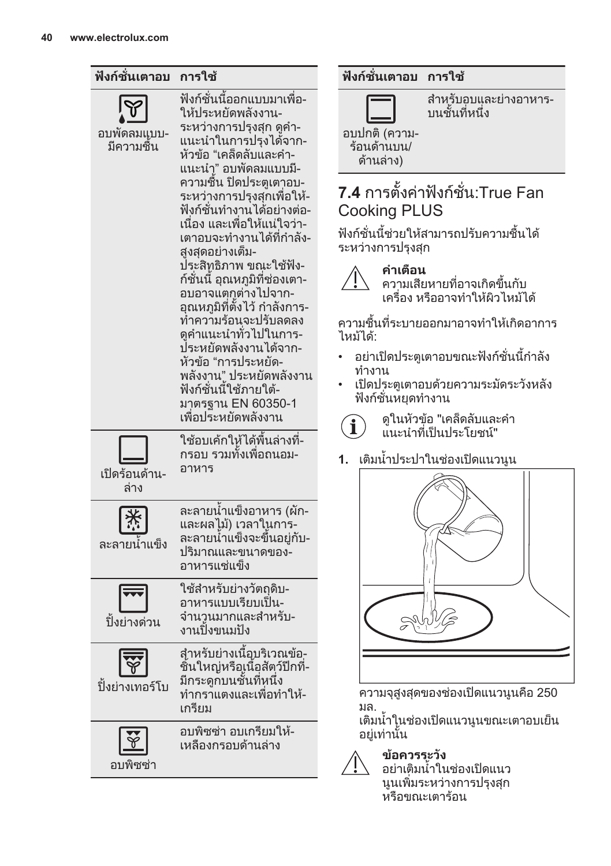

### **ฟงกชั่นเตาอบ การใช**

สำหรับอบและย่างอาหาร-บนชั้นที่หนึ่ง

อบปกติ (ความ‐ ร้อนด้านบน/

## **7.4** การตั้งคาฟงกชั่น:True Fan Cooking PLUS

ฟงกชั่นนี้ชวยใหสามารถปรับความชื้นได ระหวางการปรุงสุก



ความเสียหายที่อาจเกิดขึ้นกับ เครื่อง หรืออาจทำใหผิวไหมได

ความชื้นที่ระบายออกมาอาจทำใหเกิดอาการ

- อยาเปดประตูเตาอบขณะฟงกชั่นนี้กำลัง
- เปดประตูเตาอบดวยความระมัดระวังหลัง ฟงกชั่นหยุดทำงาน



**1.** เติมน้ำประปาในชองเปดแนวนูน



ความจุสูงสุดของชองเปดแนวนูนคือ 250

เติมน้ำในชองเปดแนวนูนขณะเตาอบเย็น อยูเทานั้น



### **ขอควรระวัง**

อยาเติมน้ำในชองเปดแนว นูนเพิ่มระหวางการปรุงสุก หรือขณะเตาร้อน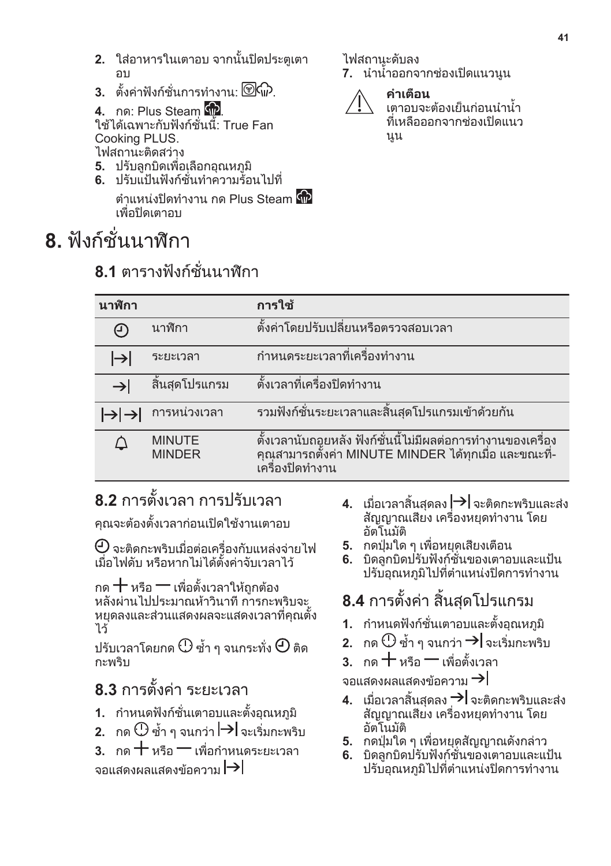- <span id="page-40-0"></span>**2.** ใสอาหารในเตาอบ จากนั้นปดประตูเตา อบ
- **3.** ตั้งค่าฟังก์ชั่นการทำงาน:  $\circledcirc$  .

**4.** กด: Plus Steam **(พิ** ใชไดเฉพาะกับฟงกชั่นนี้: True Fan Cooking PLUS. ไฟสถานะติดสวาง

- **5.** ปรับลูกบิดเพื่อเลือกอุณหภูมิ
- **6.** ปรับแปนฟงกชั่นทำความรอนไปที่

ี่ตำแหน่งปิดทำงาน กด Plus Steam **ด***ิ***ก** เพื่อปิดเตาอบ

# **8.** ฟงกชั่นนาฬิกา

## **8.1** ตารางฟงกชั่นนาฬิกา

ไฟสถานะดับลง

**7.** นำน้ำออกจากชองเปดแนวนูน



**คำเตือน** เตาอบจะตองเย็นกอนนำน้ำ ที่เหลือออกจากชองเปดแนว นูน

| นาฬิกา        |                                | การใช้                                                                                                                                    |
|---------------|--------------------------------|-------------------------------------------------------------------------------------------------------------------------------------------|
| (ד)           | นาฬิกา                         | ตั้งค่าโดยปรับเปลี่ยนหรือตรวจสอบเวลา                                                                                                      |
| ⊢             | ระยะเวลา                       | ีกำหนดระยะเวลาที่เครื่องทำงาน                                                                                                             |
| $\rightarrow$ | สิ้นสุดโปรแกรม                 | ์ตั้งเวลาที่เครื่องปิดทำงาน                                                                                                               |
|               | การหน่วงเวลา                   | ้รวมฟังก์ชั่นระยะเวลาและสิ้นสุดโปรแกรมเข้าด้วยกัน                                                                                         |
|               | <b>MINUTE</b><br><b>MINDER</b> | ์ตั้งเวลานับถอยหลัง ฟังก์ชั่นนี้ไม่มีผลต่อการทำงานของเครื่อง<br>คุณสามารถตั้งค่า MINUTE MINDER ได้ทุกเมื่อ และขณะที่-<br>้เครื่องปิดทำงาน |

# **8.2** การตั้งเวลา การปรับเวลา

คุณจะตองตั้งเวลากอนเปดใชงานเตาอบ

 $\Theta$  จะติดกะพริบเมื่อต่อเครื่องกับแหล่งจ่ายไฟ เมื่อไฟดับ หรือหากไมไดตั้งคาจับเวลาไว

กด 十 หรือ 一 เพื่อตั้งเวลาให้ถูกต้อง หลังผานไปประมาณหาวินาที การกะพริบจะ หยุดลงและสวนแสดงผลจะแสดงเวลาที่คุณตั้ง ไว

ปรับเวลาโดยกด $\mathbb O$  ซ้ำ ๆ จนกระทั่ง  $\Theta$  ติด กะพริบ

## **8.3** การตั้งคา ระยะเวลา

- **1.** กำหนดฟงกชั่นเตาอบและตั้งอุณหภูมิ
- **2.** กด ⊕ี ซ้ำ ๆ จนกว่า | → | จะเริ่มกะพริบ
- $3.$  กด  $+$  หรือ  $-$  เพื่อกำหนดระยะเวลา จอแสดงผลแสดงข้อความ $\rightarrow$
- **4.** เมื่อเวลาสิ้นสุดลง จะติดกะพริบและสง สัญญาณเสียง เครื่องหยุดทำงาน โดย อัตโนมัติ
- **5.** กดปุมใด ๆ เพื่อหยุดเสียงเตือน
- **6.** บิดลูกบิดปรับฟงกชั่นของเตาอบและแปน ปรับอุณหภูมิไปที่ตำแหนงปดการทำงาน

## **8.4** การตั้งคา สิ้นสุดโปรแกรม

- **1.** กำหนดฟงกชั่นเตาอบและตั้งอุณหภูมิ
- **2.** กด ⊕ิ ซ้ำ ๆ จนกว่า **→|** จะเริ่มกะพริบ
- **3.** กด หรือ เพื่อตั้งเวลา

จอแสดงผลแสดงข้อความ $\rightarrow$ 

- **4. เมื่อเวลาสิ้นสดลง → จะติดกะพริบและส่ง** สัญญาณเสียง เครื่องหยุดทำงาน โดย อัตโนมัติ
- **5.** กดป่มใด ๆ เพื่อหยดสัญญาณดังกล่าว
- **6.** บิดลูกบิดปรับฟงกชั่นของเตาอบและแปน ปรับอุณหภูมิไปที่ตำแหนงปดการทำงาน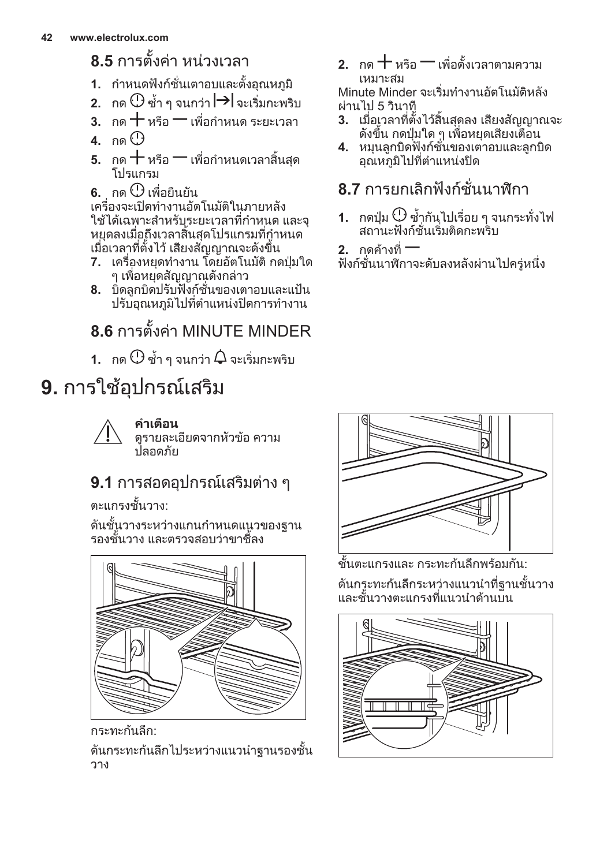## <span id="page-41-0"></span>**8.5** การตั้งคา หนวงเวลา

- **1.** กำหนดฟงกชั่นเตาอบและตั้งอุณหภูมิ
- **2.** กด ⊕ี ซ้ำ ๆ จนกว่า | → | จะเริ่มกะพริบ
- $\overline{\mathbf{3}}$ . กด $\pm$ หรือ $\overline{-}$ เพื่อกำหนด ระยะเวลา
- **4.** กด
- $\overline{\phantom{a}}$ 5. กด $\pm$ หรือ $\overline{-}$ เพื่อกำหนดเวลาสิ้นสด โปรแกรม
- $6.$  กด $<sup>①</sup>$  เพื่อยืนยัน</sup>

เครื่องจะเปดทำงานอัตโนมัติในภายหลัง ใชไดเฉพาะสำหรับระยะเวลาที่กำหนด และจุ หยุดลงเมื่อถึงเวลาสิ้นสุดโปรแกรมที่กำหนด เมื่อเวลาที่ตั้งไว เสียงสัญญาณจะดังขึ้น

- **7.** เครื่องหยุดทำงาน โดยอัตโนมัติ กดปุมใด ๆ เพื่อหยุดสัญญาณดังกลาว
- **8.** บิดลูกบิดปรับฟงกชั่นของเตาอบและแปน ปรับอุณหภูมิไปที่ตำแหนงปดการทำงาน

# **8.6** การตั้งคา MINUTE MINDER

**1.** กด $\mathbb O$ ช้ำ ๆ จนกว่า  $\boldsymbol{\mathsf Q}$  จะเริ่มกะพริบ

# **9.** การใช้อปกรณ์เสริม



**คำเตือน** ดูรายละเอียดจากหัวขอ ความ ปลอดภัย

## **9.1** การสอดอุปกรณเสริมตาง ๆ

ตะแกรงชั้นวาง:

ดันชั้นวางระหวางแกนกำหนดแนวของฐาน รองชั้นวาง และตรวจสอบวาขาชี้ลง



กระทะก้นลึก<sup>.</sup>

ดันกระทะกนลึกไประหวางแนวนำฐานรองชั้น วาง

 $2.$  กด $+$ หรือ $-$ เพื่อตั้งเวลาตามความ เหมาะสม

Minute Minder จะเริ่มทำงานอัตโนมัติหลัง ผานไป 5 วินาที

- **3.** เมื่อเวลาที่ตั้งไวสิ้นสุดลง เสียงสัญญาณจะ ดังขึ้น กดปุมใด ๆ เพื่อหยุดเสียงเตือน
- **4.** หมุนลูกบิดฟงกชั่นของเตาอบและลูกบิด อุณหภูมิไปที่ตำแหนงปด

## **8.7** การยกเลิกฟงกชั่นนาฬิกา

- **1.** กดปุ่ม $\mathbb O$  ซ้ำกันไปเรื่อย ๆ จนกระทั่งไฟ สถานะฟงกชั่นเริ่มติดกะพริบ
- **2.** กดคางที่

ฟงกชั่นนาฬิกาจะดับลงหลังผานไปครูหนึ่ง



ชั้นตะแกรงและ กระทะกันลึกพร้อมกับ<sup>.</sup>

ดันกระทะกนลึกระหวางแนวนำที่ฐานชั้นวาง และชั้นวางตะแกรงที่แนวนำด้วนบน

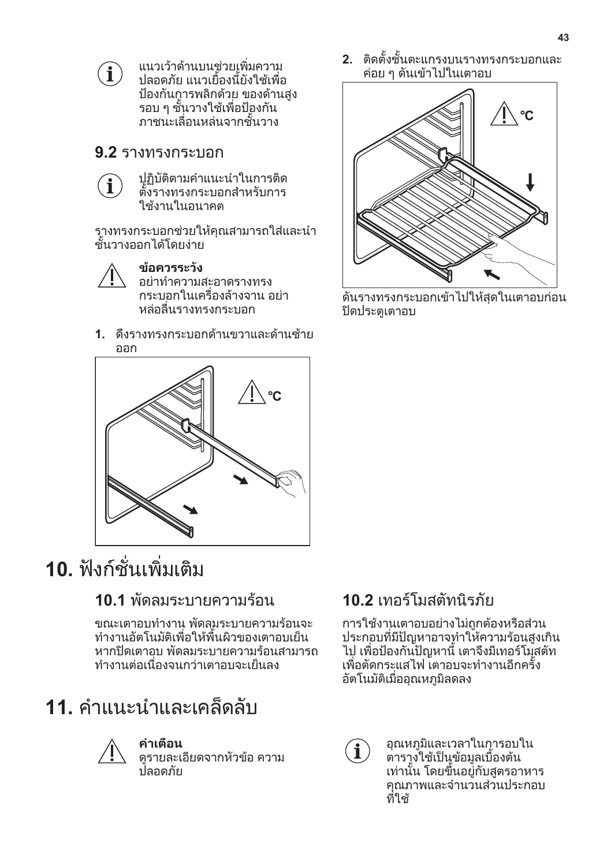<span id="page-42-0"></span>

แนวเวาดานบนชวยเพิ่มความ ปลอดภัย แนวเยื้องนี้ยังใชเพื่อ ปองกันการพลิกดวย ของดานสูง รอบ ๆ ชั้นวางใชเพื่อปองกัน ภาชนะเลื่อนหลนจากชั้นวาง

### **9.2** รางทรงกระบอก



ปฏิบัติตามคำแนะนำในการติด ตั้งรางทรงกระบอกสำหรับการ ใช้งานในอนาคต

รางทรงกระบอกชวยใหคุณสามารถใสและนำ ชั้นวางออกได้โดยง่าย



**ขอควรระวัง** อยาทำความสะอาดรางทรง กระบอกในเครื่องลางจาน อยา หลอลื่นรางทรงกระบอก

**1.** ดึงรางทรงกระบอกดานขวาและดานซาย ออก



# **10.** ฟงกชั่นเพิ่มเติม

## **10.1** พัดลมระบายความร้อน

ขณะเตาอบทำงาน พัดลมระบายความรอนจะ ทำงานอัตโนมัติเพื่อใหพื้นผิวของเตาอบเย็น หากปดเตาอบ พัดลมระบายความรอนสามารถ ทำงานตอเนื่องจนกวาเตาอบจะเย็นลง

# **11.** คำแนะนำและเคล็ดลับ



### **คำเตือน**

ดูรายละเอียดจากหัวขอ ความ ปลอดภัย

**2.** ติดตั้งชั้นตะแกรงบนรางทรงกระบอกและ คอย ๆ ดันเขาไปในเตาอบ



ดันรางทรงกระบอกเขาไปใหสุดในเตาอบกอน ปิดประตูเตาอบ

## **10.2** เทอรโมสตัทนิรภัย

การใชงานเตาอบอยางไมถูกตองหรือสวน ประกอบที่มีปญหาอาจทำใหความรอนสูงเกิน ไป เพื่อปองกันปญหานี้ เตาจึงมีเทอรโมสตัท เพื่อตัดกระแสไฟ เตาอบจะทำงานอีกครั้ง อัตโนมัติเมื่ออุณหภูมิลดลง



อุณหภูมิและเวลาในการอบใน ตารางใช้เป็นข้อมูลเบืองต้น ี่ เท่านั้น โดยขึ้นอยู่กับสูตรอาหาร คุณภาพและจำนวนสวนประกอบ ที่ใช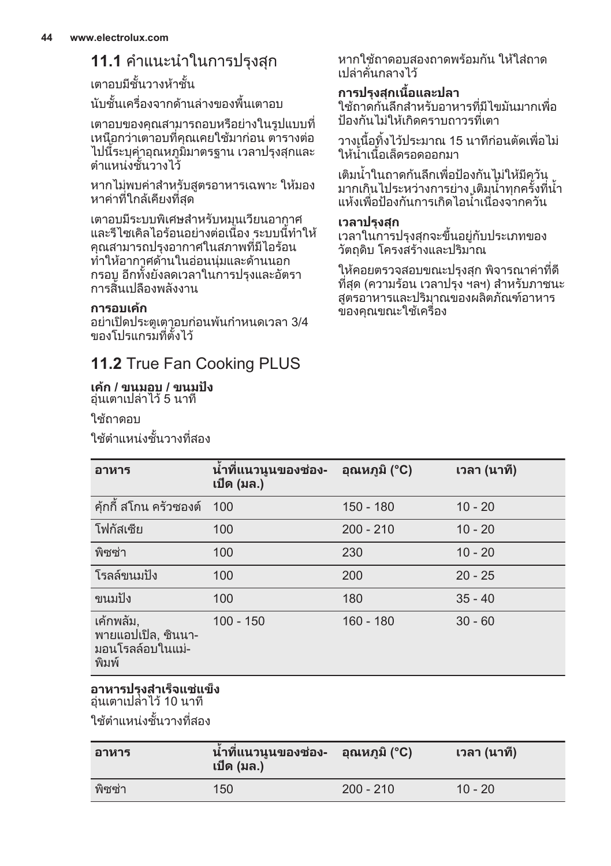## **11.1** คำแนะนำในการปรุงสุก

เตาอบมีชั้นวางหาชั้น

้านชั้นเครื่องจากด้านล่างของพื้นเตาอบ

เตาอบของคุณสามารถอบหรือยางในรูปแบบที่ เหนือกวาเตาอบที่คุณเคยใชมากอน ตารางตอ ไปนี้ระบุค่าอุณหภูมิมาตรฐาน เวลาปรุงสุกและ ้ตำแหน่งชั้นวางไว้

หากไมพบคาสำหรับสูตรอาหารเฉพาะ ใหมอง หาคาที่ใกลเคียงที่สุด

เตาอบมีระบบพิเศษสำหรับหมุนเวียนอากาศ และรีไซเคิลไอรอนอยางตอเนื่อง ระบบนี้ทำให คุณสามารถปรุงอากาศในสภาพที่มีไอรอน ทำใหอากาศดานในออนนุมและดานนอก กรอบ อีกทั้งยังลดเวลาในการปรุงและอัตรา การสิ้นเปลืองพลังงาน

### **การอบเคก**

อยาเปดประตูเตาอบกอนพนกำหนดเวลา 3/4 ของโปรแกรมที่ตั้งไว้

## **11.2** True Fan Cooking PLUS

#### **เคก / ขนมอบ / ขนมปง** อุนเตาเปลาไว 5 นาที

ใช้ถาดอบ

ใชตำแหนงชั้นวางที่สอง

หากใช้กาดอบสองกาดพร้อบกับ ให้ใส่กาด เปลาคั่นกลางไว

### **การปรุงสุกเนื้อและปลา**

ใชถาดกนลึกสำหรับอาหารที่มีไขมันมากเพื่อ ปองกันไมใหเกิดคราบถาวรที่เตา

วางเนื้อทิ้งไวประมาณ 15 นาทีกอนตัดเพื่อไม ีวางเผยกง เวยวะมาเหาาย<br>ให้น้ำเนื้อเล็ดรอดออกมา

เติมน้ำในถาดกนลึกเพื่อปองกันไมใหมีควัน มากเกินไประหวางการยาง เติมน้ำทุกครั้งที่น้ำ แหงเพื่อปองกันการเกิดไอน้ำเนื่องจากควัน

#### **เวลาปรุงสุก**

เวลาในการปรุงสุกจะขึ้นอยูกับประเภทของ วัตถุดิบ โครงสรางและปริมาณ

ใหคอยตรวจสอบขณะปรุงสุก พิจารณาคาที่ดี ที่สุด (ความรอน เวลาปรุง ฯลฯ) สำหรับภาชนะ สูตรอาหารและปริมาณของผลิตภัณฑอาหาร ของคุณขณะใช้เครื่อง

| อาหาร                                                          | น้ำที่แนวนูนของช่อง-<br>เปิด (มล.) | อุณหภูมิ (°C) | ้เวลา (นาที) |
|----------------------------------------------------------------|------------------------------------|---------------|--------------|
| ค้กกี้ สโกน ครัวซองต์                                          | 100                                | $150 - 180$   | $10 - 20$    |
| โฟกัสเซีย                                                      | 100                                | $200 - 210$   | $10 - 20$    |
| พิซซ่า                                                         | 100                                | 230           | $10 - 20$    |
| โรลล์ขนมปัง                                                    | 100                                | 200           | $20 - 25$    |
| ขนมปัง                                                         | 100                                | 180           | $35 - 40$    |
| เค้กพลัม,<br>พายแอปเปิล, ซินนา-<br>ุ่มอนโรลล์อบในแม่-<br>พิมพ์ | $100 - 150$                        | $160 - 180$   | $30 - 60$    |

#### **อาหารปรุงสำเร็จแชแข็ง** อุนเตาเปลาไว 10 นาที

ใชตำแหนงชั้นวางที่สอง

| อาหาร  | น้ำที่แนวนูนของช่อง- อุณหภูมิ (°C)<br>เปิด (มล.) |             | ี เวลา (นาที) |
|--------|--------------------------------------------------|-------------|---------------|
| พิซซ่า | 150                                              | $200 - 210$ | $10 - 20$     |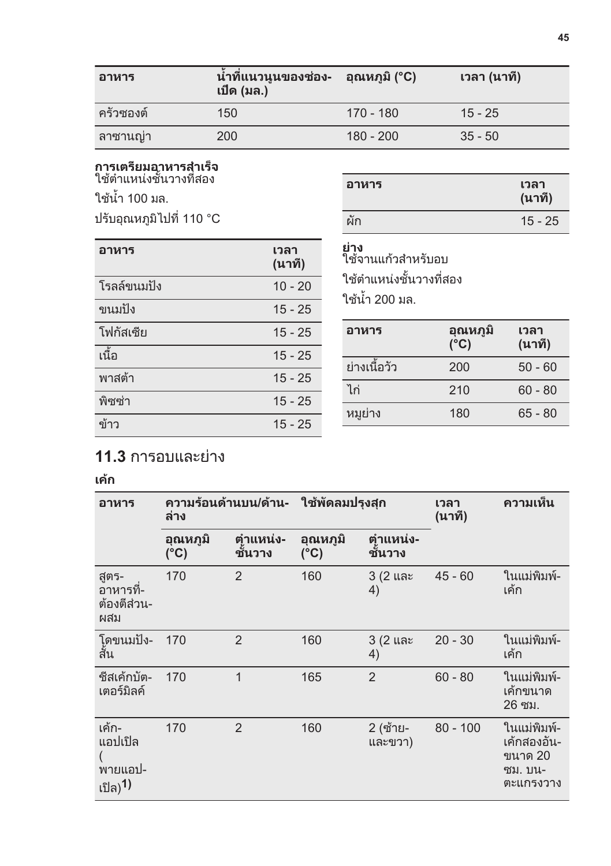| อาหาร     | ้น้ำที่แนวนูนของช่อง-<br>เปิด (มล.) | ือณหภมิ (°C) | ีเวลา (นาที) |
|-----------|-------------------------------------|--------------|--------------|
| ครัวซองต์ | 150                                 | 170 - 180    | $15 - 25$    |
| ิลาซานญ่า | 200                                 | $180 - 200$  | $35 - 50$    |

# **การเตรียมอาหารสำเร็จ**<br>ใช้ตำแหน่งชั้นวางที่สอง

ใชน้ำ 100 มล.

ปรับอุณหภูมิไปที่ 110 °C

| อาหาร | เวลา<br>(นาที) |
|-------|----------------|
| ผัก   | $15 - 25$      |

| อาหาร       | เวลา<br>(นาที) |
|-------------|----------------|
| โรลล์ขนมปัง | $10 - 20$      |
| ขนมปัง      | $15 - 25$      |
| โฟกัสเซีย   | $15 - 25$      |
| ้เนื้อ      | $15 - 25$      |
| พาสต้า      | $15 - 25$      |
| พิซซ่า      | $15 - 25$      |
| ข้าว        | $15 - 25$      |

### **ยาง**

ใช้จานแก้วสำหรับอบ ใชตำแหนงชั้นวางที่สอง ใชน้ำ 200 มล.

| อาหาร        | อุณหภูมิ<br>(°C) | เวลา<br>(นาที) |
|--------------|------------------|----------------|
| ย่างเนื้อวัว | 200              | $50 - 60$      |
| ไก่          | 210              | $60 - 80$      |
| หมย่าง       | 180              | $65 - 80$      |

## **11.3** การอบและยาง

### **เคก**

| อาหาร                                                 | ความร้อนด้านบน/ด้าน-<br>ล่าง |                     | ใช้พัดลมปรงสก             |                     | เวลา<br>(นาที) | ความเห็น                                                      |
|-------------------------------------------------------|------------------------------|---------------------|---------------------------|---------------------|----------------|---------------------------------------------------------------|
|                                                       | อุณหภูมิ<br>$(^{\circ}C)$    | ้ตำแหน่ง-<br>ชันวาง | อุณหภูมิ<br>$(^{\circ}C)$ | ตำแหน่ง-<br>ชันวาง  |                |                                                               |
| สูตร-<br>อาหารที-<br>ต้องตีส่วน-<br>ผสม               | 170                          | 2                   | 160                       | 3 (2 และ<br>4)      | $45 - 60$      | ในแม่พิมพ์-<br>เค้ก                                           |
| โดขนมปัง-<br>สั้น                                     | 170                          | $\overline{2}$      | 160                       | 3 (2 และ<br>4)      | $20 - 30$      | ในแม่พิมพ์-<br>เค้ก                                           |
| ชีสเค้กบัต-<br>เตอร์มิลค์                             | 170                          | 1                   | 165                       | $\overline{2}$      | $60 - 80$      | ในแม่พิมพ์-<br>เค้กขนาด<br>26 ซม.                             |
| เค้ก-<br>แอปเปิล<br>้พายแอป-<br>ู <sub>เปิล)</sub> 1) | 170                          | $\overline{2}$      | 160                       | 2 (ซ้าย-<br>และขวา) | $80 - 100$     | ในแม่พิมพ์-<br>เค้กสองอัน-<br>ขนาด 20<br>ซม. บน-<br>ตะแกรงวาง |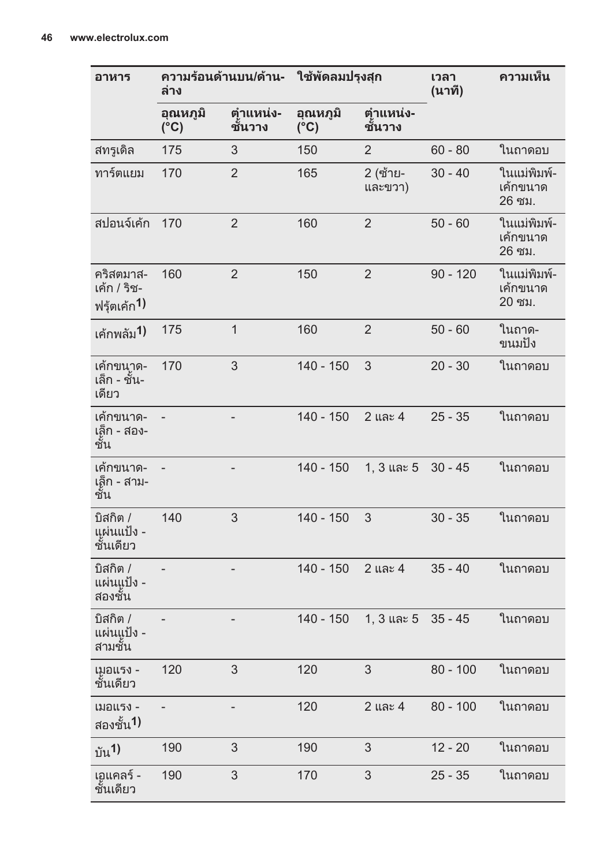| อาหาร                                               | ความร้อนด้านบน/ด้าน-<br>ล่าง |                          | ใช้พัดลมปรุงสุก           |                     | เวลา<br>(นาที) | ความเห็น                          |
|-----------------------------------------------------|------------------------------|--------------------------|---------------------------|---------------------|----------------|-----------------------------------|
|                                                     | อุณหภูมิ<br>$(^{\circ}C)$    | ตำแหน่ง-<br>ชันวาง       | อุณหภูมิ<br>$(^{\circ}C)$ | ตำแหน่ง-<br>ชันวาง  |                |                                   |
| สทรูเดิล                                            | 175                          | 3                        | 150                       | $\overline{2}$      | $60 - 80$      | ในถาดอบ                           |
| ทาร์ตแยม                                            | 170                          | $\overline{2}$           | 165                       | 2 (ซ้าย-<br>และขวา) | $30 - 40$      | ในแม่พิมพ์-<br>เค้กขนาด<br>26 ซม. |
| สปอนจ์เค้ก                                          | 170                          | $\overline{2}$           | 160                       | $\overline{2}$      | $50 - 60$      | ในแม่พิมพ์-<br>เค้กขนาด<br>26 ซม. |
| คริสตมาส-<br>เค้ก / ริช-<br>ฟรุ้ตเค้ก <sup>1)</sup> | 160                          | $\overline{2}$           | 150                       | $\overline{2}$      | $90 - 120$     | ในแม่พิมพ์-<br>เค้กขนาด<br>20 ซม. |
| เค้กพลัม <sup>1)</sup>                              | 175                          | $\mathbf{1}$             | 160                       | $\overline{2}$      | $50 - 60$      | ในถาด-<br>ขนมปัง                  |
| เค้กขนาด-<br>เล็ก - ชัน-<br>เดียว                   | 170                          | 3                        | 140 - 150                 | 3                   | $20 - 30$      | ในถาดอบ                           |
| เค้กขนาด-<br>เล็ก - สอง-<br>ชัน                     |                              | $\overline{\phantom{0}}$ | $140 - 150$               | 2 และ 4             | $25 - 35$      | ในถาดอบ                           |
| เค้กขนาด-<br>เล็ก - สาม-<br>ชั้น                    |                              | L                        | 140 - 150                 | 1, 3 และ 5          | $30 - 45$      | ในถาดอบ                           |
| บิสกิต /<br>แผ่นแป้ง -<br>ชั้นเดียว                 | 140                          | 3                        | $140 - 150$               | 3                   | $30 - 35$      | ในถาดอบ                           |
| บิสกิต /<br>แผ่นแูป้ง -<br>สองชัน                   |                              |                          | $140 - 150$               | 2 และ 4             | $35 - 40$      | ในถาดอบ                           |
| บิสกิต /<br>แผ่นแูป้ง -<br>สามชัน                   |                              | -                        | 140 - 150                 | 1, 3 และ 5          | $35 - 45$      | ในถาดอบ                           |
| เมอแรง -<br>ชันเดียว                                | 120                          | 3                        | 120                       | 3                   | $80 - 100$     | ในถาดอบ                           |
| เมอแรง -<br>สองชั้น <sup>1)</sup>                   |                              | $\overline{\phantom{0}}$ | 120                       | 2 และ 4             | $80 - 100$     | ในถาดอบ                           |
| บัน <sup>1</sup> )                                  | 190                          | 3                        | 190                       | 3                   | $12 - 20$      | ในถาดอบ                           |
| เอแคลร์ -<br>ชันเดียว                               | 190                          | 3                        | 170                       | 3                   | 25 - 35        | ในถาดอบ                           |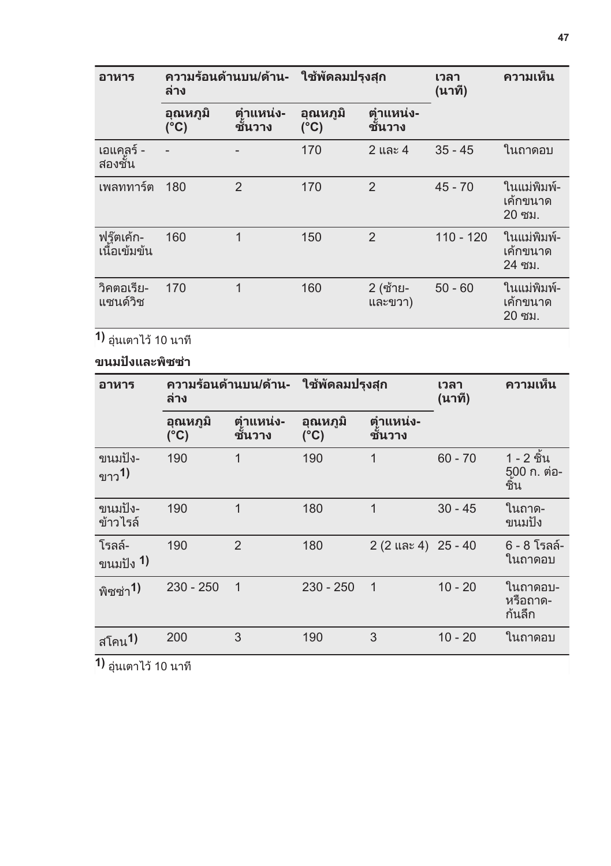| อาหาร                      | ีความร้อนด้านบน/ด้าน-<br>ล่าง |                    | ใช้พัดลมปรงสก    |                      | เวลา<br>(นาที) | ความเห็น                           |
|----------------------------|-------------------------------|--------------------|------------------|----------------------|----------------|------------------------------------|
|                            | อุณหภูมิ<br>$(^{\circ}C)$     | ตำแหน่ง-<br>ชันวาง | อุณหภูมิ<br>(°C) | ตุำแหน่ง-<br>ิชันวาง |                |                                    |
| เอแคลร์ -<br>สองชัน        |                               |                    | 170              | 2 และ 4              | $35 - 45$      | ในถาดอบ                            |
| เพลททาร์ต                  | 180                           | $\mathfrak{p}$     | 170              | $\overline{2}$       | $45 - 70$      | ในแม่พิมพ์-<br>้เค้กขนาด<br>20 ซม. |
| ฟรู๊ตเค้ก-<br>เนื้อเข้มข้น | 160                           | 1                  | 150              | $\overline{2}$       | $110 - 120$    | ในแม่พิมพ์-<br>้เค้กขนาด<br>24 ซม. |
| วิคตอเรีย-<br>แซนด์วิช     | 170                           | 1                  | 160              | 2 (ซ้าย-<br>และขวา)  | $50 - 60$      | ในแม่พิมพ์-<br>เค้กขนาด<br>20 ซม.  |

**1)** อุนเตาไว 10 นาที

### **ขนมปงและพิซซา**

| อาหาร                             | ีความร้อนด้านบน/ด้าน-<br>ล่าง |                    | ใช้พัดลมปรุงสุก           |                     |           |                                  | เวลา<br>(นาที) | ความเห็น |
|-----------------------------------|-------------------------------|--------------------|---------------------------|---------------------|-----------|----------------------------------|----------------|----------|
|                                   | อุณหภูมิ<br>$(^{\circ}C)$     | ตำแหน่ง-<br>ชันวาง | อุณหภูมิ<br>$(^{\circ}C)$ | ตำแหน่ง-<br>ชันวาง  |           |                                  |                |          |
| ขนมปัง-<br>์<br>ขาว <sup>1)</sup> | 190                           | 1                  | 190                       | 1                   | $60 - 70$ | 1 - 2 ชิ้น<br>500 ก. ต่อ-<br>ชิน |                |          |
| ขนมปัง-<br>ข้าวไรล์               | 190                           | 1                  | 180                       | 1                   | $30 - 45$ | ในถาด-<br>ขนมปัง                 |                |          |
| ์ โรลล์-<br>ขนมปัง <b>1</b> )     | 190                           | $\overline{2}$     | 180                       | 2 (2 และ 4) 25 - 40 |           | 6 - 8 โรลล์-<br>ในถาดอบ          |                |          |
| พิซซ่า <sup>1)</sup>              | $230 - 250$                   | $\mathbf 1$        | $230 - 250$               | $\mathbf{1}$        | $10 - 20$ | ในถาดอบ-<br>หรือถาด-<br>ก้นลึก   |                |          |
| ี <sub>สโคน</sub> 1)              | 200                           | 3                  | 190                       | 3                   | $10 - 20$ | ในถาดอบ                          |                |          |
| <b>1)</b> อุ่นเตาไว้ 10 นาที      |                               |                    |                           |                     |           |                                  |                |          |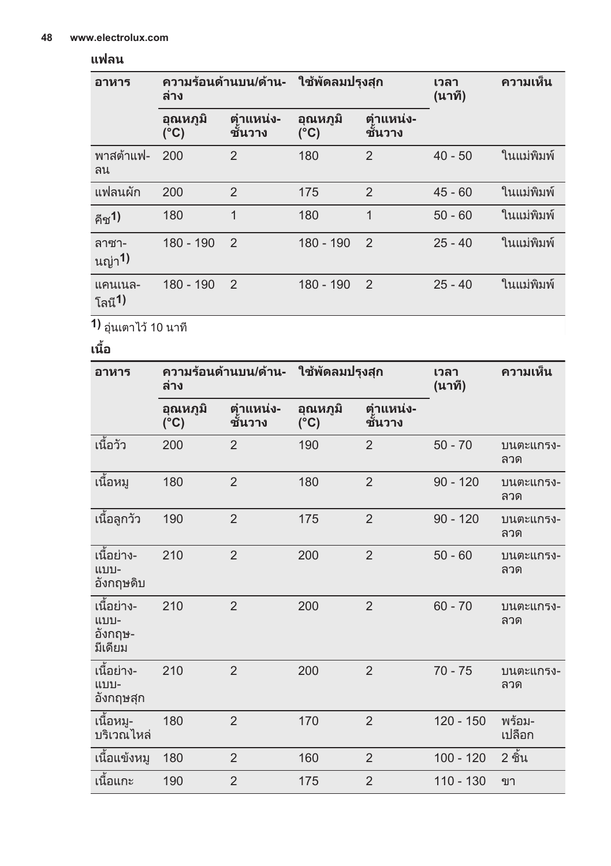### **แฟลน**

| อาหาร                          | ความร้อนด้านบน/ด้าน-<br>ล่าง |                                                   | ใช้พัดลมปรุงสุก           |                      | เวลา<br>(นาที) | ความเห็น   |
|--------------------------------|------------------------------|---------------------------------------------------|---------------------------|----------------------|----------------|------------|
|                                | อณหภมิ<br>$(^{\circ}C)$      | ตำแหน่ง-<br>ั้ <sup>รู</sup> ้ :******<br>ชั้นวาง | อุณหภูมิ<br>$(^{\circ}C)$ | ตุำแหน่ง-<br>ิชันวาง |                |            |
| พาสต้าแฟ-<br>ิลน               | 200                          | $\overline{2}$                                    | 180                       | $\overline{2}$       | $40 - 50$      | ในแม่พิมพ์ |
| แฟลนผัก                        | 200                          | $\overline{2}$                                    | 175                       | $\overline{2}$       | $45 - 60$      | ในแม่พิมพ์ |
| คีช <sup>1</sup> )             | 180                          | 1                                                 | 180                       | 1                    | $50 - 60$      | ในแม่พิมพ์ |
| ลาซา-<br>ู้ <sub>นญ่า</sub> 1) | $180 - 190$                  | $\mathcal{P}$                                     | 180 - 190                 | $\overline{2}$       | $25 - 40$      | ในแม่พิมพ์ |
| แคนเนล-<br>โลนี <b>1</b> )     | $180 - 190$                  | $\overline{2}$                                    | 180 - 190                 | $\overline{2}$       | $25 - 40$      | ในแม่พิมพ์ |

**1)** อุนเตาไว 10 นาที

**เนื้อ**

| อาหาร                                    | ความร้อนด้านบน/ด้าน-<br>ล่าง |                    | ใช้พัดลมปรุงสุก           |                    | เวลา<br>(นาที) | ความเห็น         |
|------------------------------------------|------------------------------|--------------------|---------------------------|--------------------|----------------|------------------|
|                                          | อุณหภูมิ<br>$(^{\circ}C)$    | ตำแหน่ง-<br>ชันวาง | อุณหภูมิ<br>$(^{\circ}C)$ | ตำแหน่ง-<br>ชันวาง |                |                  |
| เนื้อวัว                                 | 200                          | $\overline{2}$     | 190                       | $\overline{2}$     | $50 - 70$      | บนตะแกรง-<br>ลวด |
| เนื้อหมู                                 | 180                          | $\overline{2}$     | 180                       | $\overline{2}$     | $90 - 120$     | บนตะแกรง-<br>ลวด |
| เนื้อลูกวัว                              | 190                          | $\overline{2}$     | 175                       | $\overline{2}$     | $90 - 120$     | บนตะแกรง-<br>ลวด |
| เนื้อย่าง-<br>แบบ-<br>อังกฤษดิบ          | 210                          | $\overline{2}$     | 200                       | $\overline{2}$     | $50 - 60$      | บนตะแกรง-<br>ลวด |
| เนื้อย่าง-<br>แบบ-<br>อังกฤษ-<br>มีเดียม | 210                          | $\overline{2}$     | 200                       | $\overline{2}$     | $60 - 70$      | บนตะแกรง-<br>ลวด |
| เนื้อย่าง-<br>แบบ-<br>อังกฤษสุก          | 210                          | $\overline{2}$     | 200                       | $\overline{2}$     | $70 - 75$      | บนตะแกรง-<br>ลวด |
| เนื้อหมู-<br>บริเวณไหล่                  | 180                          | $\overline{2}$     | 170                       | $\overline{2}$     | $120 - 150$    | พร้อม-<br>เปลือก |
| เนื้อแข้งหมู                             | 180                          | $\overline{2}$     | 160                       | $\overline{2}$     | $100 - 120$    | 2 ชิ้น           |
| เนื้อแกะ                                 | 190                          | $\overline{2}$     | 175                       | $\overline{2}$     | $110 - 130$    | ขา               |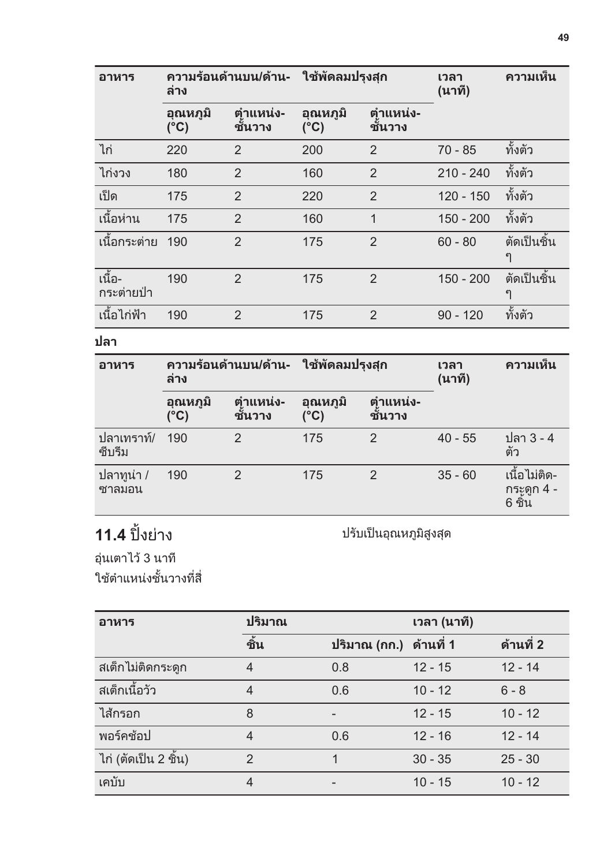| อาหาร                | ความร้อนด้านบน/ด้าน-<br><b>ล่าง</b> |                    | ใช้พัดลมปรุงสุก         |                     | เวลา<br>(นาที) | ความเห็น         |
|----------------------|-------------------------------------|--------------------|-------------------------|---------------------|----------------|------------------|
|                      | ือณหภมิ<br>$(^{\circ}C)$            | ตำแหน่ง-<br>ชันวาง | อณหภมิ<br>$(^{\circ}C)$ | ตุำแหน่ง-<br>ชันวาง |                |                  |
| ไก่                  | 220                                 | $\overline{2}$     | 200                     | 2                   | $70 - 85$      | ทั้งตัว          |
| ไก่งวง               | 180                                 | $\overline{2}$     | 160                     | $\overline{2}$      | $210 - 240$    | ทั้งตัว          |
| เป็ด                 | 175                                 | $\overline{2}$     | 220                     | $\overline{2}$      | $120 - 150$    | ทั้งตัว          |
| ้เนื้อห่าน           | 175                                 | $\overline{2}$     | 160                     | 1                   | $150 - 200$    | ทั้งตัว          |
| ้เนื้อกระต่าย        | 190                                 | $\overline{2}$     | 175                     | $\overline{2}$      | $60 - 80$      | ตัดเป็นชิ้น<br>၅ |
| เนื้อ-<br>กระต่ายป่า | 190                                 | $\overline{2}$     | 175                     | $\overline{2}$      | $150 - 200$    | ตัดเป็นชิ้น<br>၅ |
| ้เนื้อไก่ฟ้า         | 190                                 | $\overline{2}$     | 175                     | $\overline{2}$      | $90 - 120$     | ทั้งตัว          |

**ปลา**

| อาหาร                  | ีความร้อนด้านบน/ด้าน-<br>ล่าง |                     | ใช้พัดลมปรงสก            |                     | เวลา<br>(นาที) | ความเห็น                                |
|------------------------|-------------------------------|---------------------|--------------------------|---------------------|----------------|-----------------------------------------|
|                        | อุณหภูมิ<br>(°C)              | ตำแหน่ง-<br>ชั้นวาง | ือณหภมิ<br>$(^{\circ}C)$ | ตำแหน่ง-<br>ชั้นวาง |                |                                         |
| ุปลาเทราท์/<br>ซีบรีม  | 190                           | $\mathfrak{p}$      | 175                      | $\overline{2}$      | $40 - 55$      | ูปลา 3 - 4<br>ตัว                       |
| ีปลาทูน่า /<br>ิซาลมอน | 190                           | $\mathfrak{p}$      | 175                      | $\overline{2}$      | $35 - 60$      | ้เนื้อไม่ติด-<br>ุกระูดูก 4 -<br>6 ชิ้น |

# **11.4** ปงยาง

ปรับเปนอุณหภูมิสูงสุด

อุนเตาไว 3 นาที ใชตำแหนงชั้นวางที่สี่

| อาหาร                | ปริมาณ         |                        | ิเวลา (นาที) |           |  |
|----------------------|----------------|------------------------|--------------|-----------|--|
|                      | ชิ้น           | ปริมาณ (กก.) ด้านที่ 1 |              | ด้านที่ 2 |  |
| สเต็กไม่ติดกระดูก    | 4              | 0.8                    | $12 - 15$    | $12 - 14$ |  |
| ิสเต็กเนื้อวัว       | 4              | 0.6                    | $10 - 12$    | $6 - 8$   |  |
| ไส้กรอก              | 8              |                        | $12 - 15$    | $10 - 12$ |  |
| พอร์คช้อป            | $\overline{4}$ | 0.6                    | $12 - 16$    | $12 - 14$ |  |
| ไก่ (ตัดเป็น 2 ชิ้น) | $\mathfrak{p}$ |                        | $30 - 35$    | $25 - 30$ |  |
| เคบับ                | 4              |                        | $10 - 15$    | $10 - 12$ |  |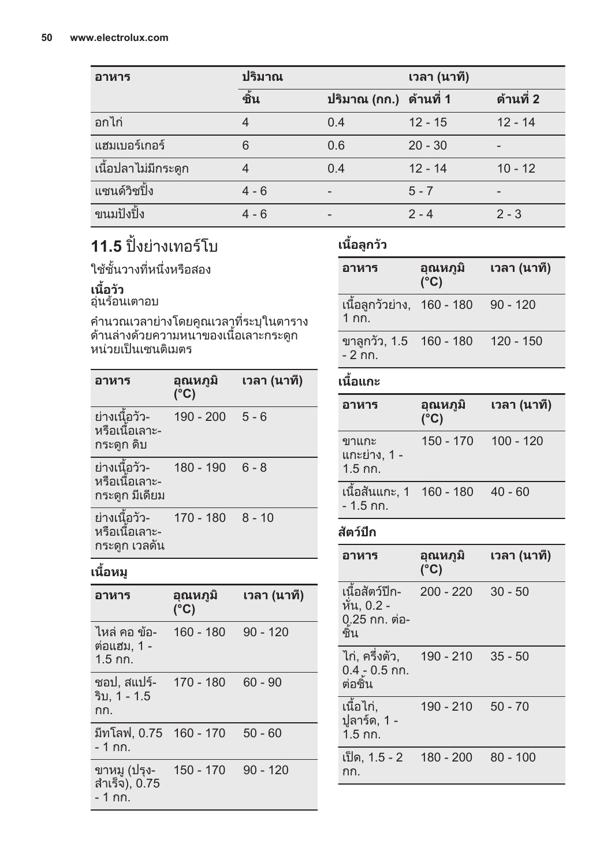| อาหาร                | ปริมาณ  |                        | เวลา (นาที) |           |
|----------------------|---------|------------------------|-------------|-----------|
|                      | ชั้น    | ปริมาณ (กก.) ด้านที่ 1 |             | ด้านที่ 2 |
| อกไก่                | 4       | 0.4                    | $12 - 15$   | $12 - 14$ |
| แฮมเบอร์เกอร์        | 6       | 0.6                    | $20 - 30$   | -         |
| ้เนื้อปลาไม่มีกระดูก | 4       | 0.4                    | $12 - 14$   | $10 - 12$ |
| แซนด์วิชปิ้ง         | $4 - 6$ |                        | $5 - 7$     | -         |
| ขนมปังปิ้ง           | $4 - 6$ |                        | $2 - 4$     | $2 - 3$   |

# **11.5** ปงยางเทอรโบ

ใชชั้นวางที่หนึ่งหรือสอง

### **เนื้อวัว**

อุนรอนเตาอบ

คำนวณเวลายางโดยคูณเวลาที่ระบุในตาราง ดานลางดวยความหนาของเนื้อเลาะกระดูก หนวยเปนเซนติเมตร

| อาหาร                                            | อณหภมิ<br>(°C) | เวลา (นาที) |
|--------------------------------------------------|----------------|-------------|
| ย่างเนื้อวัว-<br>หรือเนื้อเลาะ-<br>กระดูก ดิบ    | 190 - 200      | $5 - 6$     |
| ย่างเนื้อวัว-<br>หรือเนื้อเลาะ-<br>กระดก มีเดียม | 180 - 190      | $6 - 8$     |
| ย่างเนื้อวัว-<br>หรือเนื้อเลาะ-<br>กระดูก เวลดัน | 170 - 180      | $8 - 10$    |

## **เนื้อหมู**

| อาหาร                                     | อณหภมี<br>(°C) | เวลา (นาที) |
|-------------------------------------------|----------------|-------------|
| ไหล่ คอ ข้อ-<br>์ต่อแฮม. 1 -<br>$1.5$ กก. | $160 - 180$    | $90 - 120$  |
| ชอป, สแปร์-<br>ริบ. 1 - 1.5<br>กก.        | 170 - 180      | $60 - 90$   |
| ี่มีทโลฟ. 0.75   160 - 170<br>- 1 กก.     |                | $50 - 60$   |
| ขาหมู (ปรุง-<br>สำเร็จ), 0.75<br>- 1 กก.  | $150 - 170$    | $90 - 120$  |

## **เนื้อลูกวัว**

| อาหาร                                        | อณหภมิ<br>$(^{\circ}C)$ | เวลา (นาที) |
|----------------------------------------------|-------------------------|-------------|
| เนื้อลูกวัวย่าง, 160 - 180<br>1 กก.          |                         | 90 - 120    |
| ขาลูกวัว, 1.5 160 - 180 120 - 150<br>- 2 กก. |                         |             |
| เนื้อแกะ                                     |                         |             |

| อาหาร                                         | อุณหภูมิ<br>$(^{\circ}C)$ | ีเวลา (นาที) |
|-----------------------------------------------|---------------------------|--------------|
| ขาแกะ<br>แกะย่าง, 1 -<br>$1.5$ กก.            | 150 - 170 100 - 120       |              |
| เนื้อสันแกะ, 1 160 - 180 40 - 60<br>- 1.5 กก. |                           |              |

### **สัตวปก**

| อาหาร                                                       | อุณหภูมิ<br>$(^{\circ}C)$ | ีเวลา (นาที) |
|-------------------------------------------------------------|---------------------------|--------------|
| เนื้อสัตว์ปีก-<br>หั่น, 0.2 -<br>0.25 กก. ต่อ-<br>ซิน       | $200 - 220$               | $30 - 50$    |
| ไก่, ครึ่งตัว,       190 - 210<br>$0.4 - 0.5$ กก.<br>ต่อชิน |                           | $35 - 50$    |
| เนื้อไก่,<br>ปูลาร์ด, 1 -<br>$1.5$ กก.                      | 190 - 210                 | $50 - 70$    |
| เป็ด, 1.5 - 2<br>กก.                                        | 180 - 200                 | $80 - 100$   |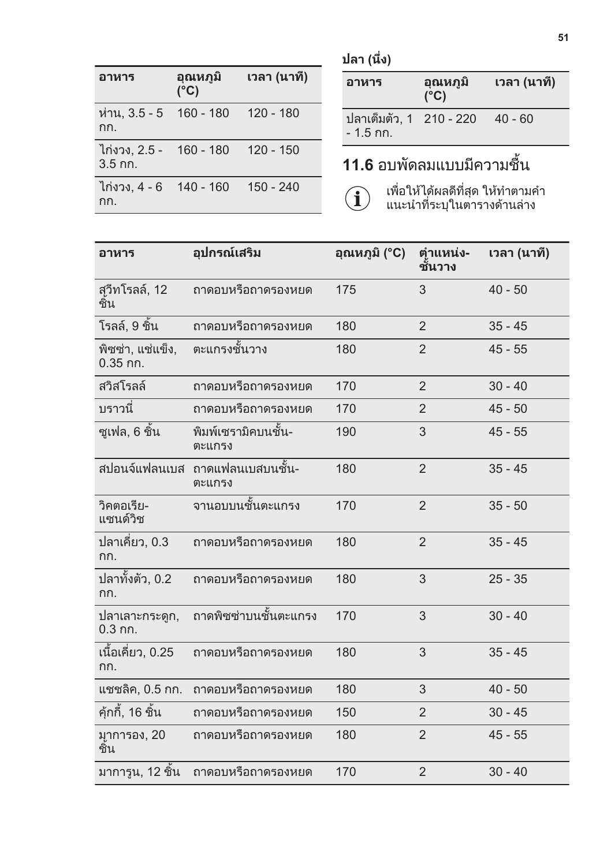| ×<br>$\sim$ |
|-------------|
|-------------|

| อาหาร                                    | อณหภมิ<br>$(^{\circ}C)$ | เวลา (นาที) |
|------------------------------------------|-------------------------|-------------|
| ห่าน, 3.5 - 5 160 - 180<br>กก.           |                         | 120 - 180   |
| ไก่งวง. 2.5 -     160 - 180<br>$3.5$ กก. |                         | 120 - 150   |
| ไก่งวง. 4 - 6  140 - 160<br>กก.          |                         | $150 - 240$ |

**ปลา (นึ่ง)**

| อาหาร                                        | อุณหภูมิ<br>$(^{\circ}C)$ | ีเวลา (นาที) |
|----------------------------------------------|---------------------------|--------------|
| ปลาเต็มตัว, 1 210 - 220 40 - 60<br>- 1.5 กก. |                           |              |
|                                              |                           |              |

## **11.6** อบพัดลมแบบมีความชื้น

 $\bigcirc$ 

เพื่อใหไดผลดีที่สุด ใหทำตามคำ แนะนำที่ระบุในตารางดานลาง

| อาหาร                          | อุปกรณ์เสริม                  | อุณหภูมิ (°C) | ตำแหน่ง-<br>ชันวาง | เวลา (นาที) |
|--------------------------------|-------------------------------|---------------|--------------------|-------------|
| สุวีทโรลล์, 12<br>ชิน          | ถาดอบหรือถาดรองหยด            | 175           | 3                  | $40 - 50$   |
| โรลล์, 9 ชิ้น                  | ถาดอบหรือถาดรองหยด            | 180           | $\overline{2}$     | $35 - 45$   |
| พิซซ่า, แช่แข็ง,<br>$0.35$ กก. | ัตะแกรงชั้นวาง                | 180           | $\overline{2}$     | $45 - 55$   |
| สวิสโรลล์                      | ถาดอบหรือถาดรองหยด            | 170           | $\overline{2}$     | $30 - 40$   |
| บราวนี่                        | ถาดอบหรือถาดรองหยด            | 170           | $\overline{2}$     | $45 - 50$   |
| ซูเฟล, 6 ชิ้น                  | พิมพ์เซรามิคบนชั้น-<br>ตะแกรง | 190           | 3                  | $45 - 55$   |
| สปอนจ์แฟลนเบส                  | ิถาดแฟลนเบสบนชั้น-<br>ตะแกรง  | 180           | $\mathfrak{p}$     | $35 - 45$   |
| วิคตอเรีย-<br>แซนด์วิช         | จานอบบนชั้นตะแกรง             | 170           | $\overline{2}$     | $35 - 50$   |
| ปลาเคี่ยว, 0.3<br>กก.          | ถาดอบหรือถาดรองหยด            | 180           | $\overline{2}$     | $35 - 45$   |
| ปลาทั้งตัว, 0.2<br>กก.         | ถาดอบหรือถาดรองหยด            | 180           | 3                  | $25 - 35$   |
| ปลาเลาะกระดูก,<br>$0.3$ กก.    | ถาดพิซซ่าบนชั้นตะแกรง         | 170           | 3                  | $30 - 40$   |
| เนื้อเคี่ยว, 0.25<br>กก.       | ถาดอบหรือถาดรองหยด            | 180           | 3                  | $35 - 45$   |
| แชชลิค, 0.5 กก.                | ถาดอบหรือถาดรองหยด            | 180           | 3                  | $40 - 50$   |
| คุ้กกี้, 16 ชิ้น               | ถาดอบหรือถาดรองหยด            | 150           | $\overline{2}$     | $30 - 45$   |
| มาการอง, 20<br>ชิน             | ถาดอบหรือถาดรองหยด            | 180           | $\overline{2}$     | $45 - 55$   |
| มาการูน, 12 ชิ้น               | ถาดอบหรือถาดรองหยด            | 170           | $\overline{2}$     | $30 - 40$   |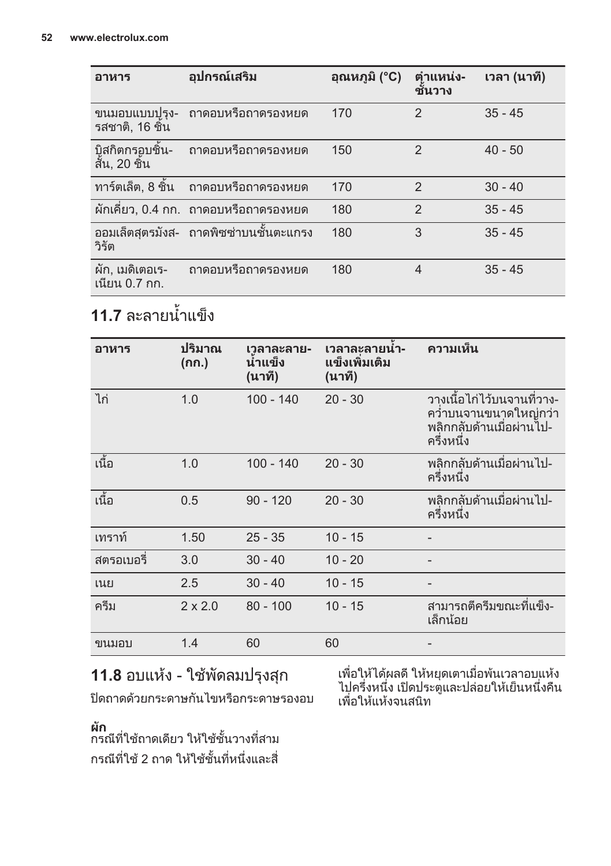| อาหาร                             | อุปกรณ์เสริม                            | อุณหภูมิ (°C) | ้ตำแหน่ง-<br>ชันวาง | ิเวลา (นาที) |
|-----------------------------------|-----------------------------------------|---------------|---------------------|--------------|
| ขนมอบแบบปุรุง-<br>รสชาติ. 16 ชิน  | ถาดอบหรือถาดรองหยด                      | 170           | $\mathfrak{p}$      | $35 - 45$    |
| บิสกิตกรอบชิ้น-<br>สัน. 20 ชิน    | ิถาดอบหรือถาดรองหยด                     | 150           | $\mathcal{P}$       | $40 - 50$    |
| ทาร์ตเล็ต, 8 ชิ้น                 | ิถาดอบหรือถาดรองหยด                     | 170           | $\mathfrak{p}$      | $30 - 40$    |
|                                   | ผักเคี่ยว, 0.4 กก. ถาดอบหรือถาดรองหยด   | 180           | $\overline{2}$      | $35 - 45$    |
| วิรัต                             | ้ออมเล็ตสุตรมังส- ถาดพิซซ่าบนชั้นตะแกรง | 180           | 3                   | $35 - 45$    |
| ผัก, เมดิเตอเร-<br>ูเนียน 0.7 กก. | ถาดอบหรือถาดรองหยด                      | 180           | 4                   | $35 - 45$    |

# **11.7** ละลายน้ำแข็ง

| อาหาร      | ปริมาณ<br>(กก.) | เวลาละลาย-<br>นำแข็ง<br>(นาที) | เวลาละลายนำ-<br>แข็งเพิ่มเติม<br>(นาที) | ความเห็น                                                                                       |
|------------|-----------------|--------------------------------|-----------------------------------------|------------------------------------------------------------------------------------------------|
| ไก่        | 1.0             | $100 - 140$                    | $20 - 30$                               | ้วางเนื้อไก่ไว้บนจานที่วาง-<br>ควำบนจานขนาดใหญ่กว่า<br>็พลิกกลับด้านเมื่อผ่านไป-<br>ครึ่งหนึ่ง |
| ้เนื้อ     | 1.0             | $100 - 140$                    | $20 - 30$                               | ิพลิกกลับด้านเมื่อผ่านไป-<br>ครึ่งหนึ่ง                                                        |
| ้เนื้อ     | 0.5             | $90 - 120$                     | $20 - 30$                               | ็พลิกกลับด้านเมื่อผ่านไป-<br>ครึ่งหนึ่ง                                                        |
| เทราท์     | 1.50            | $25 - 35$                      | $10 - 15$                               |                                                                                                |
| สตรอเบอรี่ | 3.0             | $30 - 40$                      | $10 - 20$                               |                                                                                                |
| เนย        | 2.5             | $30 - 40$                      | $10 - 15$                               |                                                                                                |
| ครีม       | $2 \times 2.0$  | $80 - 100$                     | $10 - 15$                               | สามารถตีครีมขณะที่แข็ง-<br>เล็กน้อย                                                            |
| ขนมอบ      | 1.4             | 60                             | 60                                      |                                                                                                |

## **11.8** อบแหง - ใชพัดลมปรุงสุก

ปดถาดดวยกระดาษกันไขหรือกระดาษรองอบ

**ผัก**<br>กรณีที่ใช้ถาดเดียว ให้ใช้ชั้นวางที่สาม กรณีที่ใช 2 ถาด ใหใชชั้นที่หนึ่งและสี่

เพื่อให้ได้ผลดี ให้หยุดเตาเมื่อพ้นเวลาอบแห้ง ไปครึ่งหนึ่ง เปดประตูและปลอยใหเย็นหนึ่งคืน เพื่อใหแหงจนสนิท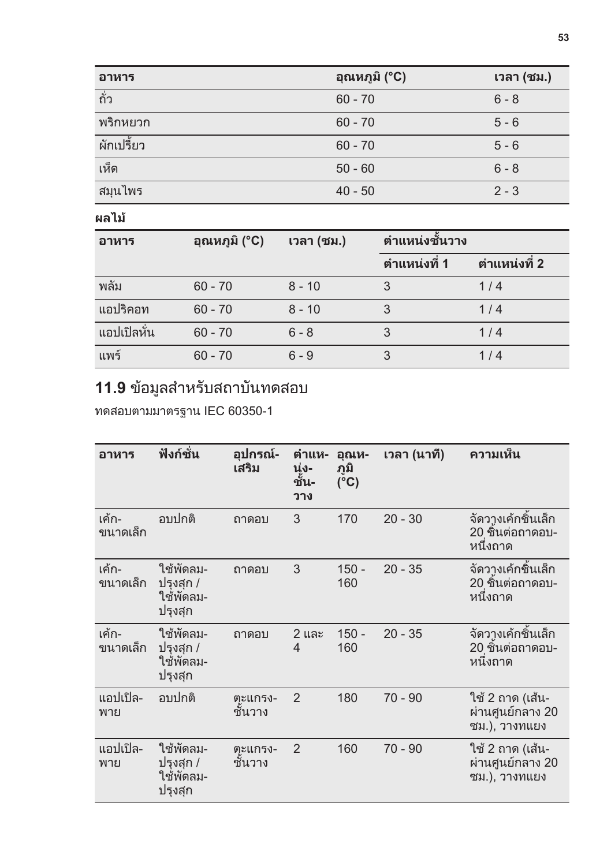| อาหาร       | ีอุณหภูมิ (°C) | เวลา (ชม.) |
|-------------|----------------|------------|
| ถั่ว        | $60 - 70$      | $6 - 8$    |
| พริกหยวก    | $60 - 70$      | $5 - 6$    |
| ้ผักเปรี้ยว | $60 - 70$      | $5 - 6$    |
| เห็ด        | $50 - 60$      | $6 - 8$    |
| สมุนไพร     | $40 - 50$      | $2 - 3$    |

**ผลไม**

| อาหาร       | อุณหภูมิ (°C) | เวลา (ชม.) | ตำแหน่งชั้นวาง  |                |
|-------------|---------------|------------|-----------------|----------------|
|             |               |            | ี่ ตำแหน่งที่ 1 | ี่ตำแหน่งที่ 2 |
| พลัม        | $60 - 70$     | $8 - 10$   | 3               | 1/4            |
| แอปริคอท    | $60 - 70$     | $8 - 10$   |                 | 1/4            |
| แอปเปิลหั่น | $60 - 70$     | $6 - 8$    |                 | 1/4            |
| แพร์        | $60 - 70$     | $6 - 9$    |                 | 1/4            |

## **11.9** ขอมูลสำหรับสถาบันทดสอบ

ทดสอบตามมาตรฐาน IEC 60350-1

| อาหาร             | ฟังก์ชั่น                                      | อุปกรณ์-<br>เสริม  | ตำแห-<br>นุ่ง-<br>ชั้น-<br>วาง | อุณห-<br>ภูมิ<br>(°C) | ิเวลา (นาที) | ความเห็น                                               |
|-------------------|------------------------------------------------|--------------------|--------------------------------|-----------------------|--------------|--------------------------------------------------------|
| เค้ก-<br>ขนาดเล็ก | อบปกติ                                         | ถาดอบ              | 3                              | 170                   | $20 - 30$    | จัดวางเค้กชิ้นเล็ก<br>20 ชิ้นต่อถาดอบ-<br>หนึ่งถาด     |
| เค้ก-<br>ขนาดเล็ก | ใช้พัดลม-<br>ปรุงสุก /<br>ใช้พัดลม-<br>ปรุงสุก | ถาดอบ              | 3                              | $150 -$<br>160        | $20 - 35$    | จัดวางเค้กชิ้นเล็ก<br>20 ชินต่อถาดอบ-<br>หนึ่งถาด      |
| เค้ก-<br>ขนาดเล็ก | ใช้พัดลม-<br>ปรุงสุก /<br>ใช้พัดลม-<br>ปรุงสุก | ถาดอบ              | 2 และ<br>4                     | $150 -$<br>160        | $20 - 35$    | จัดวางเค้กชิ้นเล็ก<br>20 ชินต่อถาดอบ-<br>หนึ่งถาด      |
| แอปเปิล-<br>พาย   | อบปกติ                                         | ตะแกรง-<br>ชั้นวาง | $\overline{2}$                 | 180                   | $70 - 90$    | ใช้ 2 ถาด (เส้น-<br>้ผ่านศูนย์กลาง 20<br>ซม.), วางทแยง |
| แอปเปิล-<br>พาย   | ใช้พัดลม-<br>ปรุงสุก /<br>ใช้พัดลม-<br>ปรุงสุก | ตะแกรง-<br>ชั้นวาง | $\overline{2}$                 | 160                   | $70 - 90$    | ใช้ 2 ถาด (เส้น-<br>้ผ่านศูนย์กลาง 20<br>ซม.), วางทแยง |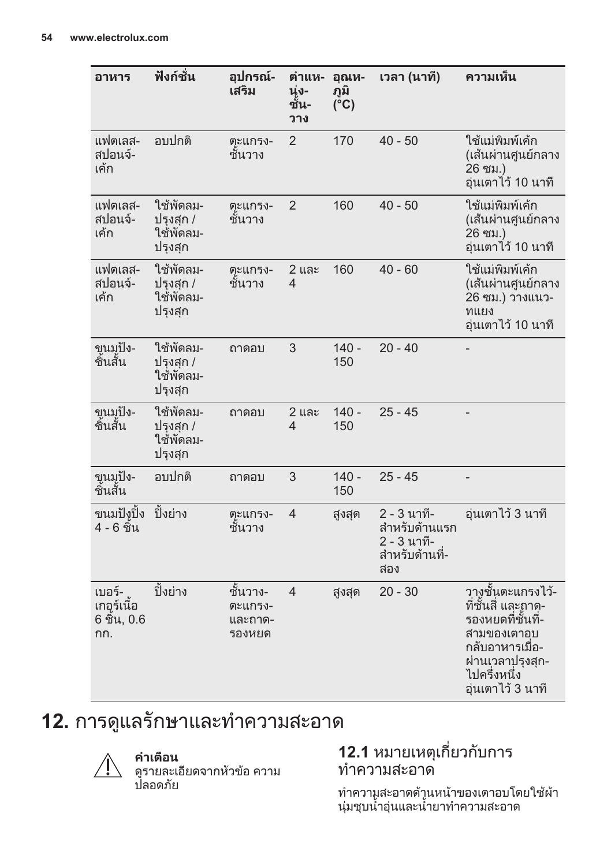<span id="page-53-0"></span>

| อาหาร                                      | ฟังก์ชั่น                                      | อุปกรณ์-<br>เสริม                        | ตำแห-<br>นุ่ง-<br>ชัน-<br>วาง | อุณห-<br>ภูมิ<br>$(\overline{C})$ | เวลา (นาที)                                                          | ความเห็น                                                                                                                                              |
|--------------------------------------------|------------------------------------------------|------------------------------------------|-------------------------------|-----------------------------------|----------------------------------------------------------------------|-------------------------------------------------------------------------------------------------------------------------------------------------------|
| แฟตเลส-<br>สปอนจ์-<br>เค้ก                 | อบปกติ                                         | ตะแกรง-<br>ชันวาง                        | $\overline{2}$                | 170                               | $40 - 50$                                                            | ใช้แม่พิมพ์เค้ก<br>(เส้นผ่านศูนย์กลาง<br>26 ซม.)<br>อุ่นเตาไว้ 10 นาที                                                                                |
| แฟตเลส-<br>สปอนจ์-<br>เค้ก                 | ใช้พัดลม-<br>ปรงสก /<br>ใช้พัดลม-<br>ปรุงสุก   | ตะแกรง-<br>ชั้นวาง                       | $\overline{2}$                | 160                               | $40 - 50$                                                            | ใช้แม่พิมพ์เค้ก<br>(เส้นผ่านศูนย์กลาง<br>26 ซม.)<br>อุ่นเตาไว้ 10 นาที                                                                                |
| แฟตเลส-<br>สปอนจ์-<br>เค้ก                 | ใช้พัดลม-<br>ปรุงสุก /<br>ใช้พัดลม-<br>ปรุงสุก | ตะแกรง-<br>ชันวาง                        | 2 และ<br>4                    | 160                               | $40 - 60$                                                            | ใช้แม่พิมพ์เค้ก<br>(เส้นผ่านศูนย์กลาง<br>26 ซม.) วางแนว-<br>ทแยง<br>อุ่นเตาไว้ 10 นาที                                                                |
| ขนมปัง-<br>ชิ้นสั้น                        | ใช้พัดลม-<br>ปรงสก /<br>ใช้พัดลม-<br>ปรุงสุก   | ถาดอบ                                    | 3                             | $140 -$<br>150                    | $20 - 40$                                                            |                                                                                                                                                       |
| ขุนมุปัง-<br>ชิ้นสั้น                      | ใช้พัดลม-<br>ปรุงสุก /<br>ใช้พัดลม-<br>ปรุงสุก | ถาดอบ                                    | 2 และ<br>4                    | $140 -$<br>150                    | $25 - 45$                                                            |                                                                                                                                                       |
| ขนมปัง-<br>ชิ้นสั้น                        | อบปกติ                                         | ถาดอบ                                    | 3                             | $140 -$<br>150                    | $25 - 45$                                                            | $\overline{a}$                                                                                                                                        |
| ขนมปังูปิ้ง<br>4 - 6 ชิ้น                  | ปิ้งย่าง                                       | ตะแกรง-<br>ชันวาง                        | $\overline{4}$                | สูงสุด                            | 2 - 3 นาที-<br>สำหรับด้านแรก<br>2 - 3 นาที-<br>สำหรับด้านที่-<br>สอง | อุ่นเตาไว้ 3 นาที                                                                                                                                     |
| เบอร์-<br>เกอร์เนื้อ<br>6 ชิ้น, 0.6<br>กก. | ปิ้งย่าง                                       | ชั้นวาง-<br>ตะแกรง-<br>และถาด-<br>รองหยด | 4                             | สูงสุด                            | $20 - 30$                                                            | วางชั้นตะแกรงไว้-<br>ที่ชั้นสี่ และถาด-<br>รองหยดที่ชันที่-<br>สามของเตาอบ<br>กลับอาหารเมือ-<br>ผ่านเวลาปรุงสุก-<br>ไปครึ่งหนึ่ง<br>อุ่นเตาไว้ 3 นาที |

# **12.** การดูแลรักษาและทำความสะอาด



**คำเตือน** ดูรายละเอียดจากหัวขอ ความ ปลอดภัย

### **12.1** หมายเหตุเกี่ยวกับการ ทำความสะอาด

ทำความูสะอาดด้านหน้าของเตาอบโดยใช้ผ้า นุมชุบน้ำอุนและน้ำยาทำความสะอาด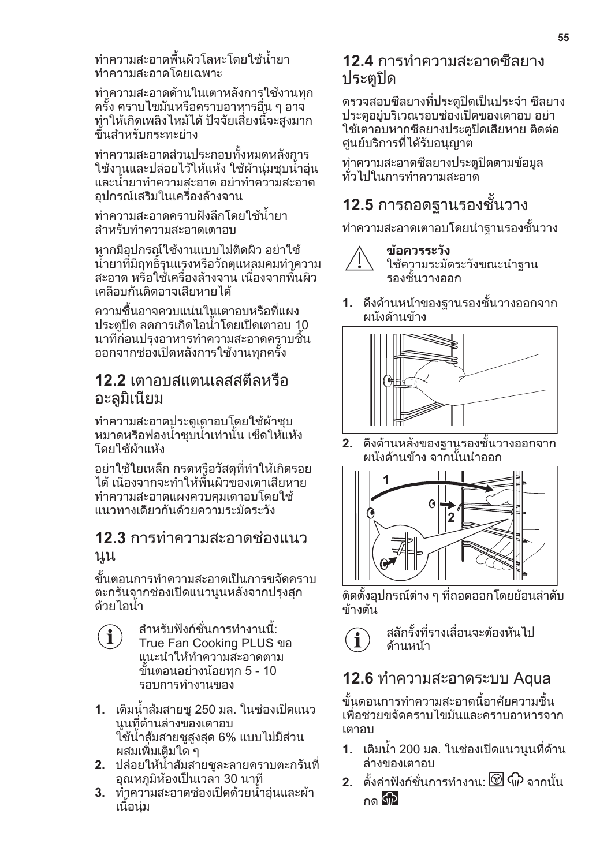ทำความสะอาดพื้นผิวโลหะโดยใชน้ำยา ทำความสะอาดโดยเฉพาะ

ทำความสะอาดด้านในเตาหลังการใช้งานทุก ครั้ง คราบไขมันหรือคราบอาหารอื่น ๆ อาจ ทำใหเกิดเพลิงไหมได ปจจัยเสี่ยงนี้จะสูงมาก ขึ้นสำหรับกระทะยาง

ทำความสะอาดสวนประกอบทั้งหมดหลังการ ่ ใช้งานและปล่อยไว้ให้แห้ง ใช้ผ้าน่มชบน้ำอ่น และน้ำยาทำความสะอาด อยาทำความสะอาด อุปกรณเสริมในเครื่องลางจาน

ทำความสะอาดคราบฝงลึกโดยใชน้ำยา สำหรับทำความสะอาดเตาอบ

หากมีอปกรณ์ใช้งานแบบไม่ติดผิว อย่าใช้ น้ำยาที่มีฤทธิ์รุนแรงหรือวัถตุแหลมคมทำความ ี สะอาด หรื่อใช้เครื่องล้างจาน เนื่องจากพื้นผิว เคลือบกันติดอาจเสียหายได

ความชื้นอาจควบแนนในเตาอบหรือที่แผง ประตูปด ลดการเกิดไอน้ำโดยเปดเตาอบ 10 นาทีกอนปรุงอาหารทำความสะอาดคราบชื้น ออกจากชองเปดหลังการใชงานทุกครั้ง

### **12.2** เตาอบสแตนเลสสตีลหรือ อะลูมิเนียม

ทำความสะอาดประตูเตาอบโดยใช้ผ้าชบ ้หมาดหรือฟองน้ำชบน้ำเท่านั้น เช็ดให้แห้ง โดยใช้ผ้าแห้ง

อยาใชใยเหล็ก กรดหรือวัสดุที่ทำใหเกิดรอย ได เนื่องจากจะทำใหพื้นผิวของเตาเสียหาย ทำความสะอาดแผงควบคุมเตาอบโดยใช้ แนวทางเดียวกันดวยความระมัดระวัง

### **12.3** การทำความสะอาดชองแนว นูน

ขั้นตอนการทำความสะอาดเปนการขจัดคราบ ตะกรันจากชองเปดแนวนูนหลังจากปรุงสุก ดวยไอน้ำ

- สำหรับฟงกชั่นการทำงานนี้:  $\mathbf{1}$ True Fan Cooking PLUS ขอ แนะนำใหทำความสะอาดตาม ขั้นตอนอยางนอยทุก 5 - 10 รอบการทำงานของ
- **1.** เติมน้ำสมสายชู 250 มล. ในชองเปดแนว นูนที่ดานลางของเตาอบ ใชน้ำสมสายชูสูงสุด 6% แบบไมมีสวน ผสมเพิ่มเติมใด ๆ
- **2.** ปลอยใหน้ำสมสายชูละลายคราบตะกรันที่ ้อณหภมิห้องเป็นเวลา 30 นาที
- **3.** ทำความสะอาดชองเปดดวยน้ำอุนและผา เนื้อนุม

### **12.4** การทำความสะอาดซีลยาง ประตูปด

ตรวจสอบซีลยางที่ประตูปดเปนประจำ ซีลยาง ประตอย่บริเวณรอบช่องเปิดของเตาอบ อย่า ใช้เตาอบหากซีลยางประตูปิดเสียหาย ติดต่อ ศูนย์บริการที่ได้รับอนุญาต

ทำความสะอาดซีลยางประตูปิดตามข้อมูล ทั่วไปในการทำความสะอาด

## **12.5** การถอดฐานรองชั้นวาง

ทำความสะอาดเตาอบโดยนำฐานรองชั้นวาง



#### **ขอควรระวัง** ใชความระมัดระวังขณะนำฐาน รองชั้นวางออก

**1.** ดึงดานหนาของฐานรองชั้นวางออกจาก ผนังด้านข้าง



**2.** ดึงดานหลังของฐานรองชั้นวางออกจาก ผนังด้านข้าง จากนั้นนำออก



ติดตั้งอปกรณ์ต่าง ๆ ที่ถอดออกโดยย้อนลำดับ ขางตน

สลักรั้งที่รางเลื่อนจะตองหันไป ดานหนา

## **12.6** ทำความสะอาดระบบ Aqua

ขั้นตอนการทำความสะอาดนี้อาศัยความชื้น เพื่อชวยขจัดคราบไขมันและคราบอาหารจาก เตาอบ

- **1.** เติมน้ำ 200 มล. ในชองเปดแนวนูนที่ดาน ลางของเตาอบ
- **2.** ตั้งคาฟงกชั่นการทำงาน: จากนั้น กด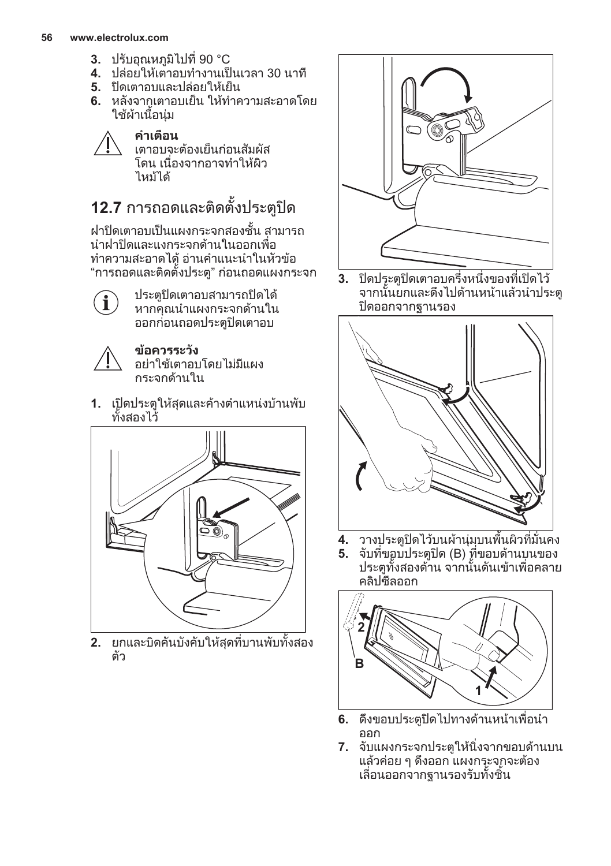#### **56 www.electrolux.com**

- **3.** ปรับอุณหภูมิไปที่ 90 °C
- **4.** ปลอยใหเตาอบทำงานเปนเวลา 30 นาที
- **5.** ปดเตาอบและปลอยใหเย็น
- **6.** หลังจากเตาอบเย็น ใหทำความสะอาดโดย ใชผาเนื้อนุม



## **12.7** การถอดและติดตั้งประตูปด

ฝาปดเตาอบเปนแผงกระจกสองชั้น สามารถ นำฝาปดและแงกระจกดานในออกเพื่อ ทำความสะอาดได้ อ่านคำแนะนำในหัวข้อ "การถอดและติดตั้งประตู" กอนถอดแผงกระจก

Î

ประตูปดเตาอบสามารถปดได หากคุณนำแผงกระจกดานใน ออกกอนถอดประตูปดเตาอบ



**ขอควรระวัง** อยาใชเตาอบโดยไมมีแผง กระจกด้านใน

**1.** เปดประตูใหสุดและคางตำแหนงบานพับ ทั้งสองไว



**2.** ยกและบิดคันบังคับใหสุดที่บานพับทั้งสอง ตัว



**3.** ปดประตูปดเตาอบครึ่งหนึ่งของที่เปดไว จากนั้นยกและดึงไปดานหนาแลวนำประตู ปดออกจากฐานรอง



- **4.** วางประตูปดไวบนผานุมบนพื้นผิวที่มั่นคง
- **5.** จับที่ขอบประตูปด (B) ที่ขอบดานบนของ ำไระตูทั้งสองด้าน จากนั้นดันเข้าเพื่อคลาย คลิปตีลออก



- **6.** ดึงขอบประตูปดไปทางดานหนาเพื่อนำ ออก
- **7.** จับแผงกระจกประตูใหนิ่งจากขอบดานบน แลวคอย ๆ ดึงออก แผงกระจกจะตอง เลื่อนออกจากฐานรองรับทั้งชิ้น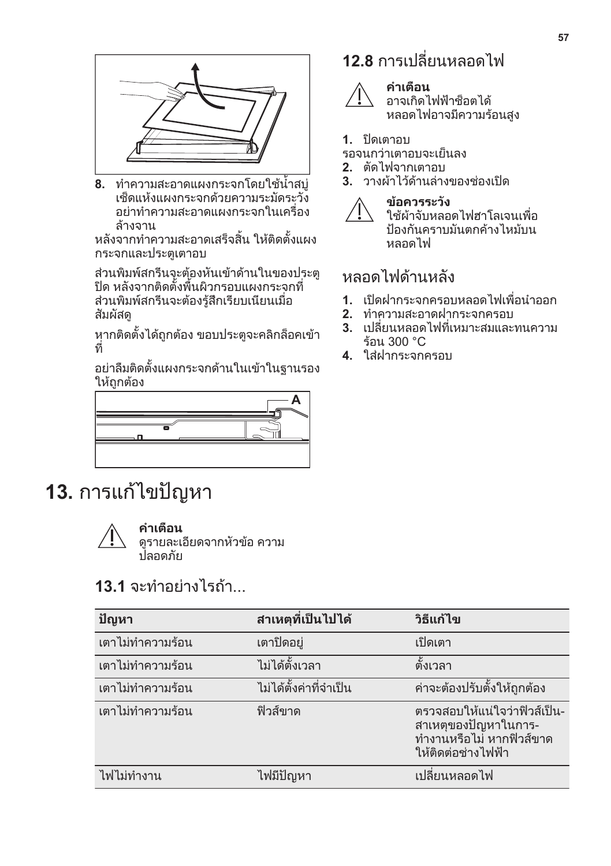<span id="page-56-0"></span>

**8.** ทำความสะอาดแผงกระจกโดยใชน้ำสบู เช็ดแหงแผงกระจกดวยความระมัดระวัง อยาทำความสะอาดแผงกระจกในเครื่อง ลางจาน

หลังจากทำความสะอาดเสร็จสิ้น ใหติดตั้งแผง กระจกและประตูเตาอบ

สวนพิมพสกรีนจะตองหันเขาดานในของประตู ปด หลังจากติดตั้งพื้นผิวกรอบแผงกระจกที่ สวนพิมพสกรีนจะตองรูสึกเรียบเนียนเมื่อ สัมผัสดู

หากติดตั้งได้ถูกต้อง ขอบประตูจะคลิกล็อคเข้า ที่

อยาลืมติดตั้งแผงกระจกดานในเขาในฐานรอง ให้ถกต้อง



# **13.** การแกไขปญหา



### **คำเตือน**

ดูรายละเอียดจากหัวขอ ความ ปลอดภัย

## **13.1** จะทำอย่างไรถ้า

| ปัญหา             | สาเหตุที่เป็นไปได้     | วิธีแก้ไข                                                                                                |
|-------------------|------------------------|----------------------------------------------------------------------------------------------------------|
| ้เตาไม่ทำความร้อน | เตาปิดอยู่             | เปิดเตา                                                                                                  |
| ้เตาไม่ทำความร้อน | ไม่ได้ตั้งเวลา         | ตั้งเวลา                                                                                                 |
| ้เตาไม่ทำความร้อน | ไม่ได้ตั้งค่าที่จำเป็น | ค่าจะต้องปรับตั้งให้ถูกต้อง                                                                              |
| ้เตาไม่ทำความร้อน | ฟิวส์ขาด               | ัตรวจสอบให้แน่ใจว่าฟิวส์เป็น-<br>้สาเหตุของปัญหาในการ-<br>ทำงานหรือไม่ หากฟิวส์ขาด<br>ให้ติดต่อช่างไฟฟ้า |
| ไฟไม่ทำงาน        | ไฟมีปัญหา              | ้เปลี่ยนหลอดไฟ                                                                                           |

## **12.8** การเปลี่ยนหลอดไฟ



### **คำเตือน**

้อาจเกิดไฟฟ้าช็อตได้ หลอดไฟอาจมีความรอนสูง

### **1.** ปิดเตาอบ

- รอจนกวาเตาอบจะเย็นลง
- **2.** ตัดไฟจากเตาอบ
- **3.** วางผาไวดานลางของชองเปด



ใชผาจับหลอดไฟฮาโลเจนเพื่อ ป้องกันคราบมันตกค้างไหม้บน หลอดไฟ

## หลอดไฟด้านหลัง

- **1.** เปดฝากระจกครอบหลอดไฟเพื่อนำออก
- **2.** ทำความสะอาดฝากระจกครอบ
- **3.** เปลี่ยนหลอดไฟที่เหมาะสมและทนความ รอน 300 °C
- **4.** ใสฝากระจกครอบ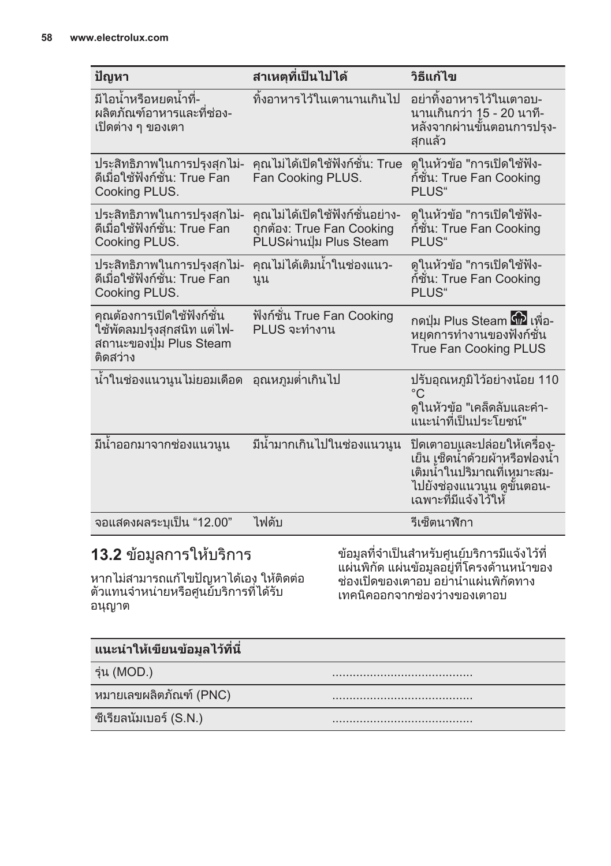| ปัญหา                                                                                          | สาเหตุที่เป็นไปได้                                                                      | วิธีแก้ไข                                                                                                                                            |
|------------------------------------------------------------------------------------------------|-----------------------------------------------------------------------------------------|------------------------------------------------------------------------------------------------------------------------------------------------------|
| มีไอน้ำหรือหยดน้ำที่-<br>ผลิตภัณฑ์อาหารและที่ช่อง-<br>้เปิดต่าง ๆ ของเตา                       | ทิ้งอาหารไว้ในเตานานเกินไป                                                              | ื่อย่าทิ้งอาหารไว้ในเตาอบ-<br>นานเกินกว่า 1ู5 - 20 นาที-<br>หลังจากผ่านขั้นตอนการปรุง-<br>สกแล้ว                                                     |
| ประสิทธิภาพในการปรุงสุกไม่-<br>ดีเมื่อใช้ฟังก์ชั่น: True Fan<br>Cooking PLUS.                  | คุณไม่ได้เปิดใช้ฟังก์ชั่น: True<br>Fan Cooking PLUS.                                    | ็ดในหัวข้อ "การเปิดใช้ฟัง-<br>ก์ชัน: True Fan Cooking<br>PLUS"                                                                                       |
| ประสิทธิภาพในการปรุงสุกไม่-<br>ดีเมื่อใช้ฟังก์ชัน: True Fan<br>Cooking PLUS.                   | คุณไม่ได้เปิดใช้ฟังก์ชั่นอย่าง-<br>ถูกต้อง: True Fan Cooking<br>PLUSผ่านปุ่ม Plus Steam | ้ดูในหัวข้อ "การเปิดใช้ฟัง-<br>ก์ชัน: True Fan Cooking<br>PLUS"                                                                                      |
| ประสิทธิภาพในการปรุงสุกไม่-<br>ดีเมื่อใช้ฟังก์ชัน: True Fan<br>Cooking PLUS.                   | คุณไม่ได้เติมน้ำในช่องแนว-<br>นูน                                                       | ิดในหัวข้อ "การเปิดใช้ฟัง-<br>ก์ชัน: True Fan Cooking<br>PLUS"                                                                                       |
| คุณต้องการเปิดใช้ฟังก์ชัน<br>ใช้พัดลมปรุงสุกสนิท แต่ไฟ-<br>สถานะของปุ่ม Plus Steam<br>ติดสว่าง | ฟังก์ชั่น True Fan Cooking<br>PLUS จะทำงาน                                              | กดปุ่ม Plus Steam ดีนี้ เพื่อ-<br>หยุดการทำงานของฟังก์ชั่น<br><b>True Fan Cooking PLUS</b>                                                           |
| น้ำในช่องแนวนูนไม่ยอมเดือด                                                                     | ้อุณหภูมต่ำเกินไป                                                                       | ูปรับอุณหภูมิไว้อย่างน้อย 110<br>$^{\circ}$ C<br>ดูในหัวข้อ "เคล็ดลับและคำ-<br>แ๋นะนำที่เป็นประโยชน์"                                                |
| มีนำออกมาจากช่องแนวนูน                                                                         | มีน้ำมากเกินไปในช่องแนวนูน                                                              | ปิดเตาอบและปล่อยให้เครื่อง-ู<br>้เย็น เช็ดน้ำด้วยผ้าหรือฟองน้ำ<br>้เติมน้ำในปริมาณที่เหูมาะสม-<br>ไปยังช่องแนวนูน ดูขั้นตอน-<br>เฉพาะที่มีแจ้งไว้ให้ |
| จอแสดงผลระบุเป็น "12.00"                                                                       | ไฟดับ                                                                                   | รีเซ็ตนาฬิกา                                                                                                                                         |

## **13.2** ขอมูลการใหบริการ

หากไม่สามารถแก้ไขปัญหาได้เอง ให้ติดต่อ ตัวแทนจำหนายหรือศูนยบริการที่ไดรับ อนุญาต

ข้อมูลที่จำเป็นสำหรับศูนย์บริการมีแจ้งไว้ที แผนพิกัด แผนขอมูลอยูที่โครงดานหนาของ ี่<br>ช่องเปิดของเตาอบ อย่านำแผ่นพิกัดทาง เทคนิคออกจากชองวางของเตาอบ

| <b>ู แนะนำให้เขียนข้อมูล</b> ไว้ที่นี่ |  |
|----------------------------------------|--|
| รุ่น (MOD.)                            |  |
| หมายเลขผลิตภัณฑ์ (PNC)                 |  |
| ซีเรียลนัมเบอร์ (S.N.)                 |  |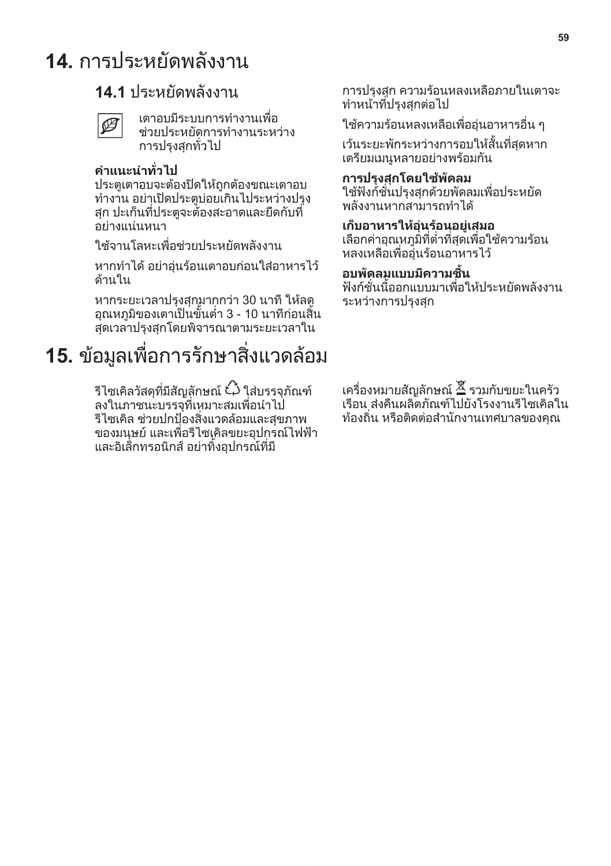# <span id="page-58-0"></span>**14.** การประหยัดพลังงาน

## **14.1** ประหยัดพลังงาน

| ۰, |
|----|
|    |

เตาอบมีระบบการทำงานเพื่อ ชวยประหยัดการทำงานระหวาง การปรุงสุกทั่วไป

### **คำแนะนำทั่วไป**

ประตูเตาอบจะตองปดใหถูกตองขณะเตาอบ ทำงาน อยาเปดประตูบอยเกินไประหวางปรุง สุก ปะเก็นที่ประตูจะตองสะอาดและยึดกับที่ อยางแนนหนา

ใชจานโลหะเพื่อชวยประหยัดพลังงาน

หากทำได้ อย่าอ่นร้อนเตาอบก่อนใส่อาหารไว้ ดานใน

หากระยะเวลาปรุงสุกมากกวา 30 นาที ใหลด อุณหภูมิของเตาเปนขั้นต่ำ 3 - 10 นาทีกอนสิ้น สุดเวลาปรุงสุกโดยพิจารณาตามระยะเวลาใน

# **15.** ขอมูลเพื่อการรักษาสิ่งแวดลอม

รีไซเคิลวัสดุที่มีสัญลักษณ์  $\breve{\mathcal{C}}$ ว ใส่บรรจภัณฑ์ ลงในภาชนะบรรจุที่เหมาะสมเพื่อนำไป รีไซเคิล ชวยปกปองสิ่งแวดลอมและสุขภาพ ของมนุษย์ และเพื่อรีไซเคิลขยะอุปกรณ์ไฟฟ้า และอิเล็กทรอนิกส อยาทิ้งอุปกรณที่มี

การปรุงสุก ความรอนหลงเหลือภายในเตาจะ ทำหนาที่ปรุงสุกตอไป

ใช้ความร้อนหลงเหลือเพื่ออ่นอาหารอื่น ๆ

เวนระยะพักระหวางการอบใหสั้นที่สุดหาก เตรียมเมนูหลายอยางพรอมกัน

### **การปรุงสุกโดยใชพัดลม**

ใชฟงกชั่นปรุงสุกดวยพัดลมเพื่อประหยัด พลังงานหากสามารถทำได

### **เก็บอาหารใหอุนรอนอยูเสมอ**

เลือกคาอุณหภูมิที่ต่ำที่สุดเพื่อใชความรอน หลงเหลือเพื่ออุนรอนอาหารไว

#### **อบพัดลมแบบมีความชื้น**

ฟงกชั่นนี้ออกแบบมาเพื่อใหประหยัดพลังงาน ระหวางการปรุงสุก

เครื่องหมายสัญลักษณ รวมกับขยะในครัว เรือน สงคืนผลิตภัณฑไปยังโรงงานรีไซเคิลใน ทองถิ่น หรือติดตอสำนักงานเทศบาลของคุณ